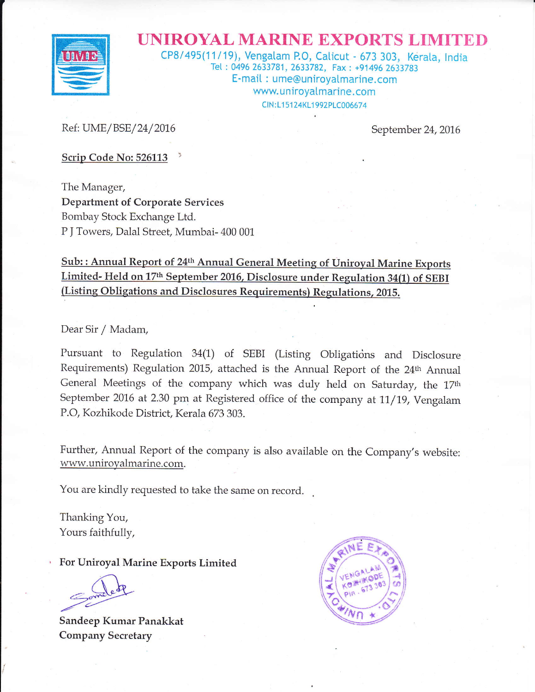

# UNIROYAL MARINE EXPORTS LIMITED

CP8/495(11/19), Vengalam P.O, Calicut - 673 303, Kerala, India Tel: 0496 2633781, 2633782, Fax: +91496 2633783 E-mail: ume@uniroyalmarine.com www.uniroyalmarine.com CIN:L15124KL1992PLC006674

Ref: UME/BSE/24/2016

September 24, 2016

Scrip Code No:526113 )

The Manager, Department of Corporate Services Bombay Stock Exchange Ltd. P J Towers, Dalal Street, Mumbai- 400 001

Sub: : Annual Report of 24th Annual General Meetinq of Uniroyal Marine Exports Limited- Held on 17th September 2016, Disclosure under Regulation 34(1) of SEBI (Listing Obligations and Disclosures Requirements) Regulations. 2015.

Dear Sir / Madam,

Pursuant to Regulation 34(1) of SEBI (Listing Obligations and Disclosure Requirements) Regulation 2015, attached is the Annual Report of the 24<sup>th</sup> Annual General Meetings of the company which was duly held on Saturday, the 17<sup>th</sup> September 2016 at 2.30 pm at Registered office of the company at 11/19, Vengalam P.O, Kozhikode District, Kerala 673 303.

Further, Annual Report of the company is also available on the Company's website: www.uniroyalmarine.com.

You are kindly requested to take the same on record.

Thanking You, Yours faithfully,

, For Uniroyal Marine Exports Limited

Somelet

Sandeep Kumar Panakkat Company Secretary

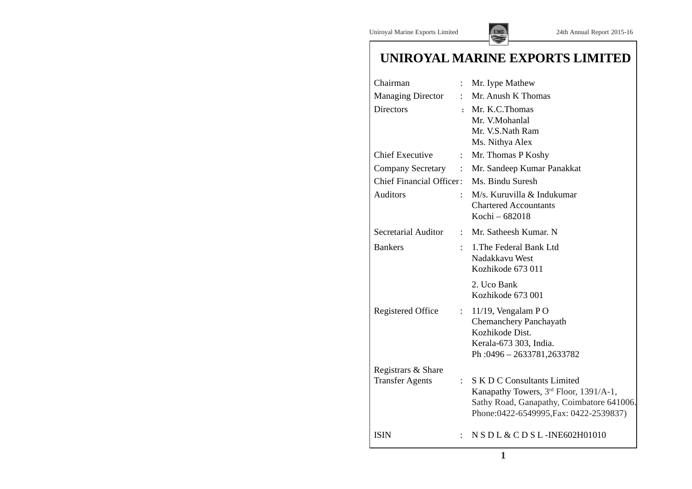# **UNIROYAL MARINE EXPORTS LIMITED**

| Chairman                                  | $\ddot{\phantom{0}}$ | Mr. Iype Mathew                                                                                                                                                      |
|-------------------------------------------|----------------------|----------------------------------------------------------------------------------------------------------------------------------------------------------------------|
| <b>Managing Director</b>                  | ÷                    | Mr. Anush K Thomas                                                                                                                                                   |
| <b>Directors</b>                          |                      | : Mr. K.C.Thomas<br>Mr. V.Mohanlal<br>Mr. V.S.Nath Ram<br>Ms. Nithya Alex                                                                                            |
| <b>Chief Executive</b>                    | $\ddot{\cdot}$       | Mr. Thomas P Koshy                                                                                                                                                   |
| <b>Company Secretary</b>                  | $\ddot{\phantom{a}}$ | Mr. Sandeep Kumar Panakkat                                                                                                                                           |
| Chief Financial Officer: Ms. Bindu Suresh |                      |                                                                                                                                                                      |
| <b>Auditors</b>                           |                      | M/s. Kuruvilla & Indukumar<br><b>Chartered Accountants</b><br>Kochi - 682018                                                                                         |
| Secretarial Auditor                       | ÷                    | Mr. Satheesh Kumar. N                                                                                                                                                |
| <b>Bankers</b>                            |                      | 1. The Federal Bank Ltd<br>Nadakkavu West<br>Kozhikode 673 011                                                                                                       |
|                                           |                      | 2. Uco Bank<br>Kozhikode 673 001                                                                                                                                     |
| <b>Registered Office</b>                  | $\mathbf{r}$         | $11/19$ , Vengalam PO<br>Chemanchery Panchayath<br>Kozhikode Dist.<br>Kerala-673 303, India.<br>Ph: 0496 - 2633781, 2633782                                          |
| Registrars & Share                        |                      |                                                                                                                                                                      |
| <b>Transfer Agents</b>                    | ٠                    | <b>S K D C Consultants Limited</b><br>Kanapathy Towers, 3rd Floor, 1391/A-1,<br>Sathy Road, Ganapathy, Coimbatore 641006.<br>Phone: 0422-6549995, Fax: 0422-2539837) |
| <b>ISIN</b>                               | $\ddot{\cdot}$       | N S D L & C D S L - INE 602 H01010                                                                                                                                   |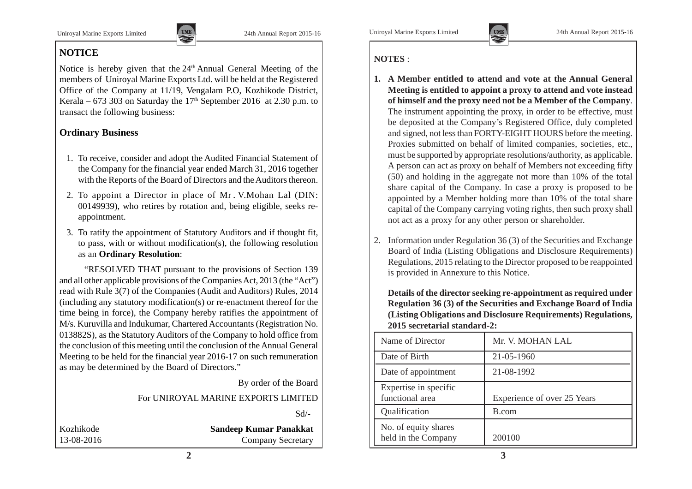## **NOTICE**

Notice is hereby given that the 24th Annual General Meeting of the members of Uniroyal Marine Exports Ltd. will be held at the Registered Office of the Company at 11/19, Vengalam P.O, Kozhikode District, Kerala – 673 303 on Saturday the  $17<sup>th</sup>$  September 2016 at 2.30 p.m. to transact the following business:

## **Ordinary Business**

- 1. To receive, consider and adopt the Audited Financial Statement of the Company for the financial year ended March 31, 2016 together with the Reports of the Board of Directors and the Auditors thereon.
- 2. To appoint a Director in place of Mr.V.Mohan Lal (DIN: 00149939), who retires by rotation and, being eligible, seeks reappointment.
- 3. To ratify the appointment of Statutory Auditors and if thought fit, to pass, with or without modification(s), the following resolution as an **Ordinary Resolution**:

"RESOLVED THAT pursuant to the provisions of Section 139 and all other applicable provisions of the Companies Act, 2013 (the "Act") read with Rule 3(7) of the Companies (Audit and Auditors) Rules, 2014 (including any statutory modification(s) or re-enactment thereof for the time being in force), the Company hereby ratifies the appointment of M/s. Kuruvilla and Indukumar, Chartered Accountants (Registration No. 013882S), as the Statutory Auditors of the Company to hold office from the conclusion of this meeting until the conclusion of the Annual General Meeting to be held for the financial year 2016-17 on such remuneration as may be determined by the Board of Directors."

By order of the Board

#### For UNIROYAL MARINE EXPORTS LIMITED

| Kozhikode  | <b>Sandeep Kumar Panakkat</b> |
|------------|-------------------------------|
| 13-08-2016 | <b>Company Secretary</b>      |

 $Sd/$ 

## **NOTES** :

- **1. A Member entitled to attend and vote at the Annual General Meeting is entitled to appoint a proxy to attend and vote instead of himself and the proxy need not be a Member of the Company**. The instrument appointing the proxy, in order to be effective, must be deposited at the Company's Registered Office, duly completed and signed, not less than FORTY-EIGHT HOURS before the meeting. Proxies submitted on behalf of limited companies, societies, etc., must be supported by appropriate resolutions/authority, as applicable. A person can act as proxy on behalf of Members not exceeding fifty (50) and holding in the aggregate not more than 10% of the total share capital of the Company. In case a proxy is proposed to be appointed by a Member holding more than 10% of the total share capital of the Company carrying voting rights, then such proxy shall not act as a proxy for any other person or shareholder.
- 2. Information under Regulation 36 (3) of the Securities and Exchange Board of India (Listing Obligations and Disclosure Requirements) Regulations, 2015 relating to the Director proposed to be reappointed is provided in Annexure to this Notice.

**Details of the director seeking re-appointment as required under Regulation 36 (3) of the Securities and Exchange Board of India (Listing Obligations and Disclosure Requirements) Regulations, 2015 secretarial standard-2:**

| Name of Director                            | Mr. V. MOHAN LAL            |
|---------------------------------------------|-----------------------------|
| Date of Birth                               | 21-05-1960                  |
| Date of appointment                         | 21-08-1992                  |
| Expertise in specific                       |                             |
| functional area                             | Experience of over 25 Years |
| Qualification                               | B.com                       |
| No. of equity shares<br>held in the Company | 200100                      |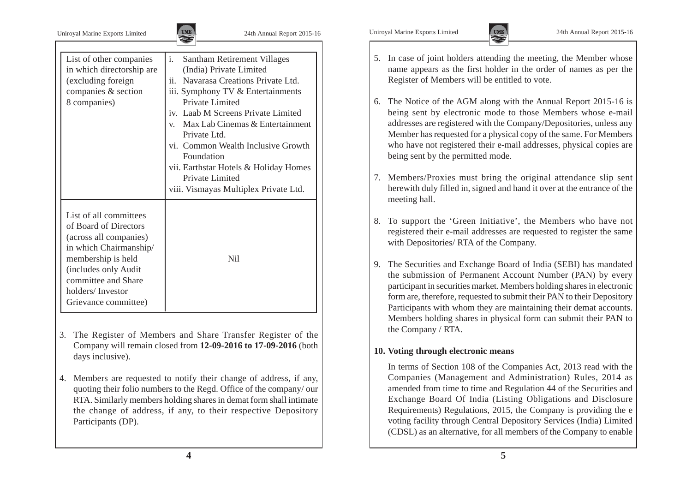| Uniroyal Marine Exports Limited |  |  |
|---------------------------------|--|--|



| List of other companies<br>in which directorship are<br>(excluding foreign<br>companies & section<br>8 companies)                                                                                                    | i.<br>Santham Retirement Villages<br>(India) Private Limited<br>ii. Navarasa Creations Private Ltd.<br>iii. Symphony TV & Entertainments<br>Private Limited<br>iv. Laab M Screens Private Limited<br>v. Max Lab Cinemas & Entertainment<br>Private Ltd.<br>vi. Common Wealth Inclusive Growth<br>Foundation<br>vii. Earthstar Hotels & Holiday Homes<br>Private Limited<br>viii. Vismayas Multiplex Private Ltd. |
|----------------------------------------------------------------------------------------------------------------------------------------------------------------------------------------------------------------------|------------------------------------------------------------------------------------------------------------------------------------------------------------------------------------------------------------------------------------------------------------------------------------------------------------------------------------------------------------------------------------------------------------------|
| List of all committees<br>of Board of Directors<br>(across all companies)<br>in which Chairmanship/<br>membership is held<br>(includes only Audit<br>committee and Share<br>holders/Investor<br>Grievance committee) | Ni1                                                                                                                                                                                                                                                                                                                                                                                                              |

- 3. The Register of Members and Share Transfer Register of the Company will remain closed from **12-09-2016 to 17-09-2016** (both days inclusive).
- 4. Members are requested to notify their change of address, if any, quoting their folio numbers to the Regd. Office of the company/ our RTA. Similarly members holding shares in demat form shall intimate the change of address, if any, to their respective Depository Participants (DP).
- 5. In case of joint holders attending the meeting, the Member whose name appears as the first holder in the order of names as per the Register of Members will be entitled to vote.
- 6. The Notice of the AGM along with the Annual Report 2015-16 is being sent by electronic mode to those Members whose e-mail addresses are registered with the Company/Depositories, unless any Member has requested for a physical copy of the same. For Members who have not registered their e-mail addresses, physical copies are being sent by the permitted mode.
- 7. Members/Proxies must bring the original attendance slip sent herewith duly filled in, signed and hand it over at the entrance of the meeting hall.
- 8. To support the 'Green Initiative', the Members who have not registered their e-mail addresses are requested to register the same with Depositories/ RTA of the Company.
- 9. The Securities and Exchange Board of India (SEBI) has mandated the submission of Permanent Account Number (PAN) by every participant in securities market. Members holding shares in electronic form are, therefore, requested to submit their PAN to their Depository Participants with whom they are maintaining their demat accounts. Members holding shares in physical form can submit their PAN to the Company / RTA.

## **10. Voting through electronic means**

In terms of Section 108 of the Companies Act, 2013 read with the Companies (Management and Administration) Rules, 2014 as amended from time to time and Regulation 44 of the Securities and Exchange Board Of India (Listing Obligations and Disclosure Requirements) Regulations, 2015, the Company is providing the e voting facility through Central Depository Services (India) Limited (CDSL) as an alternative, for all members of the Company to enable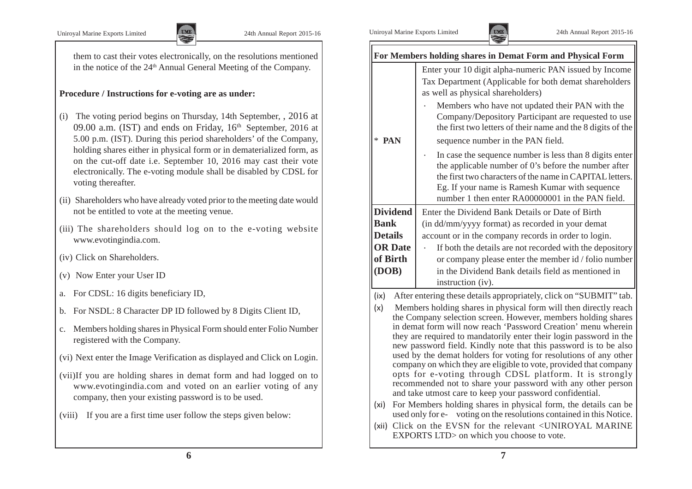them to cast their votes electronically, on the resolutions mentioned in the notice of the 24th Annual General Meeting of the Company.

#### **Procedure / Instructions for e-voting are as under:**

- (i) The voting period begins on Thursday, 14th September, , 2016 at 09.00 a.m. (IST) and ends on Friday,  $16<sup>th</sup>$  September, 2016 at 5.00 p.m. (IST). During this period shareholders' of the Company, holding shares either in physical form or in dematerialized form, as on the cut-off date i.e. September 10, 2016 may cast their vote electronically. The e-voting module shall be disabled by CDSL for voting thereafter.
- (ii) Shareholders who have already voted prior to the meeting date would not be entitled to vote at the meeting venue.
- (iii) The shareholders should log on to the e-voting website www.evotingindia.com.
- (iv) Click on Shareholders.
- (v) Now Enter your User ID
- a. For CDSL: 16 digits beneficiary ID,
- b. For NSDL: 8 Character DP ID followed by 8 Digits Client ID,
- c. Members holding shares in Physical Form should enter Folio Number registered with the Company.
- (vi) Next enter the Image Verification as displayed and Click on Login.
- (vii)If you are holding shares in demat form and had logged on to www.evotingindia.com and voted on an earlier voting of any company, then your existing password is to be used.
- (viii) If you are a first time user follow the steps given below:

|  |  |  | For Members holding shares in Demat Form and Physical Form |  |  |
|--|--|--|------------------------------------------------------------|--|--|
|--|--|--|------------------------------------------------------------|--|--|

|                                              |                 | Enter your 10 digit alpha-numeric PAN issued by Income<br>Tax Department (Applicable for both demat shareholders                       |  |  |  |  |
|----------------------------------------------|-----------------|----------------------------------------------------------------------------------------------------------------------------------------|--|--|--|--|
|                                              |                 | as well as physical shareholders)                                                                                                      |  |  |  |  |
|                                              |                 | Members who have not updated their PAN with the                                                                                        |  |  |  |  |
|                                              |                 | Company/Depository Participant are requested to use                                                                                    |  |  |  |  |
|                                              |                 | the first two letters of their name and the 8 digits of the                                                                            |  |  |  |  |
| $*$ PAN                                      |                 | sequence number in the PAN field.                                                                                                      |  |  |  |  |
|                                              |                 | In case the sequence number is less than 8 digits enter                                                                                |  |  |  |  |
|                                              |                 | the applicable number of 0's before the number after                                                                                   |  |  |  |  |
|                                              |                 | the first two characters of the name in CAPITAL letters.                                                                               |  |  |  |  |
|                                              |                 | Eg. If your name is Ramesh Kumar with sequence<br>number 1 then enter RA00000001 in the PAN field.                                     |  |  |  |  |
|                                              |                 |                                                                                                                                        |  |  |  |  |
|                                              | <b>Dividend</b> | Enter the Dividend Bank Details or Date of Birth                                                                                       |  |  |  |  |
| <b>Bank</b>                                  |                 | (in dd/mm/yyyy format) as recorded in your demat                                                                                       |  |  |  |  |
| <b>Details</b><br><b>OR Date</b><br>of Birth |                 | account or in the company records in order to login.                                                                                   |  |  |  |  |
|                                              |                 | If both the details are not recorded with the depository                                                                               |  |  |  |  |
|                                              |                 | or company please enter the member id / folio number                                                                                   |  |  |  |  |
| (DOB)                                        |                 | in the Dividend Bank details field as mentioned in                                                                                     |  |  |  |  |
|                                              |                 | instruction (iv).                                                                                                                      |  |  |  |  |
| (ix)                                         |                 | After entering these details appropriately, click on "SUBMIT" tab.                                                                     |  |  |  |  |
| (x)                                          |                 | Members holding shares in physical form will then directly reach<br>the Company selection screen. However, members holding shares      |  |  |  |  |
|                                              |                 | in demat form will now reach 'Password Creation' menu wherein                                                                          |  |  |  |  |
|                                              |                 | they are required to mandatorily enter their login password in the                                                                     |  |  |  |  |
|                                              |                 | new password field. Kindly note that this password is to be also                                                                       |  |  |  |  |
|                                              |                 | used by the demat holders for voting for resolutions of any other<br>company on which they are eligible to vote, provided that company |  |  |  |  |
|                                              |                 | opts for e-voting through CDSL platform. It is strongly                                                                                |  |  |  |  |
|                                              |                 | recommended not to share your password with any other person                                                                           |  |  |  |  |
|                                              |                 | and take utmost care to keep your password confidential.                                                                               |  |  |  |  |
| (xi)                                         |                 | For Members holding shares in physical form, the details can be                                                                        |  |  |  |  |
|                                              |                 | used only for e- voting on the resolutions contained in this Notice.                                                                   |  |  |  |  |
| (xii)                                        |                 | Click on the EVSN for the relevant <uniroyal marine<br="">EXPORTS LTD&gt; on which you choose to vote.</uniroyal>                      |  |  |  |  |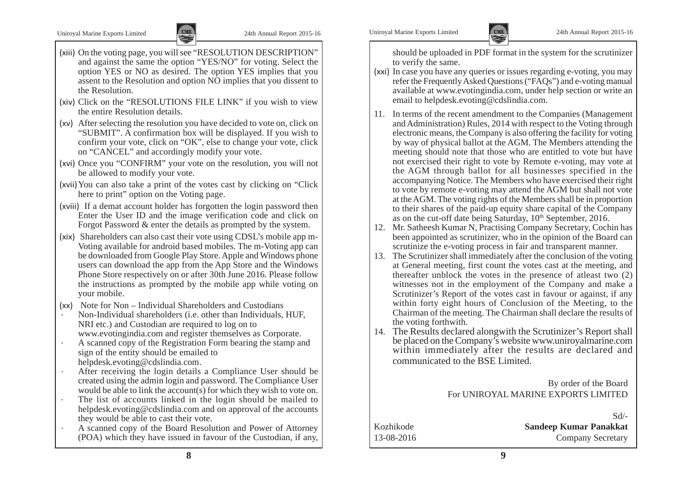Uniroyal Marine Exports Limited **LUME** 24th Annual Report 2015-16 Uniroyal Marine Exports Limited 24th Annual Report 2015-16

- (xiii) On the voting page, you will see "RESOLUTION DESCRIPTION" and against the same the option "YES/NO" for voting. Select the option YES or NO as desired. The option YES implies that you assent to the Resolution and option NO implies that you dissent to the Resolution.
- (xiv) Click on the "RESOLUTIONS FILE LINK" if you wish to view the entire Resolution details.
- (xv) After selecting the resolution you have decided to vote on, click on "SUBMIT". A confirmation box will be displayed. If you wish to confirm your vote, click on "OK", else to change your vote, click on "CANCEL" and accordingly modify your vote.
- (xvi) Once you "CONFIRM" your vote on the resolution, you will not be allowed to modify your vote.
- (xvii)You can also take a print of the votes cast by clicking on "Click here to print" option on the Voting page.
- (xviii) If a demat account holder has forgotten the login password then Enter the User ID and the image verification code and click on Forgot Password & enter the details as prompted by the system.
- (xix) Shareholders can also cast their vote using CDSL's mobile app m-Voting available for android based mobiles. The m-Voting app can be downloaded from Google Play Store. Apple and Windows phone users can download the app from the App Store and the Windows Phone Store respectively on or after 30th June 2016. Please follow the instructions as prompted by the mobile app while voting on your mobile.
- (xx) Note for Non Individual Shareholders and Custodians
- Non-Individual shareholders (i.e. other than Individuals, HUF, NRI etc.) and Custodian are required to log on to www.evotingindia.com and register themselves as Corporate.
- A scanned copy of the Registration Form bearing the stamp and sign of the entity should be emailed to helpdesk.evoting@cdslindia.com.
- After receiving the login details a Compliance User should be created using the admin login and password. The Compliance User would be able to link the account(s) for which they wish to vote on.
- The list of accounts linked in the login should be mailed to helpdesk.evoting@cdslindia.com and on approval of the accounts they would be able to cast their vote.
- A scanned copy of the Board Resolution and Power of Attorney (POA) which they have issued in favour of the Custodian, if any,

should be uploaded in PDF format in the system for the scrutinizer to verify the same.

- (xxi) In case you have any queries or issues regarding e-voting, you may refer the Frequently Asked Questions ("FAQs") and e-voting manual available at www.evotingindia.com, under help section or write an email to helpdesk.evoting@cdslindia.com.
- 11. In terms of the recent amendment to the Companies (Management and Administration) Rules, 2014 with respect to the Voting through electronic means, the Company is also offering the facility for voting by way of physical ballot at the AGM. The Members attending the meeting should note that those who are entitled to vote but have not exercised their right to vote by Remote e-voting, may vote at the AGM through ballot for all businesses specified in the accompanying Notice. The Members who have exercised their right to vote by remote e-voting may attend the AGM but shall not vote at the AGM. The voting rights of the Members shall be in proportion to their shares of the paid-up equity share capital of the Company as on the cut-off date being Saturday,  $10<sup>th</sup>$  September, 2016.
- 12. Mr. Satheesh Kumar N, Practising Company Secretary, Cochin has been appointed as scrutinizer, who in the opinion of the Board can scrutinize the e-voting process in fair and transparent manner.
- 13. The Scrutinizer shall immediately after the conclusion of the voting at General meeting, first count the votes cast at the meeting, and thereafter unblock the votes in the presence of atleast two (2) witnesses not in the employment of the Company and make a Scrutinizer's Report of the votes cast in favour or against, if any within forty eight hours of Conclusion of the Meeting, to the Chairman of the meeting. The Chairman shall declare the results of the voting forthwith.
- 14. The Results declared alongwith the Scrutinizer's Report shall be placed on the Company's website www.uniroyalmarine.com within immediately after the results are declared and communicated to the BSE Limited.

By order of the Board For UNIROYAL MARINE EXPORTS LIMITED

Sd/- Kozhikode **Sandeep Kumar Panakkat** 13-08-2016 Company Secretary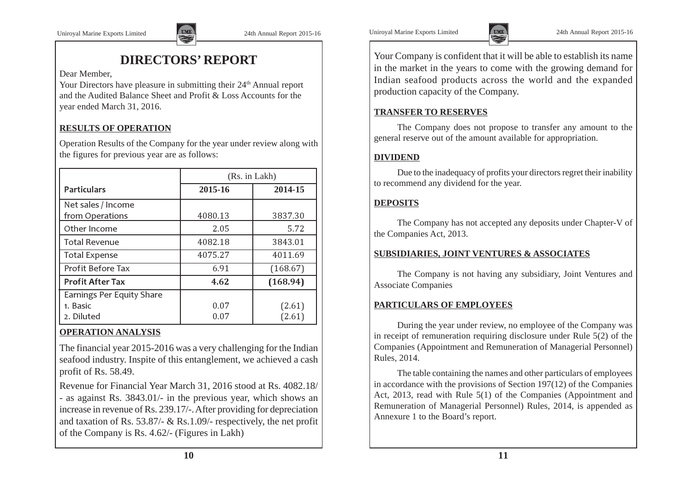# **DIRECTORS' REPORT**

Dear Member,

Your Directors have pleasure in submitting their 24<sup>th</sup> Annual report and the Audited Balance Sheet and Profit & Loss Accounts for the year ended March 31, 2016.

## **RESULTS OF OPERATION**

Operation Results of the Company for the year under review along with the figures for previous year are as follows:

|                                                     |              | (Rs. in Lakh)    |  |  |  |
|-----------------------------------------------------|--------------|------------------|--|--|--|
| <b>Particulars</b>                                  | 2015-16      | 2014-15          |  |  |  |
| Net sales / Income<br>from Operations               | 4080.13      | 3837.30          |  |  |  |
| Other Income                                        | 2.05         | 5.72             |  |  |  |
| <b>Total Revenue</b>                                | 4082.18      | 3843.01          |  |  |  |
| <b>Total Expense</b>                                | 4075.27      | 4011.69          |  |  |  |
| Profit Before Tax                                   | 6.91         | (168.67)         |  |  |  |
| <b>Profit After Tax</b>                             | 4.62         | (168.94)         |  |  |  |
| Earnings Per Equity Share<br>1. Basic<br>2. Diluted | 0.07<br>0.07 | (2.61)<br>(2.61) |  |  |  |

## **OPERATION ANALYSIS**

The financial year 2015-2016 was a very challenging for the Indian seafood industry. Inspite of this entanglement, we achieved a cash profit of Rs. 58.49.

Revenue for Financial Year March 31, 2016 stood at Rs. 4082.18/ - as against Rs. 3843.01/- in the previous year, which shows an increase in revenue of Rs. 239.17/-. After providing for depreciation and taxation of Rs. 53.87/- & Rs.1.09/- respectively, the net profit of the Company is Rs. 4.62/- (Figures in Lakh)

Your Company is confident that it will be able to establish its name in the market in the years to come with the growing demand for Indian seafood products across the world and the expanded production capacity of the Company.

## **TRANSFER TO RESERVES**

The Company does not propose to transfer any amount to the general reserve out of the amount available for appropriation.

## **DIVIDEND**

Due to the inadequacy of profits your directors regret their inability to recommend any dividend for the year.

## **DEPOSITS**

The Company has not accepted any deposits under Chapter-V of the Companies Act, 2013.

## **SUBSIDIARIES, JOINT VENTURES & ASSOCIATES**

The Company is not having any subsidiary, Joint Ventures and Associate Companies

## **PARTICULARS OF EMPLOYEES**

During the year under review, no employee of the Company was in receipt of remuneration requiring disclosure under Rule 5(2) of the Companies (Appointment and Remuneration of Managerial Personnel) Rules, 2014.

The table containing the names and other particulars of employees in accordance with the provisions of Section 197(12) of the Companies Act, 2013, read with Rule 5(1) of the Companies (Appointment and Remuneration of Managerial Personnel) Rules, 2014, is appended as Annexure 1 to the Board's report.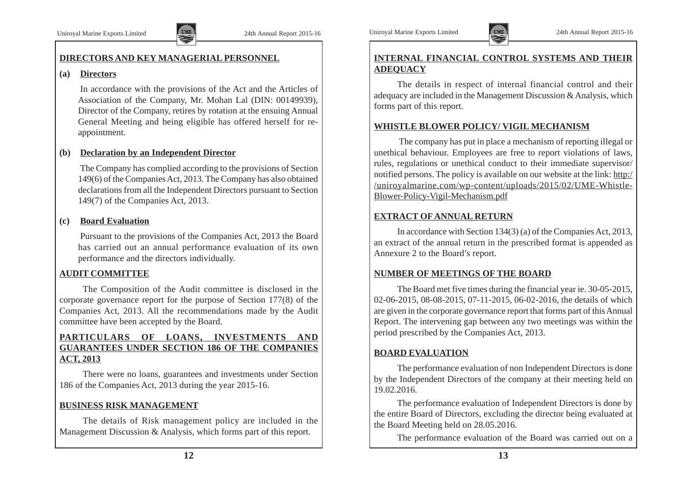#### **DIRECTORS AND KEY MANAGERIAL PERSONNEL**

#### **(a) Directors**

In accordance with the provisions of the Act and the Articles of Association of the Company, Mr. Mohan Lal (DIN: 00149939), Director of the Company, retires by rotation at the ensuing Annual General Meeting and being eligible has offered herself for reappointment.

#### **(b) Declaration by an Independent Director**

The Company has complied according to the provisions of Section 149(6) of the Companies Act, 2013. The Company has also obtained declarations from all the Independent Directors pursuant to Section 149(7) of the Companies Act, 2013.

#### **(c) Board Evaluation**

Pursuant to the provisions of the Companies Act, 2013 the Board has carried out an annual performance evaluation of its own performance and the directors individually.

#### **AUDIT COMMITTEE**

The Composition of the Audit committee is disclosed in the corporate governance report for the purpose of Section 177(8) of the Companies Act, 2013. All the recommendations made by the Audit committee have been accepted by the Board.

#### **PARTICULARS OF LOANS, INVESTMENTS AND GUARANTEES UNDER SECTION 186 OF THE COMPANIES ACT, 2013**

There were no loans, guarantees and investments under Section 186 of the Companies Act, 2013 during the year 2015-16.

#### **BUSINESS RISK MANAGEMENT**

The details of Risk management policy are included in the Management Discussion & Analysis, which forms part of this report.

## **INTERNAL FINANCIAL CONTROL SYSTEMS AND THEIR ADEQUACY**

The details in respect of internal financial control and their adequacy are included in the Management Discussion & Analysis, which forms part of this report.

#### **WHISTLE BLOWER POLICY/ VIGIL MECHANISM**

The company has put in place a mechanism of reporting illegal or unethical behaviour. Employees are free to report violations of laws, rules, regulations or unethical conduct to their immediate supervisor/ notified persons. The policy is available on our website at the link: http:/ /uniroyalmarine.com/wp-content/uploads/2015/02/UME-Whistle-Blower-Policy-Vigil-Mechanism.pdf

#### **EXTRACT OFANNUAL RETURN**

In accordance with Section 134(3) (a) of the Companies Act, 2013, an extract of the annual return in the prescribed format is appended as Annexure 2 to the Board's report.

#### **NUMBER OF MEETINGS OF THE BOARD**

The Board met five times during the financial year ie. 30-05-2015, 02-06-2015, 08-08-2015, 07-11-2015, 06-02-2016, the details of which are given in the corporate governance report that forms part of this Annual Report. The intervening gap between any two meetings was within the period prescribed by the Companies Act, 2013.

#### **BOARD EVALUATION**

The performance evaluation of non Independent Directors is done by the Independent Directors of the company at their meeting held on 19.02.2016.

The performance evaluation of Independent Directors is done by the entire Board of Directors, excluding the director being evaluated at the Board Meeting held on 28.05.2016.

The performance evaluation of the Board was carried out on a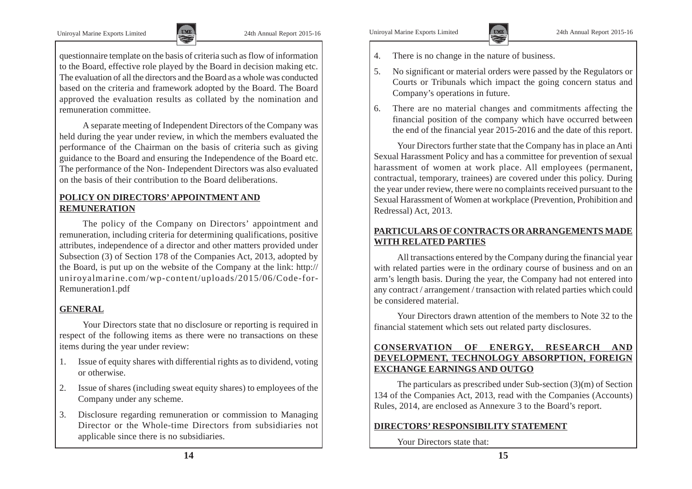questionnaire template on the basis of criteria such as flow of information to the Board, effective role played by the Board in decision making etc. The evaluation of all the directors and the Board as a whole was conducted based on the criteria and framework adopted by the Board. The Board approved the evaluation results as collated by the nomination and remuneration committee.

A separate meeting of Independent Directors of the Company was held during the year under review, in which the members evaluated the performance of the Chairman on the basis of criteria such as giving guidance to the Board and ensuring the Independence of the Board etc. The performance of the Non- Independent Directors was also evaluated on the basis of their contribution to the Board deliberations.

## **POLICY ON DIRECTORS'APPOINTMENT AND REMUNERATION**

The policy of the Company on Directors' appointment and remuneration, including criteria for determining qualifications, positive attributes, independence of a director and other matters provided under Subsection (3) of Section 178 of the Companies Act, 2013, adopted by the Board, is put up on the website of the Company at the link: http:// uniroyalmarine.com/wp-content/uploads/2015/06/Code-for-Remuneration1.pdf

## **GENERAL**

Your Directors state that no disclosure or reporting is required in respect of the following items as there were no transactions on these items during the year under review:

- 1. Issue of equity shares with differential rights as to dividend, voting or otherwise.
- 2. Issue of shares (including sweat equity shares) to employees of the Company under any scheme.
- 3. Disclosure regarding remuneration or commission to Managing Director or the Whole-time Directors from subsidiaries not applicable since there is no subsidiaries.
- 5. No significant or material orders were passed by the Regulators or Courts or Tribunals which impact the going concern status and Company's operations in future.
- 6. There are no material changes and commitments affecting the financial position of the company which have occurred between the end of the financial year 2015-2016 and the date of this report.

Your Directors further state that the Company has in place an Anti Sexual Harassment Policy and has a committee for prevention of sexual harassment of women at work place. All employees (permanent, contractual, temporary, trainees) are covered under this policy. During the year under review, there were no complaints received pursuant to the Sexual Harassment of Women at workplace (Prevention, Prohibition and Redressal) Act, 2013.

## **PARTICULARS OF CONTRACTS OR ARRANGEMENTS MADE WITH RELATED PARTIES**

All transactions entered by the Company during the financial year with related parties were in the ordinary course of business and on an arm's length basis. During the year, the Company had not entered into any contract / arrangement / transaction with related parties which could be considered material.

Your Directors drawn attention of the members to Note 32 to the financial statement which sets out related party disclosures.

## **CONSER VATION OF ENERGY, RESEARCH AND DEVELOPMENT, TECHNOLOGY ABSORPTION, FOREIGN EXCHANGE EARNINGS AND OUTGO**

The particulars as prescribed under Sub-section (3)(m) of Section 134 of the Companies Act, 2013, read with the Companies (Accounts) Rules, 2014, are enclosed as Annexure 3 to the Board's report.

## **DIRECTORS' RESPONSIBILITY STATEMENT**

Your Directors state that: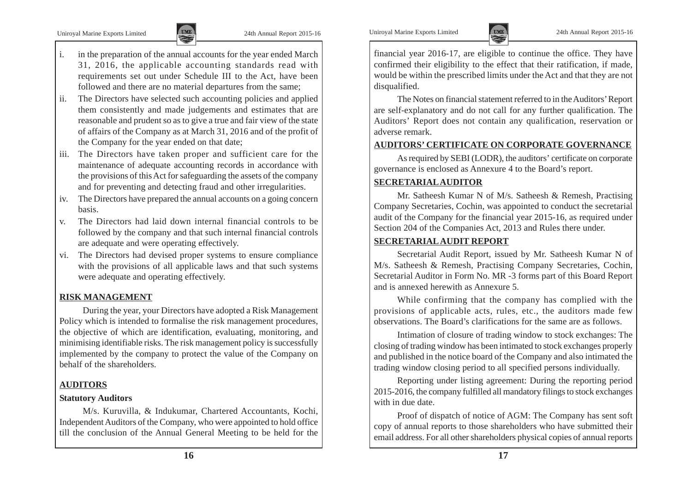- i. in the preparation of the annual accounts for the year ended March 31, 2016, the applicable accounting standards read with requirements set out under Schedule III to the Act, have been followed and there are no material departures from the same;
- ii. The Directors have selected such accounting policies and applied them consistently and made judgements and estimates that are reasonable and prudent so as to give a true and fair view of the state of affairs of the Company as at March 31, 2016 and of the profit of the Company for the year ended on that date;
- iii. The Directors have taken proper and sufficient care for the maintenance of adequate accounting records in accordance with the provisions of this Act for safeguarding the assets of the company and for preventing and detecting fraud and other irregularities.
- iv. The Directors have prepared the annual accounts on a going concern basis.
- v. The Directors had laid down internal financial controls to be followed by the company and that such internal financial controls are adequate and were operating effectively.
- vi. The Directors had devised proper systems to ensure compliance with the provisions of all applicable laws and that such systems were adequate and operating effectively.

## **RISK MANAGEMENT**

During the year, your Directors have adopted a Risk Management Policy which is intended to formalise the risk management procedures, the objective of which are identification, evaluating, monitoring, and minimising identifiable risks. The risk management policy is successfully implemented by the company to protect the value of the Company on behalf of the shareholders.

## **AUDITORS**

## **Statutory Auditors**

M/s. Kuruvilla, & Indukumar, Chartered Accountants, Kochi, Independent Auditors of the Company, who were appointed to hold office till the conclusion of the Annual General Meeting to be held for the financial year 2016-17, are eligible to continue the office. They have confirmed their eligibility to the effect that their ratification, if made, would be within the prescribed limits under the Act and that they are not disqualified.

The Notes on financial statement referred to in the Auditors' Report are self-explanatory and do not call for any further qualification. The Auditors' Report does not contain any qualification, reservation or adverse remark.

## **AUDITORS' CERTIFICATE ON CORPORATE GOVERNANCE**

As required by SEBI (LODR), the auditors' certificate on corporate governance is enclosed as Annexure 4 to the Board's report.

## **SECRETARIALAUDITOR**

Mr. Satheesh Kumar N of M/s. Satheesh & Remesh, Practising Company Secretaries, Cochin, was appointed to conduct the secretarial audit of the Company for the financial year 2015-16, as required under Section 204 of the Companies Act, 2013 and Rules there under.

## **SECRETARIALAUDIT REPOR T**

Secretarial Audit Report, issued by Mr. Satheesh Kumar N of M/s. Satheesh & Remesh, Practising Company Secretaries, Cochin, Secretarial Auditor in Form No. MR -3 forms part of this Board Report and is annexed herewith as Annexure 5.

While confirming that the company has complied with the provisions of applicable acts, rules, etc., the auditors made few observations. The Board's clarifications for the same are as follows.

Intimation of closure of trading window to stock exchanges: The closing of trading window has been intimated to stock exchanges properly and published in the notice board of the Company and also intimated the trading window closing period to all specified persons individually.

Reporting under listing agreement: During the reporting period 2015-2016, the company fulfilled all mandatory filings to stock exchanges with in due date.

Proof of dispatch of notice of AGM: The Company has sent soft copy of annual reports to those shareholders who have submitted their email address. For all other shareholders physical copies of annual reports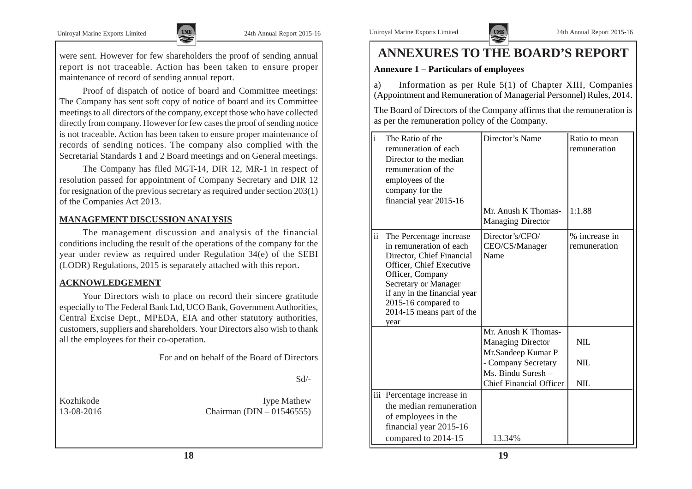#### Uniroyal Marine Exports Limited **24th Annual Report 2015-16** Uniroyal Marine Exports Limited 24th Annual Report 2015-16

were sent. However for few shareholders the proof of sending annual report is not traceable. Action has been taken to ensure proper maintenance of record of sending annual report.

Proof of dispatch of notice of board and Committee meetings: The Company has sent soft copy of notice of board and its Committee meetings to all directors of the company, except those who have collected directly from company. However for few cases the proof of sending notice is not traceable. Action has been taken to ensure proper maintenance of records of sending notices. The company also complied with the Secretarial Standards 1 and 2 Board meetings and on General meetings.

The Company has filed MGT-14, DIR 12, MR-1 in respect of resolution passed for appointment of Company Secretary and DIR 12 for resignation of the previous secretary as required under section 203(1) of the Companies Act 2013.

#### **MANAGEMENT DISCUSSION ANALYSIS**

The management discussion and analysis of the financial conditions including the result of the operations of the company for the year under review as required under Regulation 34(e) of the SEBI (LODR) Regulations, 2015 is separately attached with this report.

#### **ACKNOWLEDGEMENT**

Your Directors wish to place on record their sincere gratitude especially to The Federal Bank Ltd, UCO Bank, Government Authorities, Central Excise Dept., MPEDA, EIA and other statutory authorities, customers, suppliers and shareholders. Your Directors also wish to thank all the employees for their co-operation.

For and on behalf of the Board of Directors

#### Sd/-

Kozhikode Iype Mathew 13-08-2016 Chairman (DIN – 01546555)

# **ANNEXURES TO THE BOARD'S REPORT**

#### **Annexure 1 – Particulars of employees**

a) Information as per Rule 5(1) of Chapter XIII, Companies (Appointment and Remuneration of Managerial Personnel) Rules, 2014.

The Board of Directors of the Company affirms that the remuneration is as per the remuneration policy of the Company.

| $\mathbf{i}$        | The Ratio of the<br>remuneration of each<br>Director to the median<br>remuneration of the<br>employees of the<br>company for the<br>financial year 2015-16                                                                                          | Director's Name<br>Mr. Anush K Thomas-<br><b>Managing Director</b>                                                                                   | Ratio to mean<br>remuneration<br>1:1.88 |
|---------------------|-----------------------------------------------------------------------------------------------------------------------------------------------------------------------------------------------------------------------------------------------------|------------------------------------------------------------------------------------------------------------------------------------------------------|-----------------------------------------|
| $\ddot{\mathbf{i}}$ | The Percentage increase<br>in remuneration of each<br>Director, Chief Financial<br>Officer, Chief Executive<br>Officer, Company<br>Secretary or Manager<br>if any in the financial year<br>2015-16 compared to<br>2014-15 means part of the<br>year | Director's/CFO/<br>CEO/CS/Manager<br>Name                                                                                                            | % increase in<br>remuneration           |
|                     |                                                                                                                                                                                                                                                     | Mr. Anush K Thomas-<br><b>Managing Director</b><br>Mr.Sandeep Kumar P<br>- Company Secretary<br>Ms. Bindu Suresh -<br><b>Chief Financial Officer</b> | <b>NIL</b><br><b>NIL</b><br><b>NIL</b>  |
|                     | iii Percentage increase in<br>the median remuneration<br>of employees in the<br>financial year 2015-16<br>compared to 2014-15                                                                                                                       | 13.34%                                                                                                                                               |                                         |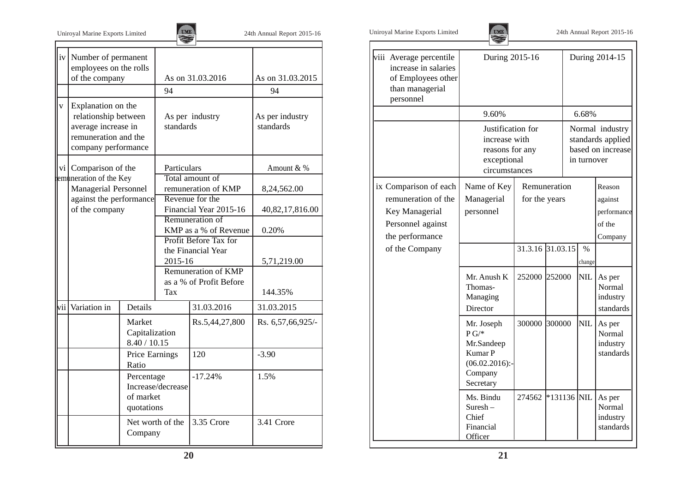| Uniroyal Marine Exports Limited |
|---------------------------------|
|---------------------------------|

Uniro<br>
24th Annual Report 2015-16 Uniro<br>
24th Annual Report 2015-16

|                         | iv   Number of permanent<br>employees on the rolls                                                               |                                          |                                                                                       |                                             |                              |  |
|-------------------------|------------------------------------------------------------------------------------------------------------------|------------------------------------------|---------------------------------------------------------------------------------------|---------------------------------------------|------------------------------|--|
|                         | of the company                                                                                                   |                                          |                                                                                       | As on 31.03.2016                            | As on 31.03.2015             |  |
|                         |                                                                                                                  |                                          | 94                                                                                    |                                             | 94                           |  |
| $\overline{\mathbf{V}}$ | Explanation on the<br>relationship between<br>average increase in<br>remuneration and the<br>company performance |                                          | standards                                                                             | As per industry                             | As per industry<br>standards |  |
|                         | vi Comparison of the                                                                                             |                                          | Particulars                                                                           |                                             | Amount & %                   |  |
|                         | emuneration of the Key<br>Managerial Personnel                                                                   |                                          | Total amount of<br>remuneration of KMP                                                |                                             | 8,24,562.00                  |  |
|                         | against the performance<br>of the company                                                                        |                                          | Revenue for the<br>Financial Year 2015-16<br>Remuneration of<br>KMP as a % of Revenue |                                             | 40,82,17,816.00              |  |
|                         |                                                                                                                  |                                          |                                                                                       |                                             | 0.20%                        |  |
|                         |                                                                                                                  |                                          | 2015-16                                                                               | Profit Before Tax for<br>the Financial Year | 5,71,219.00                  |  |
|                         |                                                                                                                  |                                          | <b>Remuneration of KMP</b><br>as a % of Profit Before<br><b>Tax</b>                   |                                             | 144.35%                      |  |
| kii l                   | Variation in                                                                                                     | Details                                  |                                                                                       | 31.03.2016                                  | 31.03.2015                   |  |
|                         |                                                                                                                  | Market<br>Capitalization<br>8.40 / 10.15 |                                                                                       | Rs.5,44,27,800                              | Rs. 6,57,66,925/-            |  |
|                         |                                                                                                                  | Price Earnings<br>Ratio                  |                                                                                       | 120                                         | $-3.90$                      |  |
|                         |                                                                                                                  | Percentage<br>of market<br>quotations    | Increase/decrease                                                                     | $-17.24%$                                   | 1.5%                         |  |
|                         |                                                                                                                  | Net worth of the<br>Company              |                                                                                       | 3.35 Crore                                  | 3.41 Crore                   |  |

| Uniroyal Marine Exports Limited                                                                        | <b>UME</b>                                                                                     |                  |               |                                                                          | 24th Annual Report 2015-16                            |
|--------------------------------------------------------------------------------------------------------|------------------------------------------------------------------------------------------------|------------------|---------------|--------------------------------------------------------------------------|-------------------------------------------------------|
| viii Average percentile<br>increase in salaries<br>of Employees other<br>than managerial<br>personnel  | During 2015-16                                                                                 |                  |               |                                                                          | During 2014-15                                        |
|                                                                                                        | 9.60%                                                                                          |                  |               | 6.68%                                                                    |                                                       |
|                                                                                                        | Justification for<br>increase with<br>reasons for any<br>exceptional<br>circumstances          |                  |               | Normal industry<br>standards applied<br>based on increase<br>in turnover |                                                       |
| ix Comparison of each<br>remuneration of the<br>Key Managerial<br>Personnel against<br>the performance | Name of Key<br>Managerial<br>personnel                                                         | for the years    | Remuneration  |                                                                          | Reason<br>against<br>performance<br>of the<br>Company |
| of the Company                                                                                         |                                                                                                | 31.3.16 31.03.15 |               | $\frac{0}{0}$<br>change                                                  |                                                       |
|                                                                                                        | Mr. Anush K<br>Thomas-<br>Managing<br>Director                                                 | 252000           | 252000        | <b>NIL</b>                                                               | As per<br>Normal<br>industry<br>standards             |
|                                                                                                        | Mr. Joseph<br>$P G/*$<br>Mr.Sandeep<br><b>Kumar</b> P<br>(06.02.2016):<br>Company<br>Secretary | 300000           | 300000        | <b>NIL</b>                                                               | As per<br>Normal<br>industry<br>standards             |
|                                                                                                        | Ms. Bindu<br>$Suresh -$<br>Chief<br>Financial<br>Officer                                       | 274562           | $*131136$ NIL |                                                                          | As per<br>Normal<br>industry<br>standards             |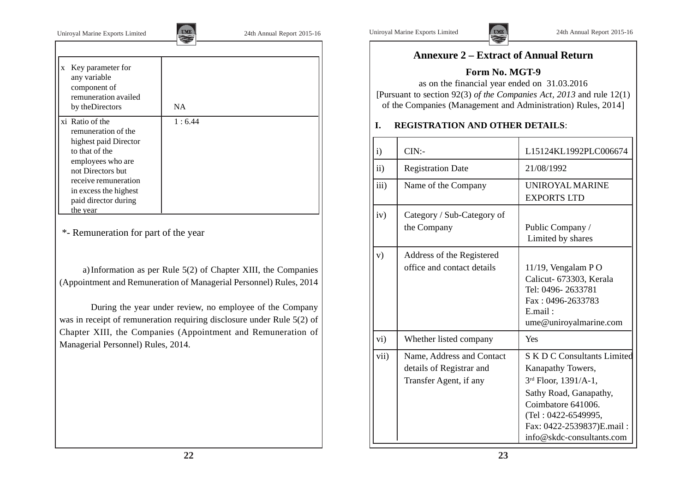remuneration of the highest paid Director

to that of the employees who are not Directors but receive remuneration in excess the highest paid director during

the year

<sup>x</sup> Key parameter for any variable component of remuneration availed

## **Annexure 2 – Extract of Annual Return**

## **Form No. MGT-9**

as on the financial year ended on 31.03.2016 [Pursuant to section 92(3) *of the Companies Act, 2013* and rule 12(1) of the Companies (Management and Administration) Rules, 2014]

## **I. REGISTRATION AND OTHER DETAILS**:

| i)            | $CIN$ :-                                                                        | L15124KL1992PLC006674                                                                                                                                                                                            |
|---------------|---------------------------------------------------------------------------------|------------------------------------------------------------------------------------------------------------------------------------------------------------------------------------------------------------------|
| $\mathbf{ii}$ | <b>Registration Date</b>                                                        | 21/08/1992                                                                                                                                                                                                       |
| iii)          | Name of the Company                                                             | UNIROYAL MARINE<br><b>EXPORTS LTD</b>                                                                                                                                                                            |
| iv)           | Category / Sub-Category of<br>the Company                                       | Public Company /<br>Limited by shares                                                                                                                                                                            |
| V)            | Address of the Registered<br>office and contact details                         | 11/19, Vengalam PO<br>Calicut- 673303, Kerala<br>Tel: 0496-2633781<br>Fax: 0496-2633783<br>E.mail:<br>ume@uniroyalmarine.com                                                                                     |
| vi)           | Whether listed company                                                          | Yes                                                                                                                                                                                                              |
| vii)          | Name, Address and Contact<br>details of Registrar and<br>Transfer Agent, if any | <b>S K D C Consultants Limited</b><br>Kanapathy Towers,<br>3rd Floor, 1391/A-1,<br>Sathy Road, Ganapathy,<br>Coimbatore 641006.<br>(Tel: 0422-6549995,<br>Fax: 0422-2539837)E.mail:<br>info@skdc-consultants.com |

\*- Remuneration for part of the year

by the Directors NA  $x_i$  Ratio of the  $1 : 6.44$ 

a)Information as per Rule 5(2) of Chapter XIII, the Companies (Appointment and Remuneration of Managerial Personnel) Rules, 2014

During the year under review, no employee of the Company was in receipt of remuneration requiring disclosure under Rule 5(2) of Chapter XIII, the Companies (Appointment and Remuneration of Managerial Personnel) Rules, 2014.

**22 23**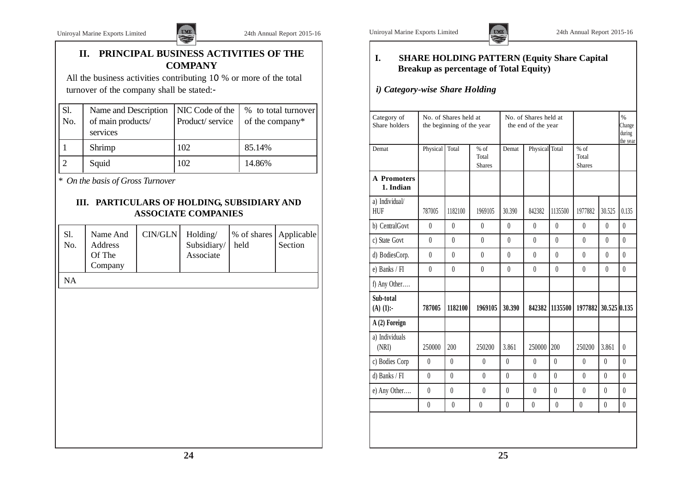## **II. PRINCIPAL BUSINESS ACTIVITIES OF THE COMPANY**

All the business activities contributing 1 0 % or more of the total turnover of the company shall be stated:-

| Sl.<br>No. | Name and Description<br>of main products/<br>services | NIC Code of the<br>Product/service | % to total turnover<br>of the company* |
|------------|-------------------------------------------------------|------------------------------------|----------------------------------------|
|            | Shrimp                                                | 102                                | 85.14%                                 |
|            | Squid                                                 | 102                                | 14.86%                                 |

*\* On the basis of Gross Turnover*

#### **III. PARTICULARS OF HOLDING, SUBSIDIARY AND ASSOCIATE COMPANIES**

| Sl.<br>No. | Name And<br>Address<br>Of The<br>Company | CIN/GLN | Holding/<br>Subsidiary/<br>Associate | % of shares   Applicable<br>held | Section |
|------------|------------------------------------------|---------|--------------------------------------|----------------------------------|---------|
|            |                                          |         |                                      |                                  |         |

## **I. SHARE HOLDING PATTERN (Equity Share Capital Breakup as percentage of Total Equity)**

#### *i) Category-wise Share Holding*

| Category of<br>Share holders    |                  | No. of Shares held at<br>the beginning of the year |                                  |                  | No. of Shares held at<br>the end of the year |                  |                                  |                  | $\%$<br>Change<br>during<br>the year |
|---------------------------------|------------------|----------------------------------------------------|----------------------------------|------------------|----------------------------------------------|------------------|----------------------------------|------------------|--------------------------------------|
| Demat                           | Physical         | Total                                              | $%$ of<br>Total<br><b>Shares</b> | Demat            | Physical Total                               |                  | $%$ of<br>Total<br><b>Shares</b> |                  |                                      |
| <b>A</b> Promoters<br>1. Indian |                  |                                                    |                                  |                  |                                              |                  |                                  |                  |                                      |
| a) Individual/<br><b>HUF</b>    | 787005           | 1182100                                            | 1969105                          | 30.390           | 842382                                       | 1135500          | 1977882                          | 30.525           | 0.135                                |
| b) CentralGovt                  | $\theta$         | $\overline{0}$                                     | $\boldsymbol{0}$                 | $\overline{0}$   | $\theta$                                     | $\mathbf{0}$     | $\mathbf{0}$                     | $\overline{0}$   | $\theta$                             |
| c) State Govt                   | $\overline{0}$   | $\overline{0}$                                     | $\mathbf{0}$                     | $\theta$         | $\boldsymbol{0}$                             | $\theta$         | $\theta$                         | $\theta$         | $\theta$                             |
| d) BodiesCorp.                  | $\overline{0}$   | $\overline{0}$                                     | $\mathbf{0}$                     | $\overline{0}$   | $\boldsymbol{0}$                             | $\theta$         | $\mathbf{0}$                     | $\theta$         | $\theta$                             |
| e) Banks / FI                   | $\overline{0}$   | $\overline{0}$                                     | $\mathbf{0}$                     | $\overline{0}$   | $\boldsymbol{0}$                             | $\theta$         | $\theta$                         | $\theta$         | $\mathbf{0}$                         |
| f) Any Other                    |                  |                                                    |                                  |                  |                                              |                  |                                  |                  |                                      |
| Sub-total<br>$(A)$ $(1)$ :-     | 787005           | 1182100                                            | 1969105                          | 30.390           | 842382                                       | 1135500          | 1977882 30.525 0.135             |                  |                                      |
| A (2) Foreign                   |                  |                                                    |                                  |                  |                                              |                  |                                  |                  |                                      |
| a) Individuals<br>(NRI)         | 250000           | 200                                                | 250200                           | 3.861            | 250000                                       | 200              | 250200                           | 3.861            | $\theta$                             |
| c) Bodies Corp                  | $\overline{0}$   | $\overline{0}$                                     | $\boldsymbol{0}$                 | $\theta$         | $\overline{0}$                               | $\theta$         | $\mathbf{0}$                     | $\theta$         | $\overline{0}$                       |
| d) Banks / FI                   | $\theta$         | $\overline{0}$                                     | $\theta$                         | $\overline{0}$   | $\theta$                                     | $\mathbf{0}$     | $\theta$                         | $\theta$         | $\overline{0}$                       |
| e) Any Other                    | $\theta$         | $\boldsymbol{0}$                                   | $\theta$                         | $\theta$         | $\theta$                                     | $\theta$         | $\theta$                         | $\theta$         | $\theta$                             |
|                                 | $\boldsymbol{0}$ | $\boldsymbol{0}$                                   | $\boldsymbol{0}$                 | $\boldsymbol{0}$ | $\boldsymbol{0}$                             | $\boldsymbol{0}$ | $\boldsymbol{0}$                 | $\boldsymbol{0}$ | $\overline{0}$                       |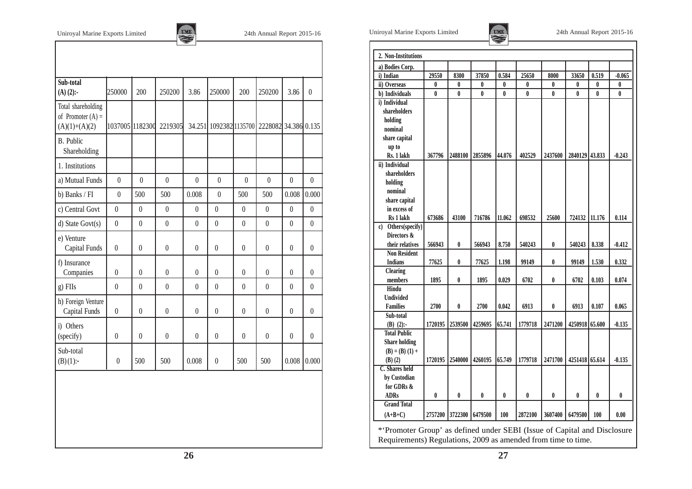| Sub-total<br>$(A)$ $(2)$ :-                                  | 250000           | 200              | 250200           | 3.86             | 250000                 | 200              | 250200               | 3.86             | $\overline{0}$   |
|--------------------------------------------------------------|------------------|------------------|------------------|------------------|------------------------|------------------|----------------------|------------------|------------------|
| Total shareholding<br>of Promoter $(A)$ =<br>$(A)(1)+(A)(2)$ | 1037005 1182300  |                  | 2219305          |                  | 34.251 1092382 1135700 |                  | 2228082 34.386 0.135 |                  |                  |
| <b>B.</b> Public<br>Shareholding                             |                  |                  |                  |                  |                        |                  |                      |                  |                  |
| 1. Institutions                                              |                  |                  |                  |                  |                        |                  |                      |                  |                  |
| a) Mutual Funds                                              | $\boldsymbol{0}$ | $\boldsymbol{0}$ | $\boldsymbol{0}$ | $\overline{0}$   | $\boldsymbol{0}$       | $\overline{0}$   | $\overline{0}$       | $\boldsymbol{0}$ | $\mathbf{0}$     |
| b) Banks / FI                                                | $\overline{0}$   | 500              | 500              | 0.008            | $\boldsymbol{0}$       | 500              | 500                  | 0.008            | 0.000            |
| c) Central Govt                                              | $\overline{0}$   | $\overline{0}$   | $\overline{0}$   | $\boldsymbol{0}$ | $\overline{0}$         | $\overline{0}$   | $\overline{0}$       | $\overline{0}$   | $\overline{0}$   |
| d) State Govt(s)                                             | $\overline{0}$   | $\overline{0}$   | $\overline{0}$   | $\overline{0}$   | $\overline{0}$         | $\overline{0}$   | $\overline{0}$       | $\mathbf{0}$     | $\overline{0}$   |
| e) Venture<br>Capital Funds                                  | $\boldsymbol{0}$ | $\boldsymbol{0}$ | $\boldsymbol{0}$ | $\boldsymbol{0}$ | $\boldsymbol{0}$       | $\boldsymbol{0}$ | $\boldsymbol{0}$     | $\boldsymbol{0}$ | $\boldsymbol{0}$ |
| f) Insurance<br>Companies                                    | $\overline{0}$   | $\overline{0}$   | $\boldsymbol{0}$ | $\boldsymbol{0}$ | $\overline{0}$         | $\boldsymbol{0}$ | $\overline{0}$       | $\overline{0}$   | $\overline{0}$   |
| g) FIIs                                                      | $\boldsymbol{0}$ | $\boldsymbol{0}$ | $\boldsymbol{0}$ | $\boldsymbol{0}$ | $\boldsymbol{0}$       | $\overline{0}$   | $\boldsymbol{0}$     | $\boldsymbol{0}$ | $\theta$         |
| h) Foreign Venture<br>Capital Funds                          | $\boldsymbol{0}$ | $\boldsymbol{0}$ | $\boldsymbol{0}$ | $\theta$         | $\boldsymbol{0}$       | $\overline{0}$   | $\boldsymbol{0}$     | $\boldsymbol{0}$ | $\overline{0}$   |
| i) Others<br>(specify)                                       | $\boldsymbol{0}$ | $\boldsymbol{0}$ | $\boldsymbol{0}$ | $\boldsymbol{0}$ | $\boldsymbol{0}$       | $\boldsymbol{0}$ | $\boldsymbol{0}$     | $\boldsymbol{0}$ | $\boldsymbol{0}$ |
| Sub-total<br>$(B)(1)$ :-                                     | $\boldsymbol{0}$ | 500              | 500              | 0.008            | $\boldsymbol{0}$       | 500              | 500                  | 0.008            | 0.000            |
|                                                              |                  |                  |                  |                  |                        |                  |                      |                  |                  |



| Uniroyal Marine Exports Limited                              |                  |                  |                  | 等                |                  |                  | 24th Annual Report 2015-16                  |                  |                  | Uniroyal Marine Exports Limited                                                                |                              |                                     |                               |                              |                              |                                      | 24th Annual Report 2015-16    |                              |                              |
|--------------------------------------------------------------|------------------|------------------|------------------|------------------|------------------|------------------|---------------------------------------------|------------------|------------------|------------------------------------------------------------------------------------------------|------------------------------|-------------------------------------|-------------------------------|------------------------------|------------------------------|--------------------------------------|-------------------------------|------------------------------|------------------------------|
|                                                              |                  |                  |                  |                  |                  |                  |                                             |                  |                  | 2. Non-Institutions<br>a) Bodies Corp.                                                         |                              |                                     |                               |                              |                              |                                      |                               |                              |                              |
| Sub-total                                                    |                  |                  |                  |                  |                  |                  |                                             |                  |                  | i) Indian                                                                                      | 29550                        | 8300                                | 37850                         | 0.584                        | 25650                        | 8000                                 | 33650                         | 0.519                        | $-0.065$                     |
| $(A)$ $(2)$ :-                                               | 250000           | 200              | 250200           | 3.86             | 250000           | 200              | 250200                                      | 3.86             | $\boldsymbol{0}$ | ii) Overseas<br>b) Individuals                                                                 | $\mathbf{0}$<br>$\mathbf{0}$ | $\mathbf{0}$<br>$\mathbf{0}$        | $\mathbf{0}$<br>$\mathbf{0}$  | $\mathbf{0}$<br>$\mathbf{0}$ | $\mathbf{0}$<br>$\mathbf{0}$ | $\mathbf{0}$<br>$\mathbf{0}$         | 0<br>$\bf{0}$                 | $\mathbf{0}$<br>$\mathbf{0}$ | $\mathbf{0}$<br>$\mathbf{0}$ |
| Total shareholding<br>of Promoter $(A)$ =<br>$(A)(1)+(A)(2)$ |                  | 1037005 1182300  | 2219305          |                  |                  |                  | 34.251 1092382 1135700 2228082 34.386 0.135 |                  |                  | i) Individual<br>shareholders<br>holding<br>nominal                                            |                              |                                     |                               |                              |                              |                                      |                               |                              |                              |
| B. Public<br>Shareholding                                    |                  |                  |                  |                  |                  |                  |                                             |                  |                  | share capital<br>up to<br>Rs. 1 lakh                                                           |                              |                                     | 367796 2488100 2855896 44.076 |                              | 402529                       | 2437600   2840129   43.833           |                               |                              | $-0.243$                     |
| 1. Institutions                                              |                  |                  |                  |                  |                  |                  |                                             |                  |                  | ii) Individual                                                                                 |                              |                                     |                               |                              |                              |                                      |                               |                              |                              |
| a) Mutual Funds                                              | $\theta$         | $\boldsymbol{0}$ | $\theta$         | $\overline{0}$   | $\theta$         | $\theta$         | $\theta$                                    | $\overline{0}$   | $\overline{0}$   | shareholders<br>holding                                                                        |                              |                                     |                               |                              |                              |                                      |                               |                              |                              |
| b) Banks / FI                                                | $\overline{0}$   | 500              | 500              | 0.008            | $\theta$         | 500              | 500                                         | 0.008            | $0.000\,$        | nominal<br>share capital                                                                       |                              |                                     |                               |                              |                              |                                      |                               |                              |                              |
| c) Central Govt                                              | $\overline{0}$   | $\boldsymbol{0}$ | $\boldsymbol{0}$ | $\boldsymbol{0}$ | $\boldsymbol{0}$ | $\boldsymbol{0}$ | $\boldsymbol{0}$                            | $\boldsymbol{0}$ | $\overline{0}$   | in excess of                                                                                   |                              |                                     |                               |                              |                              |                                      |                               |                              |                              |
| d) State Govt(s)                                             | $\overline{0}$   | $\boldsymbol{0}$ | $\boldsymbol{0}$ | $\boldsymbol{0}$ | $\boldsymbol{0}$ | $\boldsymbol{0}$ | $\boldsymbol{0}$                            | $\boldsymbol{0}$ | $0\,$            | Rs 1 lakh<br>Others(specify)<br>$\mathbf{c}$                                                   | 673686                       | 43100                               | 716786                        | 11.062                       | 698532                       | 25600                                | 724132 11.176                 |                              | 0.114                        |
| e) Venture<br>Capital Funds                                  | $\overline{0}$   | $\boldsymbol{0}$ | $\boldsymbol{0}$ | $\boldsymbol{0}$ | $\boldsymbol{0}$ | $\boldsymbol{0}$ | $\boldsymbol{0}$                            | $\boldsymbol{0}$ | $\boldsymbol{0}$ | Directors &<br>their relatives                                                                 | 566943                       | $\bf{0}$                            | 566943                        | 8.750                        | 540243                       | $\mathbf{0}$                         | 540243                        | 8.338                        | $-0.412$                     |
| f) Insurance                                                 | $\boldsymbol{0}$ | $\boldsymbol{0}$ | $\boldsymbol{0}$ | $\boldsymbol{0}$ | $\theta$         | $\boldsymbol{0}$ | $\boldsymbol{0}$                            | $\boldsymbol{0}$ | $\theta$         | <b>Non Resident</b><br><b>Indians</b><br><b>Clearing</b>                                       | 77625                        | $\bf{0}$                            | 77625                         | 1.198                        | 99149                        | $\mathbf{0}$                         | 99149                         | 1.530                        | 0.332                        |
| Companies                                                    |                  |                  |                  |                  |                  |                  |                                             |                  |                  | members                                                                                        | 1895                         | $\mathbf{0}$                        | 1895                          | 0.029                        | 6702                         | $\mathbf{0}$                         | 6702                          | 0.103                        | 0.074                        |
| g) FIIs<br>h) Foreign Venture                                | $\theta$         | $\overline{0}$   | $\boldsymbol{0}$ | $\boldsymbol{0}$ | $\boldsymbol{0}$ | $\boldsymbol{0}$ | $\theta$                                    | $\boldsymbol{0}$ | $\overline{0}$   | Hindu<br><b>Undivided</b><br><b>Families</b>                                                   | 2700                         | $\mathbf{0}$                        | 2700                          | 0.042                        | 6913                         | $\mathbf{0}$                         | 6913                          | 0.107                        | 0.065                        |
| Capital Funds                                                | $\boldsymbol{0}$ | $\boldsymbol{0}$ | $\boldsymbol{0}$ | $\boldsymbol{0}$ | $\theta$         | $\boldsymbol{0}$ | $\boldsymbol{0}$                            | $\boldsymbol{0}$ | $\overline{0}$   | Sub-total                                                                                      |                              |                                     |                               |                              |                              |                                      |                               |                              |                              |
| i) Others<br>(specify)                                       | $\overline{0}$   | $\mathbf{0}$     | $\boldsymbol{0}$ | $\boldsymbol{0}$ | $\mathbf{0}$     | $\overline{0}$   | $\overline{0}$                              | $\boldsymbol{0}$ | $\overline{0}$   | (B) $(2)$ :-<br><b>Total Public</b>                                                            |                              | 1720195 2539500 4259695             |                               | 65.741                       | 1779718                      | 2471200                              | 4250918 65.600                |                              | $-0.135$                     |
| Sub-total<br>$(B)(1)$ :-                                     | $\boldsymbol{0}$ | 500              | 500              | 0.008            | $\boldsymbol{0}$ | 500              | 500                                         | $0.008$ 0.000    |                  | <b>Share holding</b><br>$(B) = (B) (1) +$<br>$(B)$ $(2)$                                       |                              |                                     | 1720195 2540000 4260195       | 65.749                       |                              | 1779718   2471700   4251418   65.614 |                               |                              | $-0.135$                     |
|                                                              |                  |                  |                  |                  |                  |                  |                                             |                  |                  | C. Shares held<br>by Custodian<br>for GDRs &<br><b>ADRs</b><br><b>Grand Total</b><br>$(A+B+C)$ | $\bf{0}$                     | $\bf{0}$<br>2757200 3722300 6479500 | $\mathbf{0}$                  | $\bf{0}$<br>100              | $\mathbf{0}$<br>2872100      | $\mathbf{0}$                         | $\bf{0}$<br>3607400   6479500 | $\bf{0}$<br>100              | $\mathbf{0}$<br>0.00         |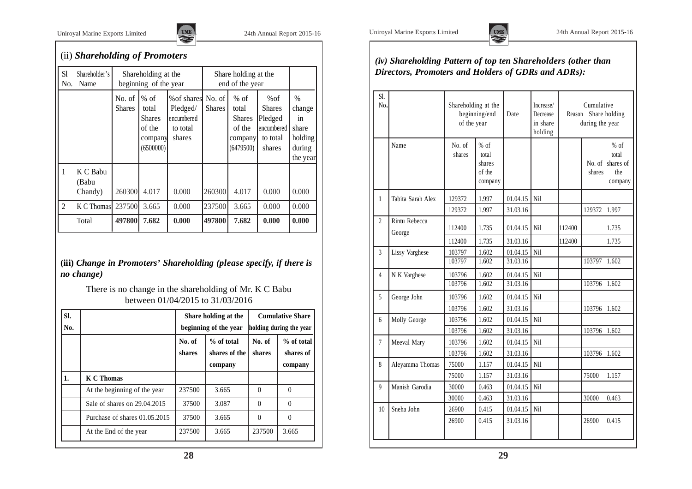

| S1<br>No.      | Shareholder's<br>Name        | Shareholding at the<br>beginning of the year |                                                                    |                                                             | Share holding at the<br>end of the year |                                                                    |                                                                      |                                                                |
|----------------|------------------------------|----------------------------------------------|--------------------------------------------------------------------|-------------------------------------------------------------|-----------------------------------------|--------------------------------------------------------------------|----------------------------------------------------------------------|----------------------------------------------------------------|
|                |                              | No. of<br><b>Shares</b>                      | $%$ of<br>total<br><b>Shares</b><br>of the<br>company<br>(6500000) | % of shares<br>Pledged/<br>encumbered<br>to total<br>shares | No. of<br><b>Shares</b>                 | $%$ of<br>total<br><b>Shares</b><br>of the<br>company<br>(6479500) | % of<br><b>Shares</b><br>Pledged<br>encumbered<br>to total<br>shares | $\%$<br>change<br>in<br>share<br>holding<br>during<br>the year |
| 1              | K C Babu<br>(Babu<br>Chandy) | 260300                                       | 4.017                                                              | 0.000                                                       | 260300                                  | 4.017                                                              | 0.000                                                                | 0.000                                                          |
| $\overline{2}$ | K C Thomas                   | 237500                                       | 3.665                                                              | 0.000                                                       | 237500                                  | 3.665                                                              | 0.000                                                                | 0.000                                                          |
|                | Total                        | 497800                                       | 7.682                                                              | 0.000                                                       | 497800                                  | 7.682                                                              | 0.000                                                                | 0.000                                                          |

**(iii)** *Change in Promoters' Shareholding (please specify, if there is no change)*

There is no change in the shareholding of Mr. K C Babu between 01/04/2015 to 31/03/2016

| SI.<br>No. |                               |                  | Share holding at the<br>beginning of the year | <b>Cumulative Share</b><br>holding during the year |                                    |  |
|------------|-------------------------------|------------------|-----------------------------------------------|----------------------------------------------------|------------------------------------|--|
|            |                               | No. of<br>shares | % of total<br>shares of the<br>company        | No. of<br>shares                                   | % of total<br>shares of<br>company |  |
| 1.         | <b>K</b> C Thomas             |                  |                                               |                                                    |                                    |  |
|            | At the beginning of the year  | 237500           | 3.665                                         | $\theta$                                           | $\theta$                           |  |
|            | Sale of shares on 29.04.2015  | 37500            | 3.087                                         | $\Omega$                                           | $\Omega$                           |  |
|            | Purchase of shares 01.05.2015 | 37500            | 3.665                                         | $\theta$                                           | $\Omega$                           |  |
|            | At the End of the year        | 237500           | 3.665                                         | 237500                                             | 3.665                              |  |

Uniroyal Marine Exports Limited 24th Annual Report 2015-16 Uniroyal Marine Exports Limited 24th Annual Report 2015-16

## *(iv) Shareholding Pattern of top ten Shareholders (other than Directors, Promoters and Holders of GDRs and ADRs):*

| SI.<br>N <sub>0</sub>     |                         | Shareholding at the<br>of the year | beginning/end                                  | Date                 | Increase/<br>Decrease<br>in share<br>holding | Reason | Cumulative<br>during the year | Share holding                                  |
|---------------------------|-------------------------|------------------------------------|------------------------------------------------|----------------------|----------------------------------------------|--------|-------------------------------|------------------------------------------------|
|                           | Name                    | No. of<br>shares                   | $%$ of<br>total<br>shares<br>of the<br>company |                      |                                              |        | No. of I<br>shares            | $%$ of<br>total<br>shares of<br>the<br>company |
| 1                         | Tabita Sarah Alex       | 129372                             | 1.997                                          | 01.04.15             | Nil                                          |        |                               |                                                |
|                           |                         | 129372                             | 1.997                                          | 31.03.16             |                                              |        | 129372                        | 1.997                                          |
| $\overline{\mathfrak{L}}$ | Rintu Rebecca<br>George | 112400                             | 1.735                                          | 01.04.15             | Nil                                          | 112400 |                               | 1.735                                          |
|                           |                         | 112400                             | 1.735                                          | 31.03.16             |                                              | 112400 |                               | 1.735                                          |
| 3                         | <b>Lissy Varghese</b>   | 103797<br>103797                   | 1.602<br>1.602                                 | 01.04.15<br>31.03.16 | Nil                                          |        | 103797                        | 1.602                                          |
| $\overline{4}$            | N K Varghese            | 103796<br>103796                   | 1.602<br>1.602                                 | 01.04.15<br>31.03.16 | Nil                                          |        | 103796                        | 1.602                                          |
| 5                         | George John             | 103796                             | 1.602                                          | 01.04.15             | Nil                                          |        |                               |                                                |
|                           |                         | 103796<br>103796                   | 1.602<br>1.602                                 | 31.03.16             | Nil                                          |        | 103796                        | 1.602                                          |
| 6                         | Molly George            | 103796                             | 1.602                                          | 01.04.15<br>31.03.16 |                                              |        | 103796                        | 1.602                                          |
| $\tau$                    | Meeval Mary             | 103796                             | 1.602                                          | 01.04.15             | Nil                                          |        |                               |                                                |
|                           |                         | 103796                             | 1.602                                          | 31.03.16             |                                              |        | 103796                        | 1.602                                          |
| 8                         | Aleyamma Thomas         | 75000                              | 1.157                                          | 01.04.15             | Nil                                          |        |                               |                                                |
|                           |                         | 75000                              | 1.157                                          | 31.03.16             |                                              |        | 75000                         | 1.157                                          |
| 9                         | Manish Garodia          | 30000                              | 0.463                                          | 01.04.15             | Nil                                          |        |                               |                                                |
|                           |                         | 30000                              | 0.463                                          | 31.03.16             |                                              |        | 30000                         | 0.463                                          |
| 10                        | Sneha John              | 26900                              | 0.415                                          | 01.04.15             | Nil                                          |        |                               |                                                |
|                           |                         | 26900                              | 0.415                                          | 31.03.16             |                                              |        | 26900                         | 0.415                                          |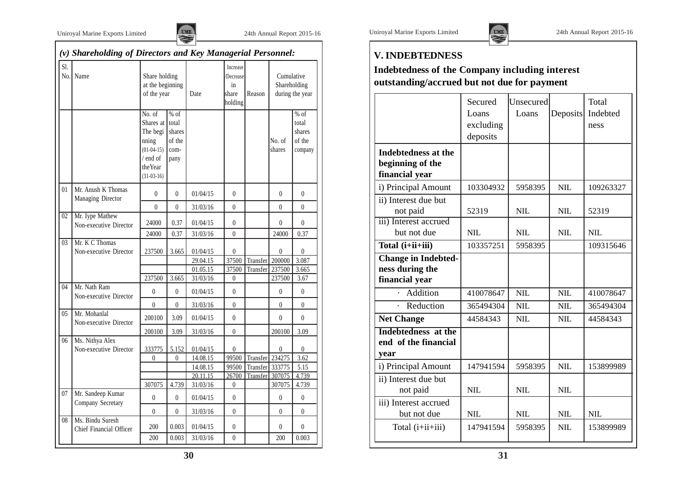

|     | (v) Shareholding of Directors and Key Managerial Personnel: |                                                                                                 |                                                     |                      |                                                |                             |                                               |                                                           |
|-----|-------------------------------------------------------------|-------------------------------------------------------------------------------------------------|-----------------------------------------------------|----------------------|------------------------------------------------|-----------------------------|-----------------------------------------------|-----------------------------------------------------------|
| Sl. | No. Name                                                    | Share holding<br>at the beginning<br>of the year                                                |                                                     | Date                 | Increase<br>Decrease<br>in<br>share<br>holding | Reason                      | Cumulative<br>Shareholding<br>during the year |                                                           |
|     |                                                             | No. of<br>Shares at<br>The begi<br>nning<br>$(01-04-15)$<br>/ end of<br>theYear<br>$(31-03-16)$ | $%$ of<br>total<br>shares<br>of the<br>com-<br>pany |                      |                                                |                             | No. of<br>shares                              | $\overline{\%$ of<br>total<br>shares<br>of the<br>company |
| 01  | Mr. Anush K Thomas<br>Managing Director                     | $\theta$                                                                                        | $\theta$                                            | 01/04/15             | $\theta$                                       |                             | $\theta$                                      | $\theta$                                                  |
|     |                                                             | $\overline{0}$                                                                                  | $\mathbf{0}$                                        | 31/03/16             | $\overline{0}$                                 |                             | $\mathbf{0}$                                  | $\theta$                                                  |
| 02  | Mr. Iype Mathew<br>Non-executive Director                   | 24000                                                                                           | 0.37                                                | 01/04/15             | $\boldsymbol{0}$                               |                             | $\mathbf{0}$                                  | $\overline{0}$                                            |
|     |                                                             | 24000                                                                                           | 0.37                                                | 31/03/16             | $\theta$                                       |                             | 24000                                         | 0.37                                                      |
| 03  | Mr. K C Thomas<br>Non-executive Director                    | 237500                                                                                          | 3.665                                               | 01/04/15             | $\boldsymbol{0}$                               |                             | $\theta$                                      | $\boldsymbol{0}$                                          |
|     |                                                             |                                                                                                 |                                                     | 29.04.15<br>01.05.15 | 37500<br>37500                                 | Transfer 200000<br>Transfer | 237500                                        | 3.087<br>3.665                                            |
|     |                                                             | 237500                                                                                          | 3.665                                               | 31/03/16             | 0                                              |                             | 237500                                        | 3.67                                                      |
| 04  | Mr. Nath Ram<br>Non-executive Director                      | $\mathbf{0}$                                                                                    | $\mathbf{0}$                                        | 01/04/15             | $\mathbf{0}$                                   |                             | $\mathbf{0}$                                  | $\overline{0}$                                            |
|     |                                                             | $\boldsymbol{0}$                                                                                | $\theta$                                            | 31/03/16             | $\theta$                                       |                             | $\theta$                                      | $\boldsymbol{0}$                                          |
| 05  | Mr. Mohanlal<br>Non-executive Director                      | 200100                                                                                          | 3.09                                                | 01/04/15             | $\boldsymbol{0}$                               |                             | $\boldsymbol{0}$                              | $\theta$                                                  |
|     |                                                             | 200100                                                                                          | 3.09                                                | 31/03/16             | $\overline{0}$                                 |                             | 200100                                        | 3.09                                                      |
| 06  | Ms. Nithya Alex<br>Non-executive Director                   | 333775                                                                                          | 5.152                                               | 01/04/15             | $\overline{0}$                                 |                             | $\boldsymbol{0}$                              | $\boldsymbol{0}$                                          |
|     |                                                             | $\mathbf{0}$                                                                                    | $\boldsymbol{0}$                                    | 14.08.15             | 99500                                          | Transfer 234275             |                                               | 3.62                                                      |
|     |                                                             |                                                                                                 |                                                     | 14.08.15             | 99500                                          | Transfer 333775             |                                               | 5.15                                                      |
|     |                                                             |                                                                                                 | 4.739                                               | 20.11.15             | 26700                                          | Transfer                    | 307075<br>307075                              | 4.739                                                     |
| 07  | Mr. Sandeep Kumar                                           | 307075<br>$\boldsymbol{0}$                                                                      | $\boldsymbol{0}$                                    | 31/03/16<br>01/04/15 | 0<br>$\theta$                                  |                             | $\boldsymbol{0}$                              | 4.739<br>$\theta$                                         |
|     | Company Secretary                                           | $\mathbf{0}$                                                                                    | $\overline{0}$                                      | 31/03/16             | $\boldsymbol{0}$                               |                             | $\theta$                                      | $\boldsymbol{0}$                                          |
| 08  | Ms. Bindu Suresh<br>Chief Financial Officer                 | 200                                                                                             | 0.003                                               | 01/04/15             | $\boldsymbol{0}$                               |                             | $\overline{0}$                                | $\theta$                                                  |
|     |                                                             | 200                                                                                             | 0.003                                               | 31/03/16             | $\boldsymbol{0}$                               |                             | 200                                           | 0.003                                                     |

## **V. INDEBTEDNESS**

## **Indebtedness of the Company including interest outstanding/accrued but not due for payment**

|                                                                 | Secured<br>Loans<br>excluding<br>deposits | Unsecured<br>Loans | Deposits   | Total<br>Indebted<br>ness |
|-----------------------------------------------------------------|-------------------------------------------|--------------------|------------|---------------------------|
| Indebtedness at the<br>beginning of the<br>financial year       |                                           |                    |            |                           |
| i) Principal Amount                                             | 103304932                                 | 5958395            | <b>NIL</b> | 109263327                 |
| ii) Interest due but<br>not paid<br>iii) Interest accrued       | 52319                                     | <b>NIL</b>         | <b>NIL</b> | 52319                     |
| but not due                                                     | <b>NIL</b>                                | <b>NIL</b>         | <b>NIL</b> | <b>NIL</b>                |
| Total (i+ii+iii)                                                | 103357251                                 | 5958395            |            | 109315646                 |
| <b>Change in Indebted-</b><br>ness during the<br>financial year |                                           |                    |            |                           |
| Addition                                                        | 410078647                                 | <b>NIL</b>         | <b>NIL</b> | 410078647                 |
| Reduction<br>$\cdot$                                            | 365494304                                 | <b>NIL</b>         | <b>NIL</b> | 365494304                 |
| <b>Net Change</b>                                               | 44584343                                  | <b>NIL</b>         | <b>NIL</b> | 44584343                  |
| <b>Indebtedness at the</b><br>end of the financial<br>year      |                                           |                    |            |                           |
| i) Principal Amount                                             | 147941594                                 | 5958395            | <b>NIL</b> | 153899989                 |
| ii) Interest due but<br>not paid                                | <b>NIL</b>                                | <b>NIL</b>         | <b>NIL</b> |                           |
| iii) Interest accrued<br>but not due                            | NIL                                       | <b>NIL</b>         | <b>NIL</b> | <b>NIL</b>                |
| Total ( <i>i</i> + <i>ii</i> + <i>iii</i> )                     | 147941594                                 | 5958395            | <b>NIL</b> | 153899989                 |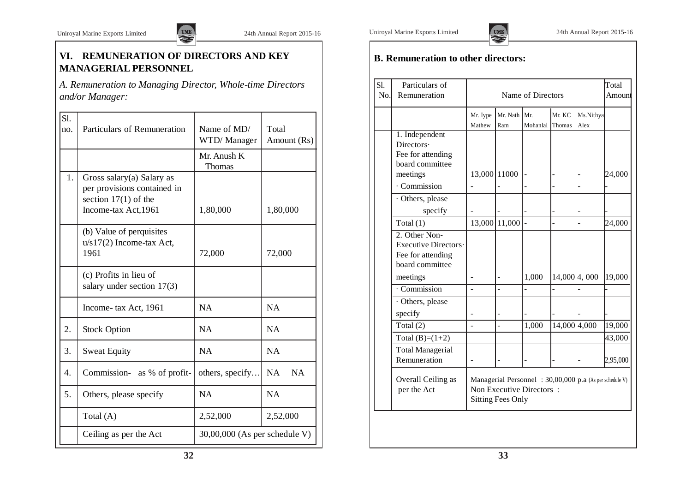## **VI. REMUNERATION OF DIRECTORS AND KEY MANAGERIAL PERSONNEL**

*A. Remuneration to Managing Director, Whole-time Directors and/or Manager:*

| Sl.<br>no. | Particulars of Remuneration                                                                                | Name of MD/<br>WTD/Manager      | Total<br>Amount (Rs) |
|------------|------------------------------------------------------------------------------------------------------------|---------------------------------|----------------------|
|            |                                                                                                            | Mr. Anush K<br>Thomas           |                      |
| 1.         | Gross salary(a) Salary as<br>per provisions contained in<br>section $17(1)$ of the<br>Income-tax Act, 1961 | 1,80,000                        | 1,80,000             |
|            | (b) Value of perquisites<br>$u/s17(2)$ Income-tax Act,<br>1961                                             | 72,000                          | 72,000               |
|            | (c) Profits in lieu of<br>salary under section $17(3)$                                                     |                                 |                      |
|            | Income-tax Act, 1961                                                                                       | <b>NA</b>                       | <b>NA</b>            |
| 2.         | <b>Stock Option</b>                                                                                        | <b>NA</b>                       | <b>NA</b>            |
| 3.         | <b>Sweat Equity</b>                                                                                        | <b>NA</b>                       | <b>NA</b>            |
| 4.         | Commission-<br>as % of profit-                                                                             | others, specify                 | NA<br><b>NA</b>      |
| 5.         | Others, please specify                                                                                     | <b>NA</b>                       | <b>NA</b>            |
|            | Total (A)                                                                                                  | 2,52,000                        | 2,52,000             |
|            | Ceiling as per the Act                                                                                     | $30,00,000$ (As per schedule V) |                      |

## **B. Remuneration to other directors:**

| Sl.<br>N <sub>0</sub> | Particulars of<br>Remuneration                                                |                |                          | Name of Directors                                                                    |              |           | Total<br>Amount |
|-----------------------|-------------------------------------------------------------------------------|----------------|--------------------------|--------------------------------------------------------------------------------------|--------------|-----------|-----------------|
|                       |                                                                               | Mr. Iype       | Mr. Nath                 | IMr.                                                                                 | Mr. KC       | Ms.Nithya |                 |
|                       |                                                                               | Mathew         | Ram                      | Mohanlal                                                                             | Thomas       | Alex      |                 |
|                       | 1. Independent<br>Directors·<br>Fee for attending                             |                |                          |                                                                                      |              |           |                 |
|                       | board committee<br>meetings                                                   | 13,000 11000   |                          |                                                                                      |              |           | 24,000          |
|                       | $\overline{\cdot$ Commission                                                  |                |                          |                                                                                      |              | L.        |                 |
|                       | · Others, please<br>specify                                                   |                |                          |                                                                                      |              |           |                 |
|                       | Total $(1)$                                                                   | 13,000         | 11,000                   |                                                                                      |              |           | 24,000          |
|                       | 2. Other Non-<br>Executive Directors·<br>Fee for attending<br>board committee |                |                          |                                                                                      |              |           |                 |
|                       | meetings                                                                      |                |                          | 1,000                                                                                | 14,000 4,000 |           | 19,000          |
|                       | $\overline{\cdot$ Commission                                                  | $\overline{a}$ |                          |                                                                                      |              |           |                 |
|                       | · Others, please<br>specify                                                   |                |                          |                                                                                      |              |           |                 |
|                       | Total $(2)$                                                                   | $\overline{a}$ | $\overline{a}$           | 1,000                                                                                | 14,000 4,000 |           | 19,000          |
|                       | Total $(B)=(1+2)$                                                             |                |                          |                                                                                      |              |           | 43,000          |
|                       | <b>Total Managerial</b><br>Remuneration                                       |                |                          |                                                                                      |              |           | 2,95,000        |
|                       | Overall Ceiling as<br>per the Act                                             |                | <b>Sitting Fees Only</b> | Managerial Personnel : 30,00,000 p.a (As per schedule V)<br>Non Executive Directors: |              |           |                 |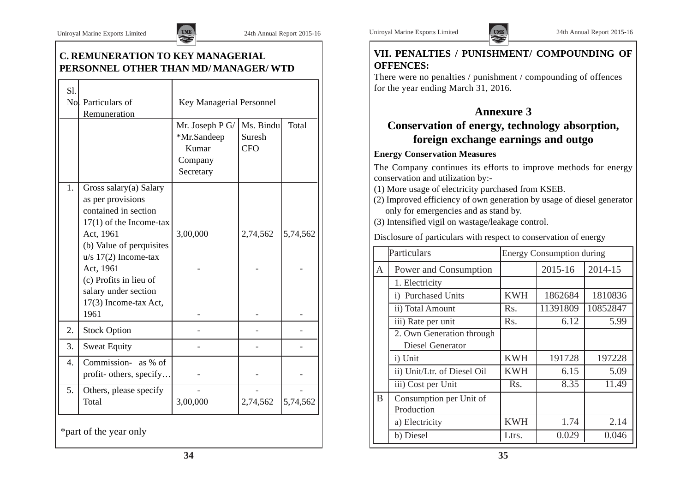## **C. REMUNERATION TO KEY MANAGERIAL PERSONNEL OTHER THAN MD/ MANAGER/ WTD**

| S1. | Nol Particulars of<br>Remuneration                                                                                                                                                                                                                                  | Key Managerial Personnel                                        |                                   |          |
|-----|---------------------------------------------------------------------------------------------------------------------------------------------------------------------------------------------------------------------------------------------------------------------|-----------------------------------------------------------------|-----------------------------------|----------|
|     |                                                                                                                                                                                                                                                                     | Mr. Joseph P G/<br>*Mr.Sandeep<br>Kumar<br>Company<br>Secretary | Ms. Bindu<br>Suresh<br><b>CFO</b> | Total    |
| 1.  | Gross salary(a) Salary<br>as per provisions<br>contained in section<br>$17(1)$ of the Income-tax<br>Act, 1961<br>(b) Value of perquisites<br>$u/s$ 17(2) Income-tax<br>Act, 1961<br>(c) Profits in lieu of<br>salary under section<br>17(3) Income-tax Act,<br>1961 | 3,00,000                                                        | 2,74,562                          | 5,74,562 |
| 2.  | <b>Stock Option</b>                                                                                                                                                                                                                                                 |                                                                 |                                   |          |
| 3.  | <b>Sweat Equity</b>                                                                                                                                                                                                                                                 |                                                                 |                                   |          |
| 4.  | Commission-<br>as $%$ of<br>profit- others, specify                                                                                                                                                                                                                 |                                                                 |                                   |          |
| 5.  | Others, please specify<br>Total                                                                                                                                                                                                                                     | 3,00,000                                                        | 2,74,562                          | 5,74,562 |
|     | *part of the year only                                                                                                                                                                                                                                              |                                                                 |                                   |          |

## **VII. PENALTIES / PUNISHMENT/ COMPOUNDING OF OFFENCES:**

There were no penalties / punishment / compounding of offences for the year ending March 31, 2016.

# **Annexure 3**

# **Conservation of energy, technology absorption, foreign exchange earnings and outgo**

## **Energy Conservation Measures**

The Company continues its efforts to improve methods for energy conservation and utilization by:-

(1) More usage of electricity purchased from KSEB.

 (2) Improved efficiency of own generation by usage of diesel generator only for emergencies and as stand by.

(3) Intensified vigil on wastage/leakage control.

Disclosure of particulars with respect to conservation of energy

|   | Particulars                 |            | <b>Energy Consumption during</b> |          |  |  |
|---|-----------------------------|------------|----------------------------------|----------|--|--|
| A | Power and Consumption       |            | 2015-16                          | 2014-15  |  |  |
|   | 1. Electricity              |            |                                  |          |  |  |
|   | i) Purchased Units          | <b>KWH</b> | 1862684                          | 1810836  |  |  |
|   | ii) Total Amount            | Rs.        | 11391809                         | 10852847 |  |  |
|   | iii) Rate per unit          | Rs.        | 6.12                             | 5.99     |  |  |
|   | 2. Own Generation through   |            |                                  |          |  |  |
|   | <b>Diesel Generator</b>     |            |                                  |          |  |  |
|   | i) Unit                     | <b>KWH</b> | 191728                           | 197228   |  |  |
|   | ii) Unit/Ltr. of Diesel Oil | <b>KWH</b> | 6.15                             | 5.09     |  |  |
|   | iii) Cost per Unit          | Rs.        | 8.35                             | 11.49    |  |  |
| B | Consumption per Unit of     |            |                                  |          |  |  |
|   | Production                  |            |                                  |          |  |  |
|   | a) Electricity              | <b>KWH</b> | 1.74                             | 2.14     |  |  |
|   | b) Diesel                   | Ltrs.      | 0.029                            | 0.046    |  |  |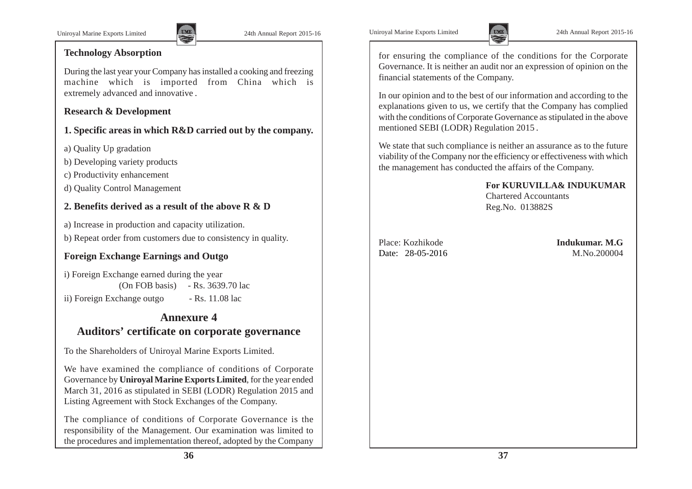## **Technology Absorption**

During the last year your Company has installed a cooking and freezing machine which is imported from China which is extremely advanced and innovative.

## **Research & Development**

## **1. Specific areas in which R&D carried out by the company.**

- a) Quality Up gradation
- b) Developing variety products
- c) Productivity enhancement
- d) Quality Control Management

## **2. Benefits derived as a result of the above R & D**

- a) Increase in production and capacity utilization.
- b) Repeat order from customers due to consistency in quality.

## **Foreign Exchange Earnings and Outgo**

i) Foreign Exchange earned during the year (On FOB basis) - Rs. 3639.70 lac

ii) Foreign Exchange outgo - Rs. 11.08 lac

## **Annexure 4 Auditors' certificate on corporate governance**

To the Shareholders of Uniroyal Marine Exports Limited.

We have examined the compliance of conditions of Corporate Governance by **Uniroyal Marine Exports Limited**, for the year ended March 31, 2016 as stipulated in SEBI (LODR) Regulation 2015 and Listing Agreement with Stock Exchanges of the Company.

The compliance of conditions of Corporate Governance is the responsibility of the Management. Our examination was limited to the procedures and implementation thereof, adopted by the Company



for ensuring the compliance of the conditions for the Corporate Governance. It is neither an audit nor an expression of opinion on the financial statements of the Company.

In our opinion and to the best of our information and according to the explanations given to us, we certify that the Company has complied with the conditions of Corporate Governance as stipulated in the above mentioned SEBI (LODR) Regulation 2015.

We state that such compliance is neither an assurance as to the future viability of the Company nor the efficiency or effectiveness with which the management has conducted the affairs of the Company.

#### **For KURUVILLA& INDUKUMAR** Chartered Accountants Reg.No. 013882S

Place: Kozhikode **Indukumar. M.G** Date: 28-05-2016 M.No.200004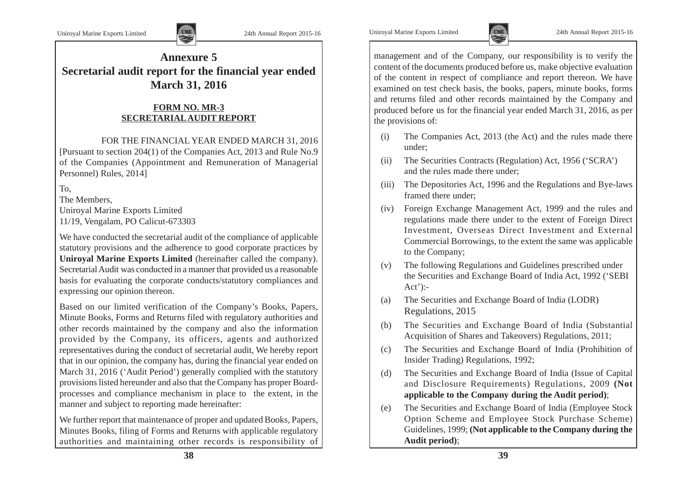# **Annexure 5 Secretarial audit report for the financial year ended March 31, 2016**

## **FORM NO. MR-3 SECRETARIALAUDIT REPOR T**

 FOR THE FINANCIAL YEAR ENDED MARCH 31, 2016 [Pursuant to section 204(1) of the Companies Act, 2013 and Rule No.9 of the Companies (Appointment and Remuneration of Managerial Personnel) Rules, 2014]

To, The Members, Uniroyal Marine Exports Limited 11/19, Vengalam, PO Calicut-673303

We have conducted the secretarial audit of the compliance of applicable statutory provisions and the adherence to good corporate practices by **Uniroyal Marine Exports Limited** (hereinafter called the company). Secretarial Audit was conducted in a manner that provided us a reasonable basis for evaluating the corporate conducts/statutory compliances and expressing our opinion thereon.

Based on our limited verification of the Company's Books, Papers, Minute Books, Forms and Returns filed with regulatory authorities and other records maintained by the company and also the information provided by the Company, its officers, agents and authorized representatives during the conduct of secretarial audit, We hereby report that in our opinion, the company has, during the financial year ended on March 31, 2016 ('Audit Period') generally complied with the statutory provisions listed hereunder and also that the Company has proper Boardprocesses and compliance mechanism in place to the extent, in the manner and subject to reporting made hereinafter:

We further report that maintenance of proper and updated Books, Papers, Minutes Books, filing of Forms and Returns with applicable regulatory authorities and maintaining other records is responsibility of management and of the Company, our responsibility is to verify the content of the documents produced before us, make objective evaluation of the content in respect of compliance and report thereon. We have examined on test check basis, the books, papers, minute books, forms and returns filed and other records maintained by the Company and produced before us for the financial year ended March 31, 2016, as per the provisions of:

- (i) The Companies Act, 2013 (the Act) and the rules made there under;
- (ii) The Securities Contracts (Regulation) Act, 1956 ('SCRA') and the rules made there under;
- (iii) The Depositories Act, 1996 and the Regulations and Bye-laws framed there under;
- (iv) Foreign Exchange Management Act, 1999 and the rules and regulations made there under to the extent of Foreign Direct Investment, Overseas Direct Investment and External Commercial Borrowings, to the extent the same was applicable to the Company;
- (v) The following Regulations and Guidelines prescribed under the Securities and Exchange Board of India Act, 1992 ('SEBI Act'):-
- (a) The Securities and Exchange Board of India (LODR) Regulations, 2015
- (b) The Securities and Exchange Board of India (Substantial Acquisition of Shares and Takeovers) Regulations, 2011;
- (c) The Securities and Exchange Board of India (Prohibition of Insider Trading) Regulations, 1992;
- (d) The Securities and Exchange Board of India (Issue of Capital and Disclosure Requirements) Regulations, 2009 **(Not applicable to the Company during the Audit period)**;
- (e) The Securities and Exchange Board of India (Employee Stock Option Scheme and Employee Stock Purchase Scheme) Guidelines, 1999; **(Not applicable to the Company during the Audit period)**;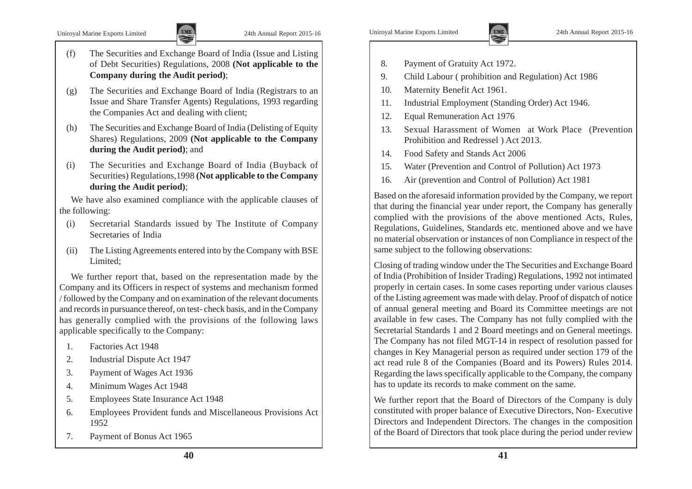- (f) The Securities and Exchange Board of India (Issue and Listing of Debt Securities) Regulations, 2008 **(Not applicable to the Company during the Audit period)**;
- (g) The Securities and Exchange Board of India (Registrars to an Issue and Share Transfer Agents) Regulations, 1993 regarding the Companies Act and dealing with client;
- (h) The Securities and Exchange Board of India (Delisting of Equity Shares) Regulations, 2009 **(Not applicable to the Company during the Audit period)**; and
- (i) The Securities and Exchange Board of India (Buyback of Securities) Regulations,1998 **(Not applicable to the Company during the Audit period)**;

We have also examined compliance with the applicable clauses of the following:

- (i) Secretarial Standards issued by The Institute of Company Secretaries of India
- (ii) The Listing Agreements entered into by the Company with BSE Limited;

We further report that, based on the representation made by the Company and its Officers in respect of systems and mechanism formed / followed by the Company and on examination of the relevant documents and records in pursuance thereof, on test- check basis, and in the Company has generally complied with the provisions of the following laws applicable specifically to the Company:

- 1. Factories Act 1948
- 2. Industrial Dispute Act 1947
- 3. Payment of Wages Act 1936
- 4. Minimum Wages Act 1948
- 5. Employees State Insurance Act 1948
- 6. Employees Provident funds and Miscellaneous Provisions Act 1952
- 7. Payment of Bonus Act 1965
- 
- 8. Payment of Gratuity Act 1972.
- 9. Child Labour ( prohibition and Regulation) Act 1986
- 10. Maternity Benefit Act 1961.
- 11. Industrial Employment (Standing Order) Act 1946.
- 12. Equal Remuneration Act 1976
- 13. Sexual Harassment of Women at Work Place (Prevention Prohibition and Redressel ) Act 2013.
- 14. Food Safety and Stands Act 2006
- 15. Water (Prevention and Control of Pollution) Act 1973
- 16. Air (prevention and Control of Pollution) Act 1981

Based on the aforesaid information provided by the Company, we report that during the financial year under report, the Company has generally complied with the provisions of the above mentioned Acts, Rules, Regulations, Guidelines, Standards etc. mentioned above and we have no material observation or instances of non Compliance in respect of the same subject to the following observations:

Closing of trading window under the The Securities and Exchange Board of India (Prohibition of Insider Trading) Regulations, 1992 not intimated properly in certain cases. In some cases reporting under various clauses of the Listing agreement was made with delay. Proof of dispatch of notice of annual general meeting and Board its Committee meetings are not available in few cases. The Company has not fully complied with the Secretarial Standards 1 and 2 Board meetings and on General meetings. The Company has not filed MGT-14 in respect of resolution passed for changes in Key Managerial person as required under section 179 of the act read rule 8 of the Companies (Board and its Powers) Rules 2014. Regarding the laws specifically applicable to the Company, the company has to update its records to make comment on the same.

We further report that the Board of Directors of the Company is duly constituted with proper balance of Executive Directors, Non- Executive Directors and Independent Directors. The changes in the composition of the Board of Directors that took place during the period under review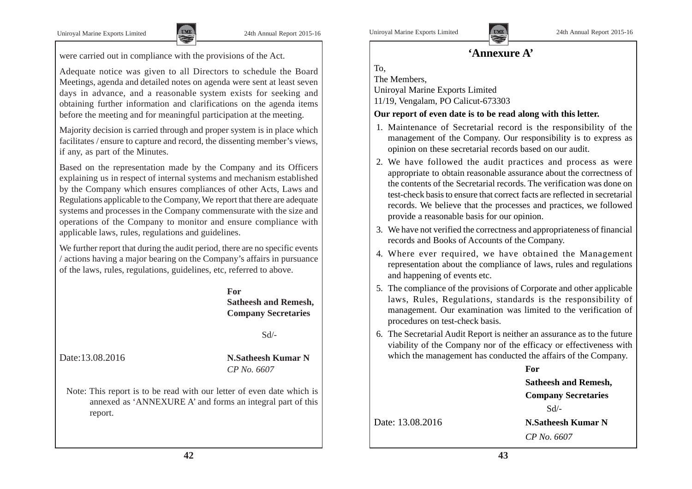were carried out in compliance with the provisions of the Act.

Adequate notice was given to all Directors to schedule the Board Meetings, agenda and detailed notes on agenda were sent at least seven days in advance, and a reasonable system exists for seeking and obtaining further information and clarifications on the agenda items before the meeting and for meaningful participation at the meeting.

Majority decision is carried through and proper system is in place which facilitates / ensure to capture and record, the dissenting member's views, if any, as part of the Minutes.

Based on the representation made by the Company and its Officers explaining us in respect of internal systems and mechanism established by the Company which ensures compliances of other Acts, Laws and Regulations applicable to the Company, We report that there are adequate systems and processes in the Company commensurate with the size and operations of the Company to monitor and ensure compliance with applicable laws, rules, regulations and guidelines.

We further report that during the audit period, there are no specific events / actions having a major bearing on the Company's affairs in pursuance of the laws, rules, regulations, guidelines, etc, referred to above.

### **For Satheesh and Remesh, Company Secretaries**

Sd/-

Date:13.08.2016 **N.Satheesh Kumar N** *CP No. 6607*

Note: This report is to be read with our letter of even date which is annexed as 'ANNEXURE A' and forms an integral part of this report.

**'Annexure A'**

## To,

The Members,

Uniroyal Marine Exports Limited 11/19, Vengalam, PO Calicut-673303

#### **Our report of even date is to be read along with this letter.**

- 1. Maintenance of Secretarial record is the responsibility of the management of the Company. Our responsibility is to express as opinion on these secretarial records based on our audit.
- 2. We have followed the audit practices and process as were appropriate to obtain reasonable assurance about the correctness of the contents of the Secretarial records. The verification was done on test-check basis to ensure that correct facts are reflected in secretarial records. We believe that the processes and practices, we followed provide a reasonable basis for our opinion.
- 3. We have not verified the correctness and appropriateness of financial records and Books of Accounts of the Company.
- 4. Where ever required, we have obtained the Management representation about the compliance of laws, rules and regulations and happening of events etc.
- 5. The compliance of the provisions of Corporate and other applicable laws, Rules, Regulations, standards is the responsibility of management. Our examination was limited to the verification of procedures on test-check basis.
- 6. The Secretarial Audit Report is neither an assurance as to the future viability of the Company nor of the efficacy or effectiveness with which the management has conducted the affairs of the Company.

**For**

**Satheesh and Remesh,**

**Company Secretaries** Sd/-

Date: 13.08.2016 **N.Satheesh Kumar N**

*CP No. 6607*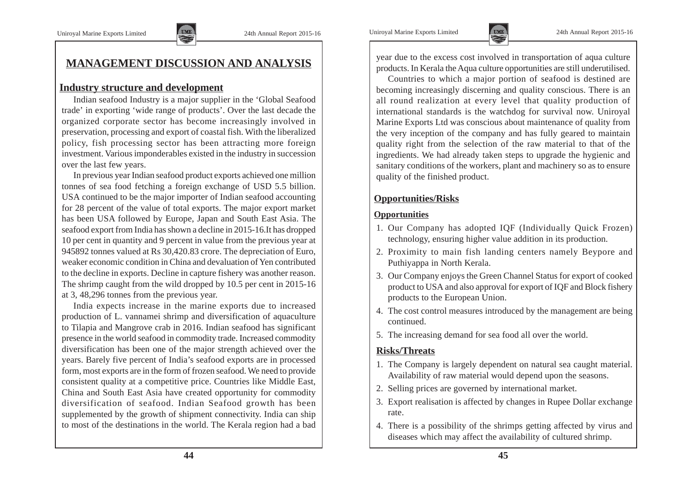## **MANAGEMENT DISCUSSION AND ANALYSIS**

#### **Industry structure and development**

Indian seafood Industry is a major supplier in the 'Global Seafood trade' in exporting 'wide range of products'. Over the last decade the organized corporate sector has become increasingly involved in preservation, processing and export of coastal fish. With the liberalized policy, fish processing sector has been attracting more foreign investment. Various imponderables existed in the industry in succession over the last few years.

In previous year Indian seafood product exports achieved one million tonnes of sea food fetching a foreign exchange of USD 5.5 billion. USA continued to be the major importer of Indian seafood accounting for 28 percent of the value of total exports. The major export market has been USA followed by Europe, Japan and South East Asia. The seafood export from India has shown a decline in 2015-16.It has dropped 10 per cent in quantity and 9 percent in value from the previous year at 945892 tonnes valued at Rs 30,420.83 crore. The depreciation of Euro, weaker economic condition in China and devaluation of Yen contributed to the decline in exports. Decline in capture fishery was another reason. The shrimp caught from the wild dropped by 10.5 per cent in 2015-16 at 3, 48,296 tonnes from the previous year.

India expects increase in the marine exports due to increased production of L. vannamei shrimp and diversification of aquaculture to Tilapia and Mangrove crab in 2016. Indian seafood has significant presence in the world seafood in commodity trade. Increased commodity diversification has been one of the major strength achieved over the years. Barely five percent of India's seafood exports are in processed form, most exports are in the form of frozen seafood. We need to provide consistent quality at a competitive price. Countries like Middle East, China and South East Asia have created opportunity for commodity diversification of seafood. Indian Seafood growth has been supplemented by the growth of shipment connectivity. India can ship to most of the destinations in the world. The Kerala region had a bad

year due to the excess cost involved in transportation of aqua culture products. In Kerala the Aqua culture opportunities are still underutilised.

Countries to which a major portion of seafood is destined are becoming increasingly discerning and quality conscious. There is an all round realization at every level that quality production of international standards is the watchdog for survival now. Uniroyal Marine Exports Ltd was conscious about maintenance of quality from the very inception of the company and has fully geared to maintain quality right from the selection of the raw material to that of the ingredients. We had already taken steps to upgrade the hygienic and sanitary conditions of the workers, plant and machinery so as to ensure quality of the finished product.

## **Opportunities/Risks**

#### **Opportunities**

- 1. Our Company has adopted IQF (Individually Quick Frozen) technology, ensuring higher value addition in its production.
- 2. Proximity to main fish landing centers namely Beypore and Puthiyappa in North Kerala.
- 3. Our Company enjoys the Green Channel Status for export of cooked product to USA and also approval for export of IQF and Block fishery products to the European Union.
- 4. The cost control measures introduced by the management are being continued.
- 5. The increasing demand for sea food all over the world.

#### **Risks/Threats**

- 1. The Company is largely dependent on natural sea caught material. Availability of raw material would depend upon the seasons.
- 2. Selling prices are governed by international market.
- 3. Export realisation is affected by changes in Rupee Dollar exchange rate.
- 4. There is a possibility of the shrimps getting affected by virus and diseases which may affect the availability of cultured shrimp.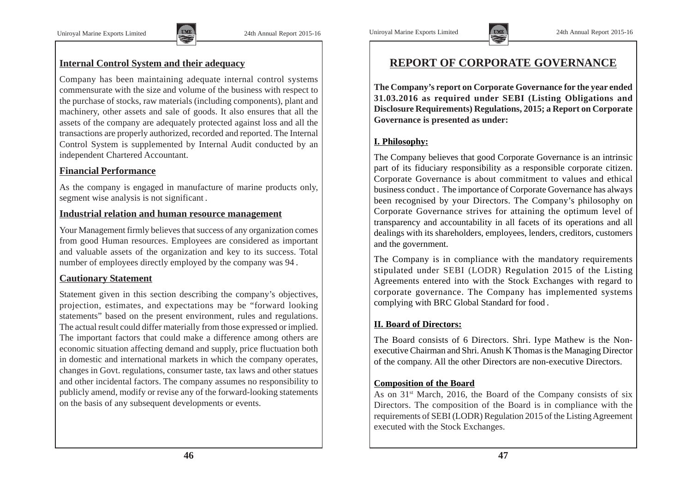## **Internal Control System and their adequacy**

Company has been maintaining adequate internal control systems commensurate with the size and volume of the business with respect to the purchase of stocks, raw materials (including components), plant and machinery, other assets and sale of goods. It also ensures that all the assets of the company are adequately protected against loss and all the transactions are properly authorized, recorded and reported. The Internal Control System is supplemented by Internal Audit conducted by an independent Chartered Accountant.

## **Financial Performance**

As the company is engaged in manufacture of marine products only, segment wise analysis is not significant.

## **Industrial relation and human resource management**

Your Management firmly believes that success of any organization comes from good Human resources. Employees are considered as important and valuable assets of the organization and key to its success. Total number of employees directly employed by the company was 94.

## **Cautionary Statement**

Statement given in this section describing the company's objectives, projection, estimates, and expectations may be "forward looking statements" based on the present environment, rules and regulations. The actual result could differ materially from those expressed or implied. The important factors that could make a difference among others are economic situation affecting demand and supply, price fluctuation both in domestic and international markets in which the company operates, changes in Govt. regulations, consumer taste, tax laws and other statues and other incidental factors. The company assumes no responsibility to publicly amend, modify or revise any of the forward-looking statements on the basis of any subsequent developments or events.

**The Company's report on Corporate Governance for the year ended 31.03.2016 as required under SEBI (Listing Obligations and Disclosure Requirements) Regulations, 2015; a Report on Corporate Governance is presented as under:**

## **I. Philosophy:**

The Company believes that good Corporate Governance is an intrinsic part of its fiduciary responsibility as a responsible corporate citizen. Corporate Governance is about commitment to values and ethical business conduct. The importance of Corporate Governance has always been recognised by your Directors. The Company's philosophy on Corporate Governance strives for attaining the optimum level of transparency and accountability in all facets of its operations and all dealings with its shareholders, employees, lenders, creditors, customers and the government.

The Company is in compliance with the mandatory requirements stipulated under SEBI (LODR) Regulation 2015 of the Listing Agreements entered into with the Stock Exchanges with regard to corporate governance. The Company has implemented systems complying with BRC Global Standard for food.

## **II. Board of Directors:**

The Board consists of 6 Directors. Shri. Iype Mathew is the Nonexecutive Chairman and Shri. Anush K Thomas is the Managing Director of the company. All the other Directors are non-executive Directors.

## **Composition of the Board**

As on 31<sup>st</sup> March, 2016, the Board of the Company consists of six Directors. The composition of the Board is in compliance with the requirements of SEBI (LODR) Regulation 2015 of the Listing Agreement executed with the Stock Exchanges.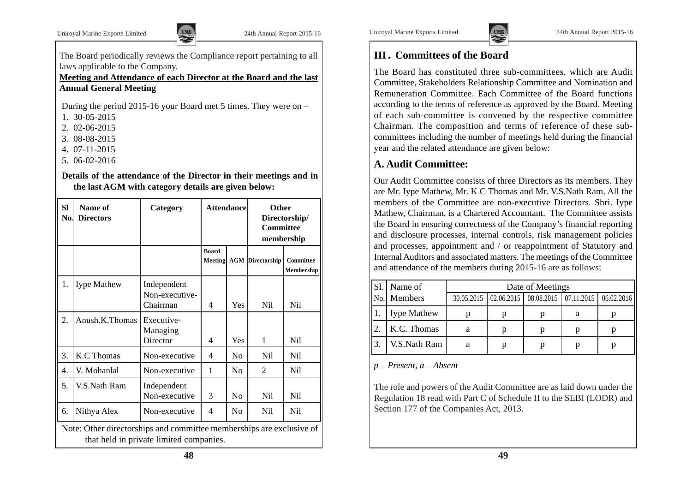The Board periodically reviews the Compliance report pertaining to all laws applicable to the Company.

### **Meeting and Attendance of each Director at the Board and the last Annual General Meeting**

During the period 2015-16 your Board met 5 times. They were on –

- 1. 30-05-2015
- 2. 02-06-2015
- 3. 08-08-2015
- 4. 07-11-2015
- 5. 06-02-2016

### **Details of the attendance of the Director in their meetings and in the last AGM with category details are given below:**

| SI<br>No. | Name of<br><b>Directors</b>                                                                                     | Category                                  | <b>Attendance</b> |                | <b>Other</b><br>Directorship/<br><b>Committee</b><br>membership |                         |
|-----------|-----------------------------------------------------------------------------------------------------------------|-------------------------------------------|-------------------|----------------|-----------------------------------------------------------------|-------------------------|
|           |                                                                                                                 |                                           | <b>Board</b>      |                | Meeting AGM Directorship                                        | Committee<br>Membership |
| 1.        | <b>Iype Mathew</b>                                                                                              | Independent<br>Non-executive-<br>Chairman | 4                 | Yes            | Nil                                                             | Nil                     |
| 2.        | Anush.K.Thomas                                                                                                  | Executive-<br>Managing<br>Director        | 4                 | Yes            | 1                                                               | Nil                     |
| 3.        | <b>K.C</b> Thomas                                                                                               | Non-executive                             | 4                 | N <sub>0</sub> | Nil                                                             | Nil                     |
| 4.        | V. Mohanlal                                                                                                     | Non-executive                             | 1                 | No             | 2                                                               | Nil                     |
| 5.        | V.S.Nath Ram                                                                                                    | Independent<br>Non-executive              | 3                 | No             | Nil                                                             | Nil.                    |
| 6.        | Nithya Alex                                                                                                     | Non-executive                             | 4                 | No             | Nil                                                             | Nil                     |
|           | Note: Other directorships and committee memberships are exclusive of<br>that held in private limited companies. |                                           |                   |                |                                                                 |                         |

# **III. Committees of the Board**

The Board has constituted three sub-committees, which are Audit Committee, Stakeholders Relationship Committee and Nomination and Remuneration Committee. Each Committee of the Board functions according to the terms of reference as approved by the Board. Meeting of each sub-committee is convened by the respective committee Chairman. The composition and terms of reference of these subcommittees including the number of meetings held during the financial year and the related attendance are given below:

## **A. Audit Committee:**

Our Audit Committee consists of three Directors as its members. They are Mr. Iype Mathew, Mr. K C Thomas and Mr. V.S.Nath Ram. All the members of the Committee are non-executive Directors. Shri. Iype Mathew, Chairman, is a Chartered Accountant. The Committee assists the Board in ensuring correctness of the Company's financial reporting and disclosure processes, internal controls, risk management policies and processes, appointment and / or reappointment of Statutory and Internal Auditors and associated matters. The meetings of the Committee and attendance of the members during 2015-16 are as follows:

| Sl. Name of                 | Date of Meetings |  |                                                                |   |  |
|-----------------------------|------------------|--|----------------------------------------------------------------|---|--|
| $\vert$ No. $\vert$ Members |                  |  | 30.05.2015   02.06.2015   08.08.2015   07.11.2015   06.02.2016 |   |  |
| Iype Mathew                 |                  |  |                                                                | а |  |
| K.C. Thomas                 |                  |  |                                                                |   |  |
| V.S.Nath Ram                |                  |  |                                                                |   |  |

*p – Present, a – Absent*

The role and powers of the Audit Committee are as laid down under the Regulation 18 read with Part C of Schedule II to the SEBI (LODR) and Section 177 of the Companies Act, 2013.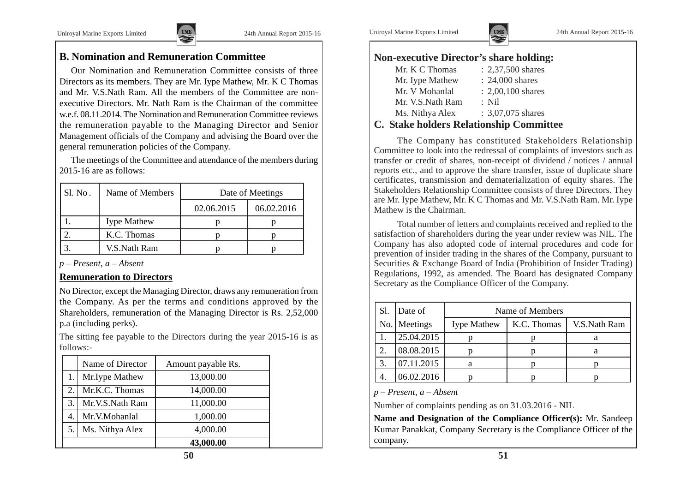## **B. Nomination and Remuneration Committee**

Our Nomination and Remuneration Committee consists of three Directors as its members. They are Mr. Iype Mathew, Mr. K C Thomas and Mr. V.S.Nath Ram. All the members of the Committee are nonexecutive Directors. Mr. Nath Ram is the Chairman of the committee w.e.f. 08.11.2014. The Nomination and Remuneration Committee reviews the remuneration payable to the Managing Director and Senior Management officials of the Company and advising the Board over the general remuneration policies of the Company.

The meetings of the Committee and attendance of the members during 2015-16 are as follows:

| Sl. No. | Name of Members    | Date of Meetings         |  |  |
|---------|--------------------|--------------------------|--|--|
|         |                    | 06.02.2016<br>02.06.2015 |  |  |
|         | <b>Iype Mathew</b> |                          |  |  |
|         | K.C. Thomas        |                          |  |  |
|         | V.S.Nath Ram       |                          |  |  |

*p – Present, a – Absent*

#### **Remuneration to Directors**

No Director, except the Managing Director, draws any remuneration from the Company. As per the terms and conditions approved by the Shareholders, remuneration of the Managing Director is Rs. 2,52,000 p.a (including perks).

The sitting fee payable to the Directors during the year 2015-16 is as follows:-

|    | Name of Director | Amount payable Rs. |
|----|------------------|--------------------|
|    | Mr. Iype Mathew  | 13,000.00          |
| 2. | Mr.K.C. Thomas   | 14,000.00          |
| 3. | Mr.V.S.Nath Ram  | 11,000.00          |
| 4. | Mr.V.Mohanlal    | 1,000.00           |
| 5. | Ms. Nithya Alex  | 4,000.00           |
|    |                  | 43,000.00          |

## **Non-executive Director's share holding:**

| Mr. K C Thomas   | : $2,37,500$ shares |
|------------------|---------------------|
| Mr. Iype Mathew  | $: 24,000$ shares   |
| Mr. V Mohanlal   | $: 2,00,100$ shares |
| Mr. V.S.Nath Ram | $:$ Nil             |
| Ms. Nithya Alex  | : $3,07,075$ shares |
|                  |                     |

## **C. Stake holders Relationship Committee**

The Company has constituted Stakeholders Relationship Committee to look into the redressal of complaints of investors such as transfer or credit of shares, non-receipt of dividend / notices / annual reports etc., and to approve the share transfer, issue of duplicate share certificates, transmission and dematerialization of equity shares. The Stakeholders Relationship Committee consists of three Directors. They are Mr. Iype Mathew, Mr. K C Thomas and Mr. V.S.Nath Ram. Mr. Iype Mathew is the Chairman.

Total number of letters and complaints received and replied to the satisfaction of shareholders during the year under review was NIL. The Company has also adopted code of internal procedures and code for prevention of insider trading in the shares of the Company, pursuant to Securities & Exchange Board of India (Prohibition of Insider Trading) Regulations, 1992, as amended. The Board has designated Company Secretary as the Compliance Officer of the Company.

| S1.            | Date of        | Name of Members    |             |              |  |
|----------------|----------------|--------------------|-------------|--------------|--|
|                | No.   Meetings | <b>Iype Mathew</b> | K.C. Thomas | V.S.Nath Ram |  |
|                | 25.04.2015     |                    |             |              |  |
| $\overline{2}$ | 08.08.2015     |                    |             | a            |  |
| $\mathbf{z}$   | 07.11.2015     |                    |             |              |  |
|                | 06.02.2016     |                    |             |              |  |

*p – Present, a – Absent*

Number of complaints pending as on 31.03.2016 - NIL

**Name and Designation of the Compliance Officer(s):** Mr. Sandeep Kumar Panakkat, Company Secretary is the Compliance Officer of the company.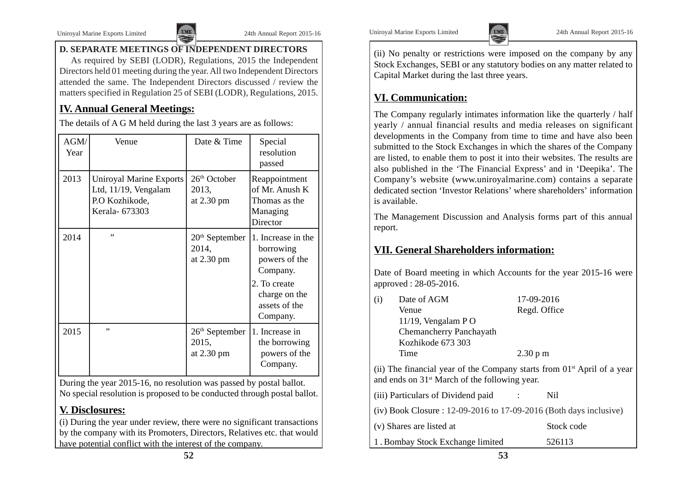## **D. SEPARATE MEETINGS OF INDEPENDENT DIRECTORS**

As required by SEBI (LODR), Regulations, 2015 the Independent Directors held 01 meeting during the year. All two Independent Directors attended the same. The Independent Directors discussed / review the matters specified in Regulation 25 of SEBI (LODR), Regulations, 2015.

## **IV. Annual General Meetings:**

The details of A G M held during the last 3 years are as follows:

| AGM/<br>Year | Venue                                                                               | Date & Time                                               | Special<br>resolution<br>passed                                                                                            |
|--------------|-------------------------------------------------------------------------------------|-----------------------------------------------------------|----------------------------------------------------------------------------------------------------------------------------|
| 2013         | Uniroyal Marine Exports<br>Ltd, 11/19, Vengalam<br>P.O Kozhikode,<br>Kerala- 673303 | 26 <sup>th</sup> October<br>2013,<br>at $2.30 \text{ pm}$ | Reappointment<br>of Mr. Anush K<br>Thomas as the<br>Managing<br>Director                                                   |
| 2014         | ,,                                                                                  | $20th$ September<br>2014,<br>at 2.30 pm                   | 1. Increase in the<br>borrowing<br>powers of the<br>Company.<br>2. To create<br>charge on the<br>assets of the<br>Company. |
| 2015         | ,,                                                                                  | $26th$ September<br>2015,<br>at 2.30 pm                   | 1. Increase in<br>the borrowing<br>powers of the<br>Company.                                                               |

During the year 2015-16, no resolution was passed by postal ballot. No special resolution is proposed to be conducted through postal ballot.

# **V. Disclosures:**

(i) During the year under review, there were no significant transactions by the company with its Promoters, Directors, Relatives etc. that would have potential conflict with the interest of the company.

(ii) No penalty or restrictions were imposed on the company by any Stock Exchanges, SEBI or any statutory bodies on any matter related to Capital Market during the last three years.

# **VI. Communication:**

The Company regularly intimates information like the quarterly / half yearly / annual financial results and media releases on significant developments in the Company from time to time and have also been submitted to the Stock Exchanges in which the shares of the Company are listed, to enable them to post it into their websites. The results are also published in the 'The Financial Express' and in 'Deepika'. The Company's website (www.uniroyalmarine.com) contains a separate dedicated section 'Investor Relations' where shareholders' information is available.

The Management Discussion and Analysis forms part of this annual report.

## **VII. General Shareholders information:**

Date of Board meeting in which Accounts for the year 2015-16 were approved : 28-05-2016.

| (i) | Date of AGM                                                                                                                            | 17-09-2016   |     |
|-----|----------------------------------------------------------------------------------------------------------------------------------------|--------------|-----|
|     | Venue                                                                                                                                  | Regd. Office |     |
|     | $11/19$ , Vengalam PO                                                                                                                  |              |     |
|     | Chemancherry Panchayath                                                                                                                |              |     |
|     | Kozhikode 673 303                                                                                                                      |              |     |
|     | Time                                                                                                                                   | 2.30 p m     |     |
|     | (ii) The financial year of the Company starts from $01st$ April of a year<br>and ends on 31 <sup>st</sup> March of the following year. |              |     |
|     | (iii) Particulars of Dividend paid                                                                                                     |              | Nil |
|     | (iv) Book Closure: $12-09-2016$ to $17-09-2016$ (Both days inclusive)                                                                  |              |     |
|     |                                                                                                                                        |              |     |

| (v) Shares are listed at         | Stock code |
|----------------------------------|------------|
| 1. Bombay Stock Exchange limited | 526113     |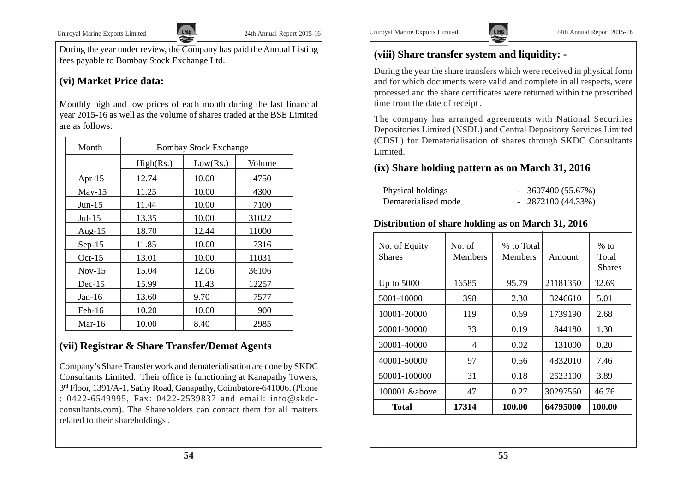During the year under review, the  $\overline{\text{Company}}$  has paid the Annual Listing fees payable to Bombay Stock Exchange Ltd.

## **(vi) Market Price data:**

Monthly high and low prices of each month during the last financial year 2015-16 as well as the volume of shares traded at the BSE Limited are as follows:

| Month         | <b>Bombay Stock Exchange</b> |          |        |  |
|---------------|------------------------------|----------|--------|--|
|               | High(Rs.)                    | Low(Rs.) | Volume |  |
| Apr- $15$     | 12.74                        | 10.00    | 4750   |  |
| $May-15$      | 11.25                        | 10.00    | 4300   |  |
| $Jun-15$      | 11.44                        | 10.00    | 7100   |  |
| $Jul-15$      | 13.35                        | 10.00    | 31022  |  |
| <u>Aug-15</u> | 18.70                        | 12.44    | 11000  |  |
| $Sep-15$      | 11.85                        | 10.00    | 7316   |  |
| $Oct-15$      | 13.01                        | 10.00    | 11031  |  |
| $Nov-15$      | 15.04                        | 12.06    | 36106  |  |
| $Dec-15$      | 15.99                        | 11.43    | 12257  |  |
| Jan-16        | 13.60                        | 9.70     | 7577   |  |
| Feb-16        | 10.20                        | 10.00    | 900    |  |
| Mar- $16$     | 10.00                        | 8.40     | 2985   |  |

## **(vii) Registrar & Share Transfer/Demat Agents**

Company's Share Transfer work and dematerialisation are done by SKDC Consultants Limited. Their office is functioning at Kanapathy Towers, 3rd Floor, 1391/A-1, Sathy Road, Ganapathy, Coimbatore-641006. (Phone : 0422-6549995, Fax: 0422-2539837 and email: info@skdcconsultants.com). The Shareholders can contact them for all matters related to their shareholdings.

## **(viii) Share transfer system and liquidity: -**

During the year the share transfers which were received in physical form and for which documents were valid and complete in all respects, were processed and the share certificates were returned within the prescribed time from the date of receipt.

The company has arranged agreements with National Securities Depositories Limited (NSDL) and Central Depository Services Limited (CDSL) for Dematerialisation of shares through SKDC Consultants Limited.

## **(ix) Share holding pattern as on March 31, 2016**

| Physical holdings   | $-3607400(55.67%)$ |  |
|---------------------|--------------------|--|
| Dematerialised mode | $-2872100(44.33%)$ |  |

## **Distribution of share holding as on March 31, 2016**

| No. of Equity<br><b>Shares</b> | No. of<br><b>Members</b> | % to Total<br><b>Members</b> | Amount   | $%$ to<br>Total<br><b>Shares</b> |
|--------------------------------|--------------------------|------------------------------|----------|----------------------------------|
| Up to $5000$                   | 16585                    | 95.79                        | 21181350 | 32.69                            |
| 5001-10000                     | 398                      | 2.30                         | 3246610  | 5.01                             |
| 10001-20000                    | 119                      | 0.69                         | 1739190  | 2.68                             |
| 20001-30000                    | 33                       | 0.19                         | 844180   | 1.30                             |
| 30001-40000                    | $\overline{4}$           | 0.02                         | 131000   | 0.20                             |
| 40001-50000                    | 97                       | 0.56                         | 4832010  | 7.46                             |
| 50001-100000                   | 31                       | 0.18                         | 2523100  | 3.89                             |
| 100001 & above                 | 47                       | 0.27                         | 30297560 | 46.76                            |
| Total                          | 17314                    | <b>100.00</b>                | 64795000 | 100.00                           |
|                                |                          |                              |          |                                  |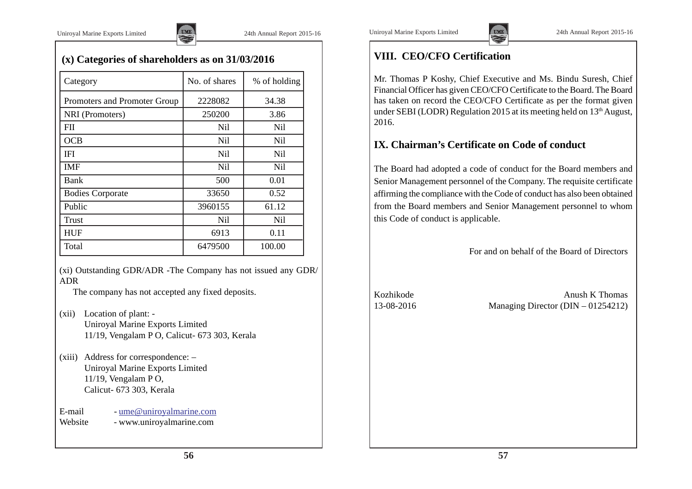# **(x) Categories of shareholders as on 31/03/2016**

| Category                     | No. of shares | % of holding |
|------------------------------|---------------|--------------|
| Promoters and Promoter Group | 2228082       | 34.38        |
| NRI (Promoters)              | 250200        | 3.86         |
| FII                          | Nil           | Nil          |
| <b>OCB</b>                   | Nil           | Nil          |
| IFI                          | Nil           | Nil          |
| <b>IMF</b>                   | Nil           | Nil          |
| Bank                         | 500           | 0.01         |
| <b>Bodies Corporate</b>      | 33650         | 0.52         |
| Public                       | 3960155       | 61.12        |
| <b>Trust</b>                 | Nil           | Nil          |
| <b>HUF</b>                   | 6913          | 0.11         |
| Total                        | 6479500       | 100.00       |

(xi) Outstanding GDR/ADR -The Company has not issued any GDR/ ADR

The company has not accepted any fixed deposits.

- (xii) Location of plant: Uniroyal Marine Exports Limited 11/19, Vengalam P O, Calicut- 673 303, Kerala
- (xiii) Address for correspondence: Uniroyal Marine Exports Limited 11/19, Vengalam P O, Calicut- 673 303, Kerala
- E-mail ume@uniroyalmarine.com Website - www.uniroyalmarine.com

Uniroyal Marine Exports Limited **LUME** 24th Annual Report 2015-16 Uniroyal Marine Exports Limited 24th Annual Report 2015-16

## **VIII. CEO/CFO Certification**

Mr. Thomas P Koshy, Chief Executive and Ms. Bindu Suresh, Chief Financial Officer has given CEO/CFO Certificate to the Board. The Board has taken on record the CEO/CFO Certificate as per the format given under SEBI (LODR) Regulation 2015 at its meeting held on  $13<sup>th</sup>$  August, 2016.

## **IX. Chairman's Certificate on Code of conduct**

The Board had adopted a code of conduct for the Board members and Senior Management personnel of the Company. The requisite certificate affirming the compliance with the Code of conduct has also been obtained from the Board members and Senior Management personnel to whom this Code of conduct is applicable.

For and on behalf of the Board of Directors

Kozhikode Anush K Thomas 13-08-2016 Managing Director (DIN – 01254212)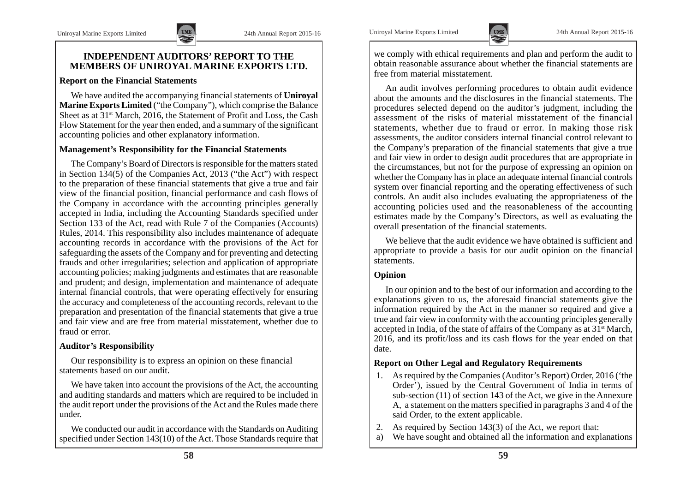#### **INDEPENDENT AUDITORS' REPORT TO THE MEMBERS OF UNIROYAL MARINE EXPORTS LTD.**

#### **Report on the Financial Statements**

We have audited the accompanying financial statements of **Uniroyal Marine Exports Limited** ("the Company"), which comprise the Balance Sheet as at 31<sup>st</sup> March, 2016, the Statement of Profit and Loss, the Cash Flow Statement for the year then ended, and a summary of the significant accounting policies and other explanatory information.

#### **Management's Responsibility for the Financial Statements**

The Company's Board of Directors is responsible for the matters stated in Section  $1\overline{3}4(5)$  of the Companies Act,  $2\overline{0}13$  ("the Act") with respect to the preparation of these financial statements that give a true and fair view of the financial position, financial performance and cash flows of the Company in accordance with the accounting principles generally accepted in India, including the Accounting Standards specified under Section 133 of the Act, read with Rule 7 of the Companies (Accounts) Rules, 2014. This responsibility also includes maintenance of adequate accounting records in accordance with the provisions of the Act for safeguarding the assets of the Company and for preventing and detecting frauds and other irregularities; selection and application of appropriate accounting policies; making judgments and estimates that are reasonable and prudent; and design, implementation and maintenance of adequate internal financial controls, that were operating effectively for ensuring the accuracy and completeness of the accounting records, relevant to the preparation and presentation of the financial statements that give a true and fair view and are free from material misstatement, whether due to fraud or error.

#### **Auditor's Responsibility**

Our responsibility is to express an opinion on these financial statements based on our audit.

We have taken into account the provisions of the Act, the accounting and auditing standards and matters which are required to be included in the audit report under the provisions of the Act and the Rules made there under.

We conducted our audit in accordance with the Standards on Auditing specified under Section 143(10) of the Act. Those Standards require that

we comply with ethical requirements and plan and perform the audit to obtain reasonable assurance about whether the financial statements are free from material misstatement.

An audit involves performing procedures to obtain audit evidence about the amounts and the disclosures in the financial statements. The procedures selected depend on the auditor's judgment, including the assessment of the risks of material misstatement of the financial statements, whether due to fraud or error. In making those risk assessments, the auditor considers internal financial control relevant to the Company's preparation of the financial statements that give a true and fair view in order to design audit procedures that are appropriate in the circumstances, but not for the purpose of expressing an opinion on whether the Company has in place an adequate internal financial controls system over financial reporting and the operating effectiveness of such controls. An audit also includes evaluating the appropriateness of the accounting policies used and the reasonableness of the accounting estimates made by the Company's Directors, as well as evaluating the overall presentation of the financial statements.

We believe that the audit evidence we have obtained is sufficient and appropriate to provide a basis for our audit opinion on the financial statements.

#### **Opinion**

In our opinion and to the best of our information and according to the explanations given to us, the aforesaid financial statements give the information required by the Act in the manner so required and give a true and fair view in conformity with the accounting principles generally accepted in India, of the state of affairs of the Company as at 31st March, 2016, and its profit/loss and its cash flows for the year ended on that date.

#### **Report on Other Legal and Regulatory Requirements**

- 1. As required by the Companies (Auditor's Report) Order, 2016 ('the Order'), issued by the Central Government of India in terms of sub-section (11) of section 143 of the Act, we give in the Annexure A, a statement on the matters specified in paragraphs 3 and 4 of the said Order, to the extent applicable.
- 2. As required by Section 143(3) of the Act, we report that:
- a) We have sought and obtained all the information and explanations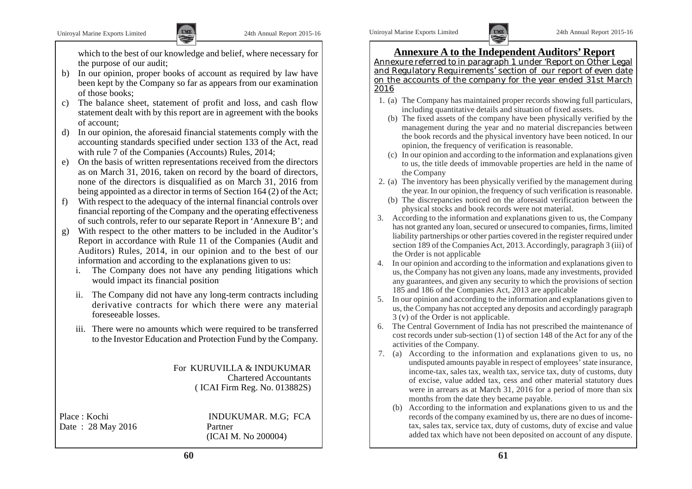which to the best of our knowledge and belief, where necessary for the purpose of our audit;

- b) In our opinion, proper books of account as required by law have been kept by the Company so far as appears from our examination of those books;
- c) The balance sheet, statement of profit and loss, and cash flow statement dealt with by this report are in agreement with the books of account;
- d) In our opinion, the aforesaid financial statements comply with the accounting standards specified under section 133 of the Act, read with rule 7 of the Companies (Accounts) Rules, 2014;
- e) On the basis of written representations received from the directors as on March 31, 2016, taken on record by the board of directors, none of the directors is disqualified as on March 31, 2016 from being appointed as a director in terms of Section 164 (2) of the Act;
- f) With respect to the adequacy of the internal financial controls over financial reporting of the Company and the operating effectiveness of such controls, refer to our separate Report in 'Annexure B'; and
- g) With respect to the other matters to be included in the Auditor's Report in accordance with Rule 11 of the Companies (Audit and Auditors) Rules, 2014, in our opinion and to the best of our information and according to the explanations given to us:
	- i. The Company does not have any pending litigations which would impact its financial position.
	- ii. The Company did not have any long-term contracts including derivative contracts for which there were any material foreseeable losses.
	- iii. There were no amounts which were required to be transferred to the Investor Education and Protection Fund by the Company.

For KURUVILLA & INDUKUMAR Chartered Accountants ( ICAI Firm Reg. No. 013882S)

Date : 28 May 2016 Partner

Place : Kochi INDUKUMAR. M.G; FCA (ICAI M. No 200004)

# **Annexure A to the Independent Auditors' Report**

Annexure referred to in paragraph 1 under 'Report on Other Legal and Regulatory Requirements' section of our report of even date on the accounts of the company for the year ended 31st March 2016

- 1. (a) The Company has maintained proper records showing full particulars, including quantitative details and situation of fixed assets.
	- (b) The fixed assets of the company have been physically verified by the management during the year and no material discrepancies between the book records and the physical inventory have been noticed. In our opinion, the frequency of verification is reasonable.
	- (c) In our opinion and according to the information and explanations given to us, the title deeds of immovable properties are held in the name of the Company
- 2. (a) The inventory has been physically verified by the management during the year. In our opinion, the frequency of such verification is reasonable.
	- (b) The discrepancies noticed on the aforesaid verification between the physical stocks and book records were not material.
- 3. According to the information and explanations given to us, the Company has not granted any loan, secured or unsecured to companies, firms, limited liability partnerships or other parties covered in the register required under section 189 of the Companies Act, 2013. Accordingly, paragraph 3 (iii) of the Order is not applicable
- 4. In our opinion and according to the information and explanations given to us, the Company has not given any loans, made any investments, provided any guarantees, and given any security to which the provisions of section 185 and 186 of the Companies Act, 2013 are applicable
- 5. In our opinion and according to the information and explanations given to us, the Company has not accepted any deposits and accordingly paragraph 3 (v) of the Order is not applicable.
- 6. The Central Government of India has not prescribed the maintenance of cost records under sub-section (1) of section 148 of the Act for any of the activities of the Company.
- 7. (a) According to the information and explanations given to us, no undisputed amounts payable in respect of employees' state insurance, income-tax, sales tax, wealth tax, service tax, duty of customs, duty of excise, value added tax, cess and other material statutory dues were in arrears as at March 31, 2016 for a period of more than six months from the date they became payable.
	- (b) According to the information and explanations given to us and the records of the company examined by us, there are no dues of incometax, sales tax, service tax, duty of customs, duty of excise and value added tax which have not been deposited on account of any dispute.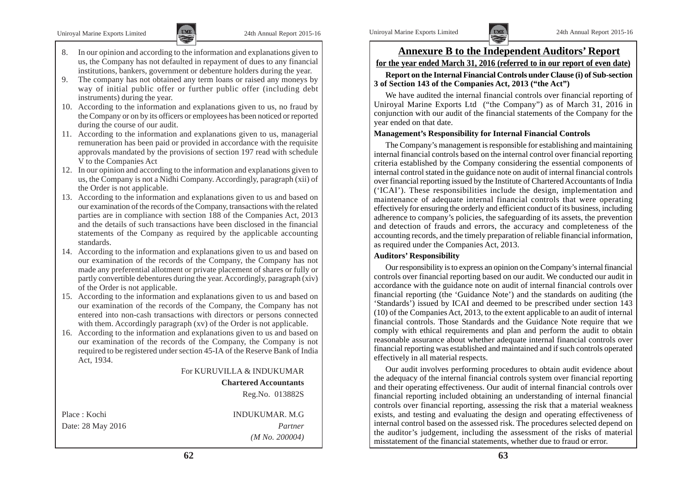- 8. In our opinion and according to the information and explanations given to us, the Company has not defaulted in repayment of dues to any financial institutions, bankers, government or debenture holders during the year.
- 9. The company has not obtained any term loans or raised any moneys by way of initial public offer or further public offer (including debt instruments) during the year.
- 10. According to the information and explanations given to us, no fraud by the Company or on by its officers or employees has been noticed or reported during the course of our audit.
- 11. According to the information and explanations given to us, managerial remuneration has been paid or provided in accordance with the requisite approvals mandated by the provisions of section 197 read with schedule V to the Companies Act
- 12. In our opinion and according to the information and explanations given to us, the Company is not a Nidhi Company. Accordingly, paragraph (xii) of the Order is not applicable.
- 13. According to the information and explanations given to us and based on our examination of the records of the Company, transactions with the related parties are in compliance with section 188 of the Companies Act, 2013 and the details of such transactions have been disclosed in the financial statements of the Company as required by the applicable accounting standards.
- 14. According to the information and explanations given to us and based on our examination of the records of the Company, the Company has not made any preferential allotment or private placement of shares or fully or partly convertible debentures during the year. Accordingly, paragraph (xiv) of the Order is not applicable.
- 15. According to the information and explanations given to us and based on our examination of the records of the Company, the Company has not entered into non-cash transactions with directors or persons connected with them. Accordingly paragraph (xv) of the Order is not applicable.
- 16. According to the information and explanations given to us and based on our examination of the records of the Company, the Company is not required to be registered under section 45-IA of the Reserve Bank of India Act, 1934.

#### For KURUVILLA & INDUKUMAR

**Chartered Accountants**

Reg.No. 013882S

Place : Kochi INDUKUMAR. M.G Date: 28 May 2016 *Partner (M No. 200004)*

#### **Annexure B to the Independent Auditors' Report for the year ended March 31, 2016 (referred to in our report of even date)**

#### **Report on the Internal Financial Controls under Clause (i) of Sub-section 3 of Section 143 of the Companies Act, 2013 ("the Act")**

We have audited the internal financial controls over financial reporting of Uniroyal Marine Exports Ltd ("the Company") as of March 31, 2016 in conjunction with our audit of the financial statements of the Company for the year ended on that date.

#### **Management's Responsibility for Internal Financial Controls**

The Company's management is responsible for establishing and maintaining internal financial controls based on the internal control over financial reporting criteria established by the Company considering the essential components of internal control stated in the guidance note on audit of internal financial controls over financial reporting issued by the Institute of Chartered Accountants of India ('ICAI'). These responsibilities include the design, implementation and maintenance of adequate internal financial controls that were operating effectively for ensuring the orderly and efficient conduct of its business, including adherence to company's policies, the safeguarding of its assets, the prevention and detection of frauds and errors, the accuracy and completeness of the accounting records, and the timely preparation of reliable financial information, as required under the Companies Act, 2013.

#### **Auditors' Responsibility**

Our responsibility is to express an opinion on the Company's internal financial controls over financial reporting based on our audit. We conducted our audit in accordance with the guidance note on audit of internal financial controls over financial reporting (the 'Guidance Note') and the standards on auditing (the 'Standards') issued by ICAI and deemed to be prescribed under section 143 (10) of the Companies Act, 2013, to the extent applicable to an audit of internal financial controls. Those Standards and the Guidance Note require that we comply with ethical requirements and plan and perform the audit to obtain reasonable assurance about whether adequate internal financial controls over financial reporting was established and maintained and if such controls operated effectively in all material respects.

Our audit involves performing procedures to obtain audit evidence about the adequacy of the internal financial controls system over financial reporting and their operating effectiveness. Our audit of internal financial controls over financial reporting included obtaining an understanding of internal financial controls over financial reporting, assessing the risk that a material weakness exists, and testing and evaluating the design and operating effectiveness of internal control based on the assessed risk. The procedures selected depend on the auditor's judgement, including the assessment of the risks of material misstatement of the financial statements, whether due to fraud or error.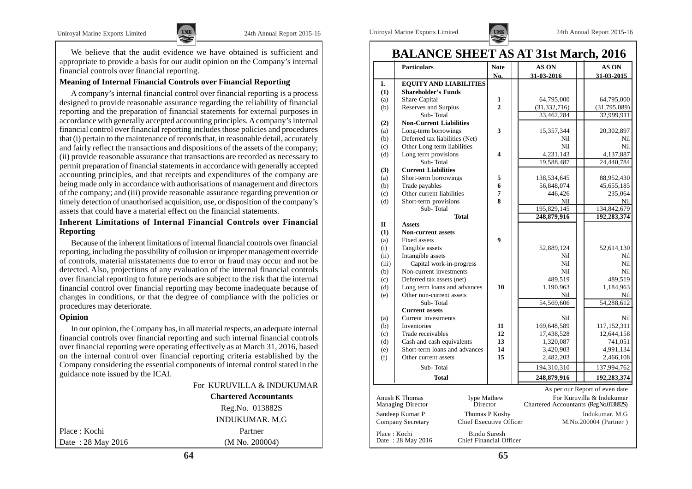We believe that the audit evidence we have obtained is sufficient and appropriate to provide a basis for our audit opinion on the Company's internal financial controls over financial reporting.

#### **Meaning of Internal Financial Controls over Financial Reporting**

A company's internal financial control over financial reporting is a process designed to provide reasonable assurance regarding the reliability of financial reporting and the preparation of financial statements for external purposes in accordance with generally accepted accounting principles. A company's internal financial control over financial reporting includes those policies and procedures that (i) pertain to the maintenance of records that, in reasonable detail, accurately and fairly reflect the transactions and dispositions of the assets of the company; (ii) provide reasonable assurance that transactions are recorded as necessary to permit preparation of financial statements in accordance with generally accepted accounting principles, and that receipts and expenditures of the company are being made only in accordance with authorisations of management and directors of the company; and (iii) provide reasonable assurance regarding prevention or timely detection of unauthorised acquisition, use, or disposition of the company's assets that could have a material effect on the financial statements.

#### **Inherent Limitations of Internal Financial Controls over Financial Reporting**

Because of the inherent limitations of internal financial controls over financial reporting, including the possibility of collusion or improper management override of controls, material misstatements due to error or fraud may occur and not be detected. Also, projections of any evaluation of the internal financial controls over financial reporting to future periods are subject to the risk that the internal financial control over financial reporting may become inadequate because of changes in conditions, or that the degree of compliance with the policies or procedures may deteriorate.

#### **Opinion**

In our opinion, the Company has, in all material respects, an adequate internal financial controls over financial reporting and such internal financial controls over financial reporting were operating effectively as at March 31, 2016, based on the internal control over financial reporting criteria established by the Company considering the essential components of internal control stated in the guidance note issued by the ICAI.

|                   | For KURUVILLA & INDUKUMAR    |
|-------------------|------------------------------|
|                   | <b>Chartered Accountants</b> |
|                   | Reg. No. 013882S             |
|                   | INDUKUMAR, M.G.              |
| Place: Kochi      | Partner                      |
| Date: 28 May 2016 | (M No. 200004)               |

# **BALANCE SHEET AS AT 31st March, 2016**

|                                           | <b>Particulars</b>                                                                  | <b>Note</b>    | AS ON                                 | AS ON                          |
|-------------------------------------------|-------------------------------------------------------------------------------------|----------------|---------------------------------------|--------------------------------|
|                                           |                                                                                     | No.            | 31-03-2016                            | 31-03-2015                     |
| I.                                        | <b>EQUITY AND LIABILITIES</b>                                                       |                |                                       |                                |
| (1)                                       | <b>Shareholder's Funds</b>                                                          |                |                                       |                                |
| (a)                                       | Share Capital                                                                       | 1              | 64,795,000                            | 64,795,000                     |
| (b)                                       | Reserves and Surplus                                                                | $\overline{2}$ | (31, 332, 716)                        | (31,795,089)                   |
|                                           | Sub-Total                                                                           |                | 33,462,284                            | 32,999,911                     |
| (2)                                       | <b>Non-Current Liabilities</b>                                                      |                |                                       |                                |
| (a)                                       | Long-term borrowings                                                                | 3              | 15,357,344                            | 20,302,897                     |
| (b)                                       | Deferred tax liabilities (Net)                                                      |                | Nil                                   | Nil                            |
| (c)                                       | Other Long term liabilities                                                         |                | Nil                                   | Nil                            |
| (d)                                       | Long term provisions                                                                | 4              | 4,231,143                             | 4,137,887                      |
|                                           | Sub-Total                                                                           |                | 19,588,487                            | 24,440,784                     |
| (3)                                       | <b>Current Liabilities</b>                                                          |                |                                       |                                |
| (a)                                       | Short-term borrowings                                                               | 5              | 138,534,645                           | 88,952,430                     |
| (b)                                       | Trade payables                                                                      | 6              | 56,848,074                            | 45,655,185                     |
| (c)                                       | Other current liabilities                                                           | 7              | 446,426                               | 235,064                        |
| (d)                                       | Short-term provisions                                                               | 8              | Nil                                   | Nil                            |
|                                           | Sub-Total                                                                           |                | 195,829,145                           | 134,842,679                    |
|                                           | <b>Total</b>                                                                        |                | 248,879,916                           | 192,283,374                    |
| $\mathbf{H}$                              | Assets                                                                              |                |                                       |                                |
| (1)                                       | <b>Non-current assets</b>                                                           |                |                                       |                                |
| (a)                                       | <b>Fixed assets</b>                                                                 | 9              |                                       |                                |
| (i)                                       | Tangible assets                                                                     |                | 52,889,124                            | 52,614,130                     |
| (ii)                                      | Intangible assets                                                                   |                | Nil                                   | Nil                            |
| (iii)                                     | Capital work-in-progress                                                            |                | Nil                                   | Nil                            |
| (b)                                       | Non-current investments                                                             |                | Nil                                   | Nil                            |
| (c)                                       | Deferred tax assets (net)                                                           |                | 489,519                               | 489,519                        |
| (d)                                       | Long term loans and advances                                                        | 10             | 1,190,963                             | 1,184,963                      |
| (e)                                       | Other non-current assets                                                            |                | Nil                                   | Nil                            |
|                                           | Sub-Total                                                                           |                | 54,569,606                            | 54,288,612                     |
|                                           | <b>Current assets</b>                                                               |                |                                       |                                |
| (a)                                       | Current investments                                                                 |                | Nil                                   | Nil                            |
| (b)                                       | Inventories                                                                         | 11             | 169,648,589                           | 117,152,311                    |
| (c)                                       | Trade receivables                                                                   | 12             | 17,438,528                            | 12,644,158                     |
| (d)                                       | Cash and cash equivalents                                                           | 13             | 1,320,087                             | 741,051                        |
| (e)                                       | Short-term loans and advances                                                       | 14             | 3,420,903                             | 4,991,134                      |
| (f)                                       | Other current assets                                                                | 15             | 2,482,203                             | 2,466,108                      |
|                                           | Sub-Total                                                                           |                | 194,310,310                           | 137,994,762                    |
|                                           | <b>Total</b>                                                                        |                | 248,879,916                           | 192,283,374                    |
|                                           |                                                                                     |                |                                       | As per our Report of even date |
| Anush K Thomas<br>Iype Mathew<br>Director |                                                                                     |                |                                       | For Kuruvilla & Indukumar      |
|                                           | <b>Managing Director</b>                                                            |                | Chartered Accountants (RegNo.013882S) |                                |
| Sandeep Kumar P<br>Thomas P Koshy         |                                                                                     |                |                                       | Indukumar, M.G                 |
|                                           | <b>Company Secretary</b><br><b>Chief Executive Officer</b>                          |                |                                       | M.No.200004 (Partner)          |
|                                           | Place: Kochi<br><b>Bindu Suresh</b><br>Chief Financial Officer<br>Date: 28 May 2016 |                |                                       |                                |
|                                           |                                                                                     |                |                                       |                                |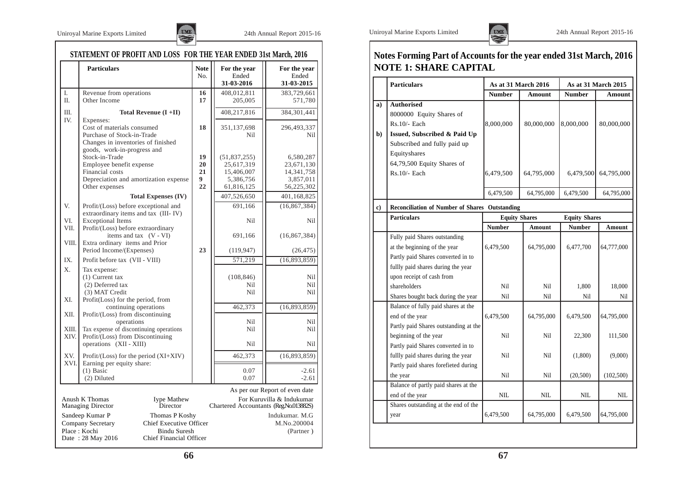## **STATEMENT OF PROFIT AND LOSS FOR THE YEAR ENDED 31st March, 2016**

|               | <b>Particulars</b>                                                                                                                                                             | <b>Note</b><br>No.  | For the year<br>Ended<br>31-03-2016                     | For the year<br>Ended<br>31-03-2015                  |  |
|---------------|--------------------------------------------------------------------------------------------------------------------------------------------------------------------------------|---------------------|---------------------------------------------------------|------------------------------------------------------|--|
| I.<br>Π.      | Revenue from operations<br>Other Income                                                                                                                                        | 16<br>17            | 408,012,811<br>205,005                                  | 383,729,661<br>571,780                               |  |
| III.          | Total Revenue $(I + II)$                                                                                                                                                       |                     | 408,217,816                                             | 384, 301, 441                                        |  |
| IV.           | Expenses:<br>Cost of materials consumed<br>Purchase of Stock-in-Trade<br>Changes in inventories of finished<br>goods, work-in-progress and                                     | 18                  | 351,137,698<br>Nil.                                     | 296,493,337<br>Nil                                   |  |
|               | Stock-in-Trade<br>Employee benefit expense<br>Financial costs<br>Depreciation and amortization expense                                                                         | 19<br>20<br>21<br>9 | (51, 837, 255)<br>25,617,319<br>15,406,007<br>5,386,756 | 6,580,287<br>23,671,130<br>14, 341, 758<br>3,857,011 |  |
|               | Other expenses                                                                                                                                                                 | 22                  | 61,816,125                                              | 56,225,302                                           |  |
|               | <b>Total Expenses (IV)</b>                                                                                                                                                     |                     | 407,526,650                                             | 401,168,825                                          |  |
| V.            | Profit/(Loss) before exceptional and                                                                                                                                           |                     | 691,166                                                 | (16, 867, 384)                                       |  |
| VI.<br>VII.   | extraordinary items and tax (III-IV)<br><b>Exceptional Items</b><br>Profit/(Loss) before extraordinary                                                                         |                     | Nil                                                     | Nil                                                  |  |
|               | items and tax $(V - VI)$                                                                                                                                                       |                     | 691,166                                                 | (16, 867, 384)                                       |  |
| VIII.         | Extra ordinary items and Prior<br>Period Income/(Expenses)                                                                                                                     | 23                  | (119, 947)                                              | (26, 475)                                            |  |
| IX.           | Profit before tax (VII - VIII)                                                                                                                                                 |                     | 571,219                                                 | (16,893,859)                                         |  |
| $X_{-}$       | Tax expense:<br>$(1)$ Current tax<br>(2) Deferred tax<br>(3) MAT Credit                                                                                                        |                     | (108, 846)<br>Nil<br>Nil                                | Nil<br>Nil<br>Nil                                    |  |
| XI.           | Profit(Loss) for the period, from<br>continuing operations                                                                                                                     |                     | 462,373                                                 | (16,893,859)                                         |  |
| XII.<br>XIII. | Profit/(Loss) from discontinuing<br>operations<br>Tax expense of discontinuing operations                                                                                      |                     | Nil.<br>Nil.                                            | Nil<br>Nil                                           |  |
| XIV.          | Profit/(Loss) from Discontinuing<br>operations (XII - XIII)                                                                                                                    |                     | Nil                                                     | Nil                                                  |  |
| XV.           | $Profit/(Loss)$ for the period $(XI+XIV)$                                                                                                                                      |                     | 462,373                                                 | (16,893,859)                                         |  |
| XVI. I        | Earning per equity share:<br>$(1)$ Basic<br>(2) Diluted                                                                                                                        |                     | 0.07<br>0.07                                            | $-2.61$<br>$-2.61$                                   |  |
|               | As per our Report of even date<br>For Kuruvilla & Indukumar<br>Anush K Thomas<br>Iype Mathew<br>Director<br>Chartered Accountants (Reg.No.013882S)<br><b>Managing Director</b> |                     |                                                         |                                                      |  |
|               | Sandeep Kumar P<br>Thomas P Koshy<br>Chief Executive Officer<br>Company Secretary<br>Place: Kochi<br><b>Bindu Suresh</b><br>Chief Financial Officer<br>Date: 28 May 2016       |                     |                                                         | Indukumar. M.G<br>M.No.200004<br>(Partner)           |  |

## **Notes Forming Part of Accounts for the year ended 31st March, 2016 NOTE 1: SHARE CAPITAL**

|              | <b>Particulars</b>                             |                      | As at 31 March 2016 |                      | As at 31 March 2015 |
|--------------|------------------------------------------------|----------------------|---------------------|----------------------|---------------------|
|              |                                                | <b>Number</b>        | Amount              | <b>Number</b>        | Amount              |
| a)           | <b>Authorised</b>                              |                      |                     |                      |                     |
|              | 8000000 Equity Shares of                       |                      |                     |                      |                     |
|              | $Rs.10/-$ Each                                 | 8,000,000            | 80,000,000          | 8,000,000            | 80,000,000          |
| $b$          | Issued, Subscribed & Paid Up                   |                      |                     |                      |                     |
|              | Subscribed and fully paid up                   |                      |                     |                      |                     |
|              | Equityshares                                   |                      |                     |                      |                     |
|              | 64,79,500 Equity Shares of                     |                      |                     |                      |                     |
|              | Rs.10/- Each                                   | 6,479,500            | 64,795,000          | 6,479,500            | 64,795,000          |
|              |                                                |                      |                     |                      |                     |
|              |                                                | 6,479,500            | 64,795,000          | 6,479,500            | 64,795,000          |
| $\mathbf{c}$ | Reconciliation of Number of Shares Outstanding |                      |                     |                      |                     |
|              | <b>Particulars</b>                             | <b>Equity Shares</b> |                     | <b>Equity Shares</b> |                     |
|              |                                                | <b>Number</b>        | Amount              | <b>Number</b>        | Amount              |
|              | Fully paid Shares outstanding                  |                      |                     |                      |                     |
|              | at the beginning of the year                   | 6,479,500            | 64,795,000          | 6,477,700            | 64,777,000          |
|              | Partly paid Shares converted in to             |                      |                     |                      |                     |
|              | fullly paid shares during the year             |                      |                     |                      |                     |
|              | upon receipt of cash from                      |                      |                     |                      |                     |
|              | shareholders                                   | Nil                  | Nil                 | 1,800                | 18,000              |
|              | Shares bought back during the year             | Nil                  | Nil                 | Nil                  | Nil                 |
|              |                                                |                      |                     |                      |                     |
|              | Balance of fully paid shares at the            |                      |                     |                      |                     |
|              | end of the year                                | 6,479,500            | 64,795,000          | 6,479,500            | 64,795,000          |
|              | Partly paid Shares outstanding at the          |                      |                     |                      |                     |
|              | beginning of the year                          | Nil.                 | Nil                 | 22,300               | 111,500             |
|              | Partly paid Shares converted in to             |                      |                     |                      |                     |
|              | fullly paid shares during the year             | Nil                  | Nil                 | (1,800)              | (9,000)             |
|              | Partly paid shares forefieted during           |                      |                     |                      |                     |
|              | the year                                       | Nil.                 | Nil.                | (20, 500)            | (102, 500)          |
|              | Balance of partly paid shares at the           |                      |                     |                      |                     |
|              | end of the year                                | <b>NIL</b>           | <b>NIL</b>          | <b>NIL</b>           | <b>NIL</b>          |
|              | Shares outstanding at the end of the           |                      |                     |                      |                     |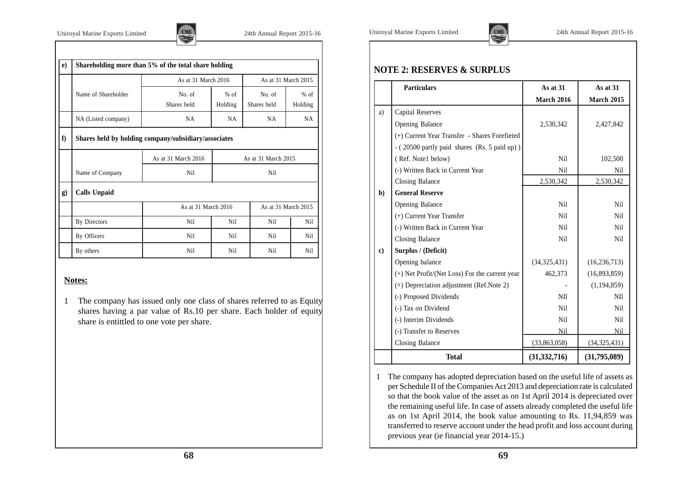

| $\mathbf{e}$ | Shareholding more than 5% of the total share holding |                                                      |                     |                       |                   |  |  |
|--------------|------------------------------------------------------|------------------------------------------------------|---------------------|-----------------------|-------------------|--|--|
|              |                                                      |                                                      | As at 31 March 2016 |                       |                   |  |  |
|              | Name of Shareholder                                  | No. of<br>Shares held                                | $%$ of<br>Holding   | No. of<br>Shares held | $%$ of<br>Holding |  |  |
|              | NA (Listed company)                                  | NA                                                   | NA                  | <b>NA</b>             | NA                |  |  |
| f)           |                                                      | Shares held by holding company/subsidiary/associates |                     |                       |                   |  |  |
|              |                                                      | As at 31 March 2016                                  |                     | As at 31 March 2015   |                   |  |  |
|              | Name of Company                                      | Nil                                                  | Nil                 |                       |                   |  |  |
| $\mathbf{g}$ | <b>Calls Unpaid</b>                                  |                                                      |                     |                       |                   |  |  |
|              |                                                      | As at 31 March 2016                                  |                     | As at 31 March 2015   |                   |  |  |
|              | By Directors                                         | Nil                                                  | Nil<br>Nil<br>Nil   |                       |                   |  |  |
|              | By Officers                                          | Nil.                                                 | Nil                 | Nil                   | Nil               |  |  |
|              | By others                                            | Nil                                                  | Nil                 | Nil                   | Nil               |  |  |

#### **Notes:**

1 The company has issued only one class of shares referred to as Equity shares having a par value of Rs.10 per share. Each holder of equity share is entittled to one vote per share.

## **NOTE 2: RESERVES & SURPLUS**

|          | <b>Particulars</b>                             | As at $31$     | As at $31$        |
|----------|------------------------------------------------|----------------|-------------------|
|          |                                                | March 2016     | <b>March 2015</b> |
| a)       | Capital Reserves                               |                |                   |
|          | Opening Balance                                | 2,530,342      | 2,427,842         |
|          | (+) Current Year Transfer - Shares Forefieted  |                |                   |
|          | - (20500 partly paid shares (Rs. 5 paid up))   |                |                   |
|          | (Ref. Note1 below)                             | <b>Nil</b>     | 102,500           |
|          | (-) Written Back in Current Year               | Nil            | Nil               |
|          | Closing Balance                                | 2,530,342      | 2,530,342         |
| $b$      | <b>General Reserve</b>                         |                |                   |
|          | Opening Balance                                | <b>Nil</b>     | Nil               |
|          | (+) Current Year Transfer                      | <b>Nil</b>     | Nil               |
|          | (-) Written Back in Current Year               | <b>Nil</b>     | Nil               |
|          | Closing Balance                                | <b>Nil</b>     | Nil               |
| $\bf c)$ | Surplus / (Deficit)                            |                |                   |
|          | Opening balance                                | (34, 325, 431) | (16, 236, 713)    |
|          | (+) Net Profit/(Net Loss) For the current year | 462,373        | (16,893,859)      |
|          | (+) Depreciation adjustment (Ref.Note 2)       |                | (1, 194, 859)     |
|          | (-) Proposed Dividends                         | NII            | NII               |
|          | (-) Tax on Dividend                            | <b>Nil</b>     | Nil               |
|          | (-) Interim Dividends                          | <b>Nil</b>     | Nil               |
|          | (-) Transfer to Reserves                       | Nil            | Nil               |
|          | <b>Closing Balance</b>                         | (33,863,058)   | (34,325,431)      |
|          | <b>Total</b>                                   | (31, 332, 716) | (31,795,089)      |

1 The company has adopted depreciation based on the useful life of assets as per Schedule II of the Companies Act 2013 and depreciation rate is calculated so that the book value of the asset as on 1st April 2014 is depreciated over the remaining useful life. In case of assets already completed the useful life as on 1st April 2014, the book value amounting to Rs. 11,94,859 was transferred to reserve account under the head profit and loss account during previous year (ie financial year 2014-15.)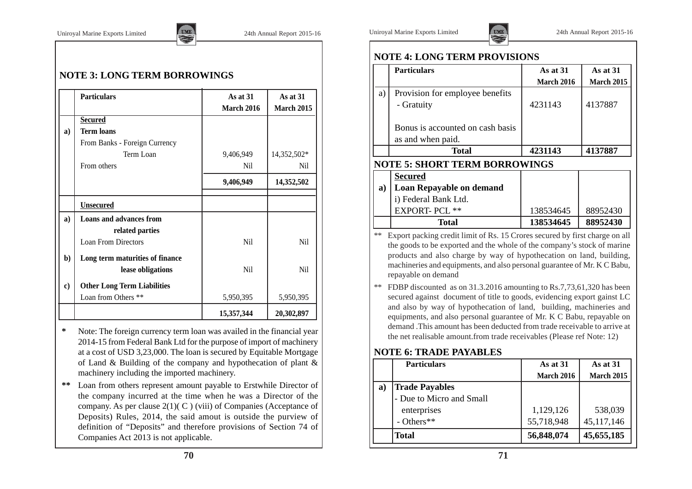|              | <b>Particulars</b>                 | As at $31$        | As at $31$        |
|--------------|------------------------------------|-------------------|-------------------|
|              |                                    | <b>March 2016</b> | <b>March 2015</b> |
|              | <b>Secured</b>                     |                   |                   |
| a)           | <b>Term loans</b>                  |                   |                   |
|              | From Banks - Foreign Currency      |                   |                   |
|              | Term Loan                          | 9,406,949         | 14,352,502*       |
|              | From others                        | N <sub>il</sub>   | N <sub>il</sub>   |
|              |                                    | 9,406,949         | 14,352,502        |
|              | <b>Unsecured</b>                   |                   |                   |
| a)           | <b>Loans and advances from</b>     |                   |                   |
|              | related parties                    |                   |                   |
|              | <b>Loan From Directors</b>         | <b>Nil</b>        | Nil               |
| $\mathbf{b}$ | Long term maturities of finance    |                   |                   |
|              | lease obligations                  | N <sub>il</sub>   | N <sub>il</sub>   |
| c)           | <b>Other Long Term Liabilities</b> |                   |                   |
|              | Loan from Others **                | 5,950,395         | 5,950,395         |
|              |                                    | 15,357,344        | 20,302,897        |

- **\*** Note: The foreign currency term loan was availed in the financial year 2014-15 from Federal Bank Ltd for the purpose of import of machinery at a cost of USD 3,23,000. The loan is secured by Equitable Mortgage of Land & Building of the company and hypothecation of plant & machinery including the imported machinery.
- **\*\*** Loan from others represent amount payable to Erstwhile Director of the company incurred at the time when he was a Director of the company. As per clause  $2(1)(C)$  (viii) of Companies (Acceptance of Deposits) Rules, 2014, the said amout is outside the purview of definition of "Deposits" and therefore provisions of Section 74 of Companies Act 2013 is not applicable.

Uniroyal Marine Exports Limited **LUME** 24th Annual Report 2015-16 Uniroyal Marine Exports Limited 24th Annual Report 2015-16

## **NOTE 4: LONG TERM PROVISIONS**

|    | <b>Particulars</b>                   | As at $31$        | As at 31          |
|----|--------------------------------------|-------------------|-------------------|
|    |                                      | <b>March 2016</b> | <b>March 2015</b> |
| a) | Provision for employee benefits      |                   |                   |
|    | - Gratuity                           | 4231143           | 4137887           |
|    |                                      |                   |                   |
|    | Bonus is accounted on cash basis     |                   |                   |
|    | as and when paid.                    |                   |                   |
|    | <b>Total</b>                         | 4231143           | 4137887           |
|    | <b>NOTE 5: SHORT TERM BORROWINGS</b> |                   |                   |
|    | <b>Secured</b>                       |                   |                   |
| a) | <b>Loan Repayable on demand</b>      |                   |                   |
|    | i) Federal Bank Ltd.                 |                   |                   |
|    | <b>EXPORT-PCL **</b>                 | 138534645         | 88952430          |
|    | Total                                | 138534645         | 88952430          |

\*\* Export packing credit limit of Rs. 15 Crores secured by first charge on all the goods to be exported and the whole of the company's stock of marine products and also charge by way of hypothecation on land, building, machineries and equipments, and also personal guarantee of Mr. K C Babu, repayable on demand

\*\* FDBP discounted as on 31.3.2016 amounting to Rs.7,73,61,320 has been secured against document of title to goods, evidencing export gainst LC and also by way of hypothecation of land, building, machineries and equipments, and also personal guarantee of Mr. K C Babu, repayable on demand .This amount has been deducted from trade receivable to arrive at the net realisable amount.from trade receivables (Please ref Note: 12)

## **NOTE 6: TRADE PAYABLES**

|    | <b>Particulars</b>       | As at 31          | As at $31$        |
|----|--------------------------|-------------------|-------------------|
|    |                          | <b>March 2016</b> | <b>March 2015</b> |
| a) | <b>Trade Payables</b>    |                   |                   |
|    | - Due to Micro and Small |                   |                   |
|    | enterprises              | 1,129,126         | 538,039           |
|    | - Others**               | 55,718,948        | 45,117,146        |
|    | <b>Total</b>             | 56,848,074        | 45,655,185        |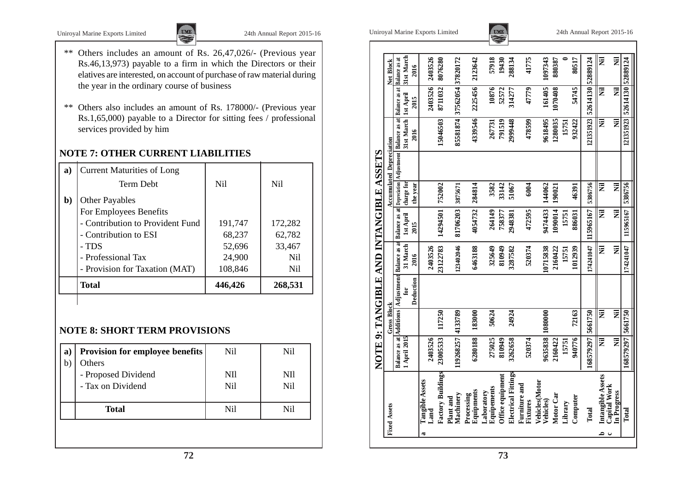- 
- 

| a)           | <b>Current Maturities of Long</b> |         |                 |
|--------------|-----------------------------------|---------|-----------------|
|              | Term Debt                         | Nil     | Ni1             |
| $\mathbf{b}$ | <b>Other Payables</b>             |         |                 |
|              | For Employees Benefits            |         |                 |
|              | - Contribution to Provident Fund  | 191,747 | 172,282         |
|              | - Contribution to ESI             | 68,237  | 62,782          |
|              | - TDS                             | 52,696  | 33,467          |
|              | - Professional Tax                | 24,900  | N <sub>il</sub> |
|              | - Provision for Taxation (MAT)    | 108,846 | N <sub>i</sub>  |
|              | Total                             | 446,426 | 268,531         |

| a | <b>Provision for employee benefits</b> | Nil | Nil |
|---|----------------------------------------|-----|-----|
| b | Others                                 |     |     |
|   | - Proposed Dividend                    | NII | NII |
|   | - Tax on Dividend                      | Nil | Nil |
|   |                                        |     |     |
|   | <b>Total</b>                           | Nil | Nil |
|   |                                        |     |     |
|   |                                        |     |     |

| Uniroyal Marine Exports Limited |  |  |
|---------------------------------|--|--|
|                                 |  |  |



|          | ** Others includes an amount of Rs. 26,47,026/- (Previous year<br>Rs.46,13,973) payable to a firm in which the Directors or their<br>elatives are interested, on account of purchase of raw material during<br>the year in the ordinary course of business |                             |                      |                              | Net Block                       | Balance as at<br>31st March<br>2016           | 2403526                 | 8076280           | 37820172  | 2123642                  | 57918                     | 19430<br>288134                         | 41775                     | 1097343                     | 880387    |         | 80517    | $\Xi$<br>52889124                    | Ξ                                                | 52889124    |  |
|----------|------------------------------------------------------------------------------------------------------------------------------------------------------------------------------------------------------------------------------------------------------------|-----------------------------|----------------------|------------------------------|---------------------------------|-----------------------------------------------|-------------------------|-------------------|-----------|--------------------------|---------------------------|-----------------------------------------|---------------------------|-----------------------------|-----------|---------|----------|--------------------------------------|--------------------------------------------------|-------------|--|
|          | Others also includes an amount of Rs. 178000/- (Previous year                                                                                                                                                                                              |                             |                      |                              |                                 | Balance as at<br>1st April<br>2015            | 2403526<br>8711032      |                   | 37562054  | 2225456                  | 10876                     | 52572<br>314277                         | 47779                     | 161405                      | 1070408   |         | 54745    | 52614130<br>$\Xi$                    | ΣÏ                                               | 52614130    |  |
|          | Rs.1,65,000) payable to a Director for sitting fees / professional<br>services provided by him                                                                                                                                                             |                             |                      |                              |                                 | Balance as at<br>[31st March]<br>2016         |                         | 5046503           | 85581874  | 4339546                  | 267731                    | 299448<br>791519                        | 478599                    | 9618495                     | 1280035   | 15751   | 932422   | 121351923<br>$\overline{\mathbf{z}}$ | Ξ                                                | 121351923   |  |
|          | <b>NOTE 7: OTHER CURRENT LIABILITIES</b>                                                                                                                                                                                                                   |                             |                      |                              |                                 |                                               |                         |                   |           |                          |                           |                                         |                           |                             |           |         |          |                                      |                                                  |             |  |
| a)       | <b>Current Maturities of Long</b>                                                                                                                                                                                                                          |                             |                      | SETS                         |                                 | Adjustment                                    |                         |                   |           |                          |                           |                                         |                           |                             |           |         |          |                                      |                                                  |             |  |
| b)       | Term Debt<br>Other Payables                                                                                                                                                                                                                                | Nil                         | Nil                  |                              | <b>Accumulated Depreciation</b> | <b>Depreciation</b><br>charge for<br>the year |                         | 752002            | 3875671   | 284814                   | 3582                      | 33142<br>51067                          | 6004                      | 144062                      | 190021    |         | 46391    | 5386756<br>$\overline{z}$            | Ż                                                | 5386756     |  |
|          | For Employees Benefits<br><b>Contribution to Provident Fund</b><br>Contribution to ESI                                                                                                                                                                     | 191,747<br>68,237           | 172,282<br>62,782    | INTANGIBLE                   |                                 | Balance as at<br>1st April<br>2015            |                         | 14294501          | 81706203  | 4054732                  | 264149                    | 758377<br>2948381                       | 472595                    | 9474433                     | 1090014   | 15751   | 886031   | 115965167<br>Ξ                       | Ż                                                | $115965167$ |  |
|          | - TDS<br>- Professional Tax<br>- Provision for Taxation (MAT)                                                                                                                                                                                              | 52,696<br>24,900<br>108,846 | 33,467<br>Nil<br>Nil | <b>AND</b>                   |                                 | Balance as at<br>31 March<br>2016             | 2403526                 | 23122783          | 123402046 | 6463188                  | 325649                    | 810949<br>3287582                       | 520374                    | 10715838                    | 2160422   | 15751   | 1012939  | 174241047<br>$\Xi$                   | ΣÏ                                               | 174241047   |  |
|          | <b>Total</b>                                                                                                                                                                                                                                               | 446,426                     | 268,531              |                              |                                 | Adjustment<br>Deduction                       |                         |                   |           |                          |                           |                                         |                           |                             |           |         |          |                                      |                                                  |             |  |
|          | <b>NOTE 8: SHORT TERM PROVISIONS</b>                                                                                                                                                                                                                       |                             |                      | TANGIBLE<br>$\ddot{\bullet}$ | <b>Gross Block</b>              | Additions                                     |                         | 117250            | 4133789   | 183000                   | 50624                     | 24924                                   |                           | 1080000                     |           |         | 72163    | 5661750<br>$ \vec{z} $               | $\overline{z}$                                   | 5661750     |  |
| a)<br>b) | Provision for employee benefits<br>Others                                                                                                                                                                                                                  | Nil                         | Nil                  | NOTE                         |                                 | $\frac{Balance}{1 \text{ April } 2015}$       | 2403526                 | 23005533          | 119268257 | 6280188                  | 275025                    | 3262658<br>810949                       | 520374                    | 9635838                     | 2160422   | 15751   | 940776   | 168579297<br>$\overline{z}$          | Ż                                                | 168579297   |  |
|          | - Proposed Dividend<br>- Tax on Dividend                                                                                                                                                                                                                   | <b>NII</b><br>Nil           | <b>NII</b><br>Nil    |                              |                                 |                                               |                         | Factory Buildings |           |                          |                           | Electrical Fittings<br>Office equipment |                           |                             |           |         |          |                                      | Intangible Assets<br>Capital Work<br>In Progress |             |  |
|          | <b>Total</b>                                                                                                                                                                                                                                               | Nil                         | <b>Nil</b>           |                              | <b>Fixed Assets</b>             |                                               | Tangible Assets<br>Land | Plant and         | Machinery | Processing<br>Equipments | Equipements<br>Laboratory |                                         | Furniture and<br>Fixtures | Vehicles(Motor<br>Vehicles) | Motor Car | Library | Computer | Total                                |                                                  | Total       |  |
|          |                                                                                                                                                                                                                                                            |                             |                      |                              |                                 |                                               | <b>a</b>                |                   |           |                          |                           |                                         |                           |                             |           |         |          |                                      | ں ص                                              |             |  |
|          |                                                                                                                                                                                                                                                            |                             |                      |                              |                                 |                                               |                         |                   |           |                          |                           |                                         |                           |                             |           |         |          |                                      |                                                  |             |  |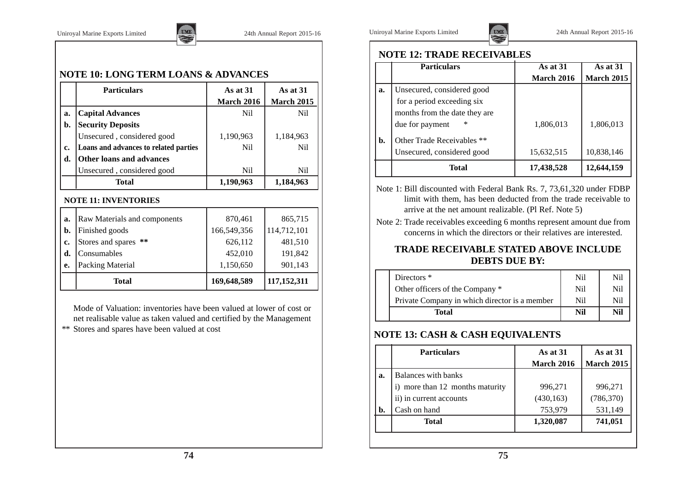## **NOTE 10: LONG TERM LOANS & ADVANCES**

|    | <b>Particulars</b>                    | As at $31$  | As at $31$    |  |  |  |  |  |
|----|---------------------------------------|-------------|---------------|--|--|--|--|--|
|    |                                       | March 2016  | March 2015    |  |  |  |  |  |
| a. | <b>Capital Advances</b>               | <b>Nil</b>  | <b>Nil</b>    |  |  |  |  |  |
| b. | <b>Security Deposits</b>              |             |               |  |  |  |  |  |
|    | Unsecured, considered good            | 1,190,963   | 1,184,963     |  |  |  |  |  |
| c. | Loans and advances to related parties | Nil         | Nil           |  |  |  |  |  |
| d. | <b>Other loans and advances</b>       |             |               |  |  |  |  |  |
|    | Unsecured, considered good            | Nil         | Nil           |  |  |  |  |  |
|    | <b>Total</b>                          | 1,190,963   | 1,184,963     |  |  |  |  |  |
|    | <b>NOTE 11: INVENTORIES</b>           |             |               |  |  |  |  |  |
| a. | Raw Materials and components          | 870,461     | 865,715       |  |  |  |  |  |
| b. | Finished goods                        | 166,549,356 | 114,712,101   |  |  |  |  |  |
| c. | $\ast\ast$<br>Stores and spares       | 626,112     | 481,510       |  |  |  |  |  |
| d. | Consumables                           | 452,010     | 191,842       |  |  |  |  |  |
| e. | Packing Material                      | 1,150,650   | 901,143       |  |  |  |  |  |
|    | Total                                 | 169,648,589 | 117, 152, 311 |  |  |  |  |  |

Mode of Valuation: inventories have been valued at lower of cost or net realisable value as taken valued and certified by the Management \*\* Stores and spares have been valued at cost

Uniroyal Marine Exports Limited **UME** 24th Annual Report 2015-16 Uniroyal Marine Exports Limited 24th Annual Report 2015-16

## **NOTE 12: TRADE RECEIVABLES**

|    | <b>Particulars</b>            | As at 31   | As at 31          |
|----|-------------------------------|------------|-------------------|
|    |                               | March 2016 | <b>March 2015</b> |
| a. | Unsecured, considered good    |            |                   |
|    | for a period exceeding six    |            |                   |
|    | months from the date they are |            |                   |
|    | $\ast$<br>due for payment     | 1,806,013  | 1,806,013         |
| b. | Other Trade Receivables **    |            |                   |
|    | Unsecured, considered good    | 15,632,515 | 10,838,146        |
|    | <b>Total</b>                  | 17,438,528 | 12,644,159        |

Note 1: Bill discounted with Federal Bank Rs. 7, 73,61,320 under FDBP limit with them, has been deducted from the trade receivable to arrive at the net amount realizable. (Pl Ref. Note 5)

Note 2: Trade receivables exceeding 6 months represent amount due from concerns in which the directors or their relatives are interested.

## **TRADE RECEIVABLE STATED ABOVE INCLUDE DEBTS DUE BY:**

| Directors $*$                                 | Nil             | Nil |
|-----------------------------------------------|-----------------|-----|
| Other officers of the Company *               | N <sub>il</sub> | Nil |
| Private Company in which director is a member | Nil             | Nil |
| Total                                         | Nil             | Nil |

## **NOTE 13: CASH & CASH EQUIVALENTS**

|    | <b>Particulars</b>              | As at $31$ | As at $31$        |
|----|---------------------------------|------------|-------------------|
|    |                                 | March 2016 | <b>March 2015</b> |
| a. | Balances with banks             |            |                   |
|    | i) more than 12 months maturity | 996,271    | 996,271           |
|    | ii) in current accounts         | (430, 163) | (786, 370)        |
| b. | Cash on hand                    | 753,979    | 531,149           |
|    | Total                           | 1,320,087  | 741,051           |
|    |                                 |            |                   |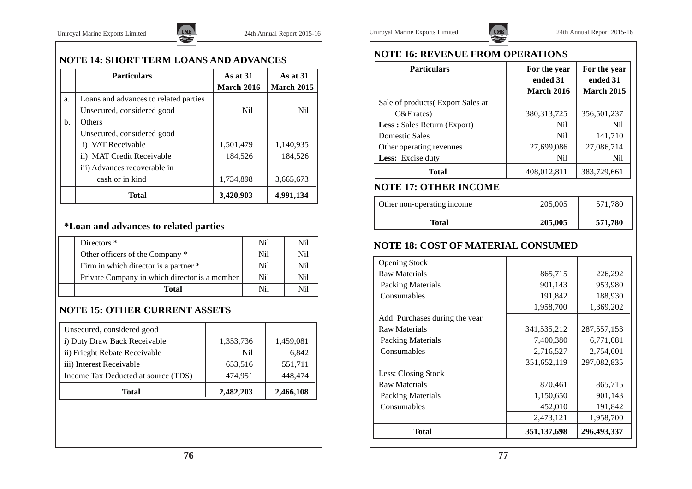

## **NOTE 14: SHORT TERM LOANS AND ADVANCES**

|    | <b>Particulars</b>                    | As at $31$ | As at $31$        |
|----|---------------------------------------|------------|-------------------|
|    |                                       | March 2016 | <b>March 2015</b> |
| a. | Loans and advances to related parties |            |                   |
|    | Unsecured, considered good            | <b>Nil</b> | <b>Nil</b>        |
| b. | Others                                |            |                   |
|    | Unsecured, considered good            |            |                   |
|    | i) VAT Receivable                     | 1,501,479  | 1,140,935         |
|    | ii) MAT Credit Receivable             | 184,526    | 184,526           |
|    | iii) Advances recoverable in          |            |                   |
|    | cash or in kind                       | 1,734,898  | 3,665,673         |
|    | Total                                 | 3,420,903  | 4,991,134         |

## **\*Loan and advances to related parties**

| Total                                         | Nil              |     |
|-----------------------------------------------|------------------|-----|
| Private Company in which director is a member | Nil              | Nil |
| Firm in which director is a partner *         | Nil              | Nil |
| Other officers of the Company *               | N <sub>i</sub> l | Ni1 |
| Directors *                                   | Nil              | Nil |

## **NOTE 15: OTHER CURRENT ASSETS**

| Unsecured, considered good          |           |           |
|-------------------------------------|-----------|-----------|
| i) Duty Draw Back Receivable        | 1,353,736 | 1,459,081 |
| ii) Frieght Rebate Receivable       | Ni1       | 6,842     |
| iii) Interest Receivable            | 653,516   | 551,711   |
| Income Tax Deducted at source (TDS) | 474,951   | 448,474   |
| Total                               | 2,482,203 | 2,466,108 |

| <b>NOTE 16: REVENUE FROM OPERATIONS</b> |                          |                          |  |  |  |
|-----------------------------------------|--------------------------|--------------------------|--|--|--|
| <b>Particulars</b>                      | For the year<br>ended 31 | For the year<br>ended 31 |  |  |  |
|                                         | <b>March 2016</b>        | March 2015               |  |  |  |
| Sale of products (Export Sales at       |                          |                          |  |  |  |
| $C&F$ rates)                            | 380, 313, 725            | 356,501,237              |  |  |  |
| <b>Less:</b> Sales Return (Export)      | Nil                      | Nil.                     |  |  |  |
| Domestic Sales                          | Nil                      | 141,710                  |  |  |  |
| Other operating revenues                | 27,699,086               | 27,086,714               |  |  |  |
| <b>Less:</b> Excise duty                | Nil                      | Nil                      |  |  |  |
| Total                                   | 408,012,811              | 383,729,661              |  |  |  |
| <b>NOTE 17: OTHER INCOME</b>            |                          |                          |  |  |  |
| Other non-operating income              | 205,005                  | 571,780                  |  |  |  |
|                                         |                          |                          |  |  |  |

 **Total 205,005 571,780**

## **NOTE 18: COST OF MATERIAL CONSUMED**

| <b>Opening Stock</b>           |               |               |
|--------------------------------|---------------|---------------|
| <b>Raw Materials</b>           | 865,715       | 226,292       |
| Packing Materials              | 901,143       | 953,980       |
| Consumables                    | 191,842       | 188,930       |
|                                | 1,958,700     | 1,369,202     |
| Add: Purchases during the year |               |               |
| Raw Materials                  | 341, 535, 212 | 287, 557, 153 |
| Packing Materials              | 7,400,380     | 6,771,081     |
| Consumables                    | 2,716,527     | 2,754,601     |
|                                | 351,652,119   | 297,082,835   |
| Less: Closing Stock            |               |               |
| Raw Materials                  | 870,461       | 865,715       |
| Packing Materials              | 1,150,650     | 901,143       |
| Consumables                    | 452,010       | 191,842       |
|                                | 2,473,121     | 1,958,700     |
| Total                          | 351, 137, 698 | 296,493,337   |
|                                |               |               |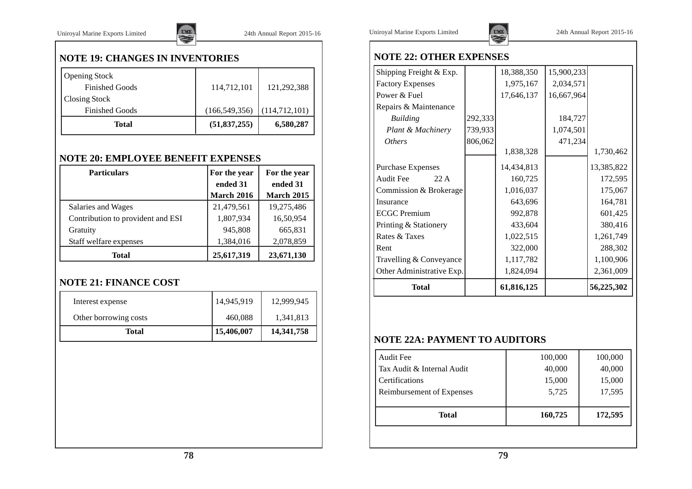## **NOTE 22: OTHER EXPENSES**

| <b>Total</b>              |         | 61,816,125 |            | 56,225,302 |
|---------------------------|---------|------------|------------|------------|
| Other Administrative Exp. |         | 1,824,094  |            | 2,361,009  |
| Travelling & Conveyance   |         | 1,117,782  |            | 1,100,906  |
| Rent                      |         | 322,000    |            | 288,302    |
| Rates & Taxes             |         | 1,022,515  |            | 1,261,749  |
| Printing & Stationery     |         | 433,604    |            | 380,416    |
| <b>ECGC</b> Premium       |         | 992,878    |            | 601,425    |
| Insurance                 |         | 643,696    |            | 164,781    |
| Commission & Brokerage    |         | 1,016,037  |            | 175,067    |
| Audit Fee<br>22 A         |         | 160,725    |            | 172,595    |
| <b>Purchase Expenses</b>  |         | 14,434,813 |            | 13,385,822 |
|                           |         | 1,838,328  |            | 1,730,462  |
| <i>Others</i>             | 806,062 |            | 471,234    |            |
| Plant & Machinery         | 739,933 |            | 1,074,501  |            |
| <b>Building</b>           | 292,333 |            | 184,727    |            |
| Repairs & Maintenance     |         |            |            |            |
| Power & Fuel              |         | 17,646,137 | 16,667,964 |            |
| <b>Factory Expenses</b>   |         | 1,975,167  | 2,034,571  |            |
| Shipping Freight & Exp.   |         | 18,388,350 | 15,900,233 |            |

## **NOTE 22A: PAYMENT TO AUDITORS**

| Total                      | 160,725 | 172,595 |
|----------------------------|---------|---------|
|                            |         |         |
| Reimbursement of Expenses  | 5,725   | 17,595  |
| Certifications             | 15,000  | 15,000  |
| Tax Audit & Internal Audit | 40,000  | 40,000  |
| Audit Fee                  | 100,000 | 100,000 |

# **NOTE 19: CHANGES IN INVENTORIES**

| <b>Opening Stock</b>  |                 |                 |
|-----------------------|-----------------|-----------------|
| <b>Finished Goods</b> | 114,712,101     | 121,292,388     |
| <b>Closing Stock</b>  |                 |                 |
| <b>Finished Goods</b> | (166, 549, 356) | (114, 712, 101) |
| Total                 | (51, 837, 255)  | 6,580,287       |

## **NOTE 20: EMPLOYEE BENEFIT EXPENSES**

| <b>Particulars</b>                | For the year<br>ended 31 | For the year<br>ended 31 |
|-----------------------------------|--------------------------|--------------------------|
|                                   | <b>March 2016</b>        | <b>March 2015</b>        |
| Salaries and Wages                | 21,479,561               | 19,275,486               |
| Contribution to provident and ESI | 1,807,934                | 16,50,954                |
| Gratuity                          | 945,808                  | 665,831                  |
| Staff welfare expenses            | 1,384,016                | 2,078,859                |
| Total                             | 25,617,319               | 23,671,130               |

## **NOTE 21: FINANCE COST**

| Total                 | 15,406,007 | 14, 341, 758 |
|-----------------------|------------|--------------|
| Other borrowing costs | 460,088    | 1,341,813    |
| Interest expense      | 14,945,919 | 12,999,945   |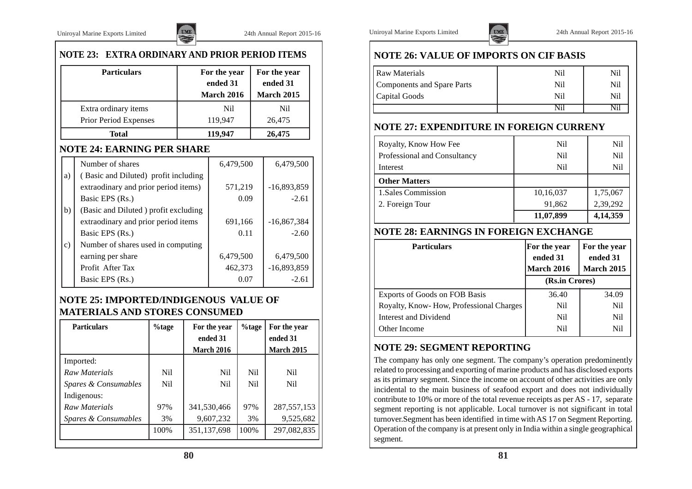

## **NOTE 23: EXTRA ORDINARY AND PRIOR PERIOD ITEMS**

| <b>Particulars</b>           | For the year<br>ended 31<br>March 2016 | For the year<br>ended 31<br><b>March 2015</b> |
|------------------------------|----------------------------------------|-----------------------------------------------|
| Extra ordinary items         | Nil                                    | Nil                                           |
| <b>Prior Period Expenses</b> | 119,947                                | 26,475                                        |
| Total                        | 119,947                                | 26,475                                        |

## **NOTE 24: EARNING PER SHARE**

|               | Number of shares                     | 6,479,500 | 6,479,500     |  |
|---------------|--------------------------------------|-----------|---------------|--|
| a)            | (Basic and Diluted) profit including |           |               |  |
|               | extraodinary and prior period items) | 571,219   | $-16,893,859$ |  |
|               | Basic EPS (Rs.)                      | 0.09      | $-2.61$       |  |
| b)            | (Basic and Diluted) profit excluding |           |               |  |
|               | extraodinary and prior period items  | 691,166   | $-16,867,384$ |  |
|               | Basic EPS (Rs.)                      | 0.11      | $-2.60$       |  |
| $\mathbf{c})$ | Number of shares used in computing   |           |               |  |
|               | earning per share                    | 6,479,500 | 6,479,500     |  |
|               | Profit After Tax                     | 462,373   | $-16,893,859$ |  |
|               | Basic EPS (Rs.)                      | 0.07      | $-2.61$       |  |
|               |                                      |           |               |  |

## **NOTE 25: IMPORTED/INDIGENOUS VALUE OF MATERIALS AND STORES CONSUMED**

| %tage           | For the year      | %tage      | For the year      |
|-----------------|-------------------|------------|-------------------|
|                 | ended 31          |            | ended 31          |
|                 | <b>March 2016</b> |            | <b>March 2015</b> |
|                 |                   |            |                   |
| N <sub>il</sub> | Nil               | <b>Nil</b> | Nil.              |
| N <sub>il</sub> | Nil               | <b>Nil</b> | Nil               |
|                 |                   |            |                   |
| 97%             | 341,530,466       | 97%        | 287, 557, 153     |
| 3%              | 9,607,232         | 3%         | 9,525,682         |
| 100%            | 351,137,698       | 100%       | 297,082,835       |
|                 |                   |            |                   |

## **NOTE 26: VALUE OF IMPORTS ON CIF BASIS**

| <b>Raw Materials</b>       | Nil | Nil |
|----------------------------|-----|-----|
| Components and Spare Parts | Nil | Nil |
| Capital Goods              | Nil | Nil |
|                            |     |     |

## **NOTE 27: EXPENDITURE IN FOREIGN CURRENY**

| Royalty, Know How Fee        | Nil       | Nil      |
|------------------------------|-----------|----------|
| Professional and Consultancy | Nil       | Nil      |
| Interest                     | Nil       | Nil      |
| <b>Other Matters</b>         |           |          |
| 1. Sales Commission          | 10,16,037 | 1,75,067 |
| 2. Foreign Tour              | 91,862    | 2,39,292 |
|                              | 11,07,899 | 4,14,359 |

## **NOTE 28: EARNINGS IN FOREIGN EXCHANGE**

| <b>Particulars</b>                      | <b>For the year</b><br>ended 31<br>March 2016 | For the year<br>ended 31<br>March 2015 |  |
|-----------------------------------------|-----------------------------------------------|----------------------------------------|--|
|                                         | (Rs.in Crores)                                |                                        |  |
| Exports of Goods on FOB Basis           | 36.40                                         | 34.09                                  |  |
| Royalty, Know-How, Professional Charges | Nil.                                          | Nil                                    |  |
| Interest and Dividend                   | Nil                                           | Nil.                                   |  |
| Other Income                            | Nil                                           | Nil                                    |  |

## **NOTE 29: SEGMENT REPORTING**

The company has only one segment. The company's operation predominently related to processing and exporting of marine products and has disclosed exports as its primary segment. Since the income on account of other activities are only incidental to the main business of seafood export and does not individually contribute to 10% or more of the total revenue receipts as per AS - 17, separate segment reporting is not applicable. Local turnover is not significant in total turnover.Segment has been identified in time with AS 17 on Segment Reporting. Operation of the company is at present only in India within a single geographical segment.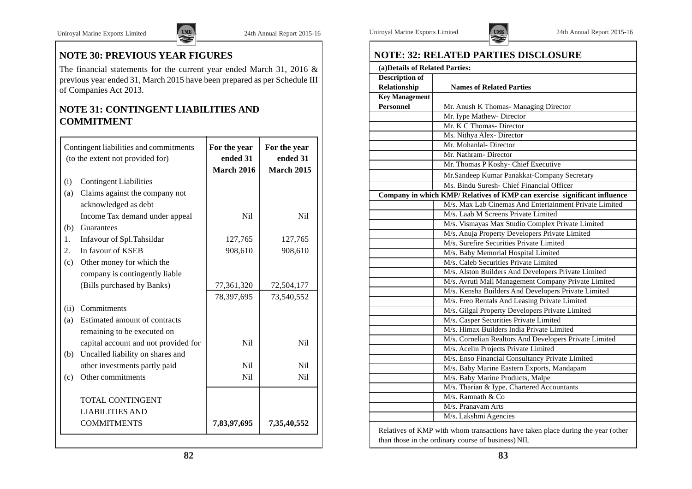## **NOTE 30: PREVIOUS YEAR FIGURES**

The financial statements for the current year ended March 31, 2016 & previous year ended 31, March 2015 have been prepared as per Schedule III of Companies Act 2013.

## **NOTE 31: CONTINGENT LIABILITIES AND COMMITMENT**

| Contingent liabilities and commitments<br>(to the extent not provided for) | For the year<br>ended 31<br><b>March 2016</b> | For the year<br>ended 31<br><b>March 2015</b> |
|----------------------------------------------------------------------------|-----------------------------------------------|-----------------------------------------------|
| (i)<br><b>Contingent Liabilities</b>                                       |                                               |                                               |
| Claims against the company not<br>(a)                                      |                                               |                                               |
| acknowledged as debt                                                       |                                               |                                               |
| Income Tax demand under appeal                                             | <b>Nil</b>                                    | Nil.                                          |
| (b)<br>Guarantees                                                          |                                               |                                               |
| 1.<br>Infavour of Spl.Tahsildar                                            | 127,765                                       | 127,765                                       |
| In favour of KSEB<br>2.                                                    | 908,610                                       | 908,610                                       |
| Other money for which the<br>(c)                                           |                                               |                                               |
| company is contingently liable                                             |                                               |                                               |
| (Bills purchased by Banks)                                                 | 77,361,320                                    | 72,504,177                                    |
|                                                                            | 78,397,695                                    | 73,540,552                                    |
| Commitments<br>(ii)                                                        |                                               |                                               |
| Estimated amount of contracts<br>(a)                                       |                                               |                                               |
| remaining to be executed on                                                |                                               |                                               |
| capital account and not provided for                                       | N <sub>i</sub> l                              | N <sub>il</sub>                               |
| Uncalled liability on shares and<br>(b)                                    |                                               |                                               |
| other investments partly paid                                              | N <sub>i</sub> l                              | <b>Nil</b>                                    |
| Other commitments<br>(c)                                                   | N <sub>il</sub>                               | N <sub>i</sub> l                              |
|                                                                            |                                               |                                               |
| <b>TOTAL CONTINGENT</b>                                                    |                                               |                                               |
| <b>LIABILITIES AND</b>                                                     |                                               |                                               |
| <b>COMMITMENTS</b>                                                         | 7,83,97,695                                   | 7,35,40,552                                   |
|                                                                            |                                               |                                               |

# **NOTE: 32: RELATED PARTIES DISCLOSURE**

| <b>Description of</b><br>Relationship | <b>Names of Related Parties</b>                                           |
|---------------------------------------|---------------------------------------------------------------------------|
| <b>Key Management</b>                 |                                                                           |
| <b>Personnel</b>                      | Mr. Anush K Thomas- Managing Director                                     |
|                                       | Mr. Iype Mathew- Director                                                 |
|                                       | Mr. K C Thomas- Director                                                  |
|                                       | Ms. Nithya Alex-Director                                                  |
|                                       | Mr. Mohanlal-Director                                                     |
|                                       | Mr. Nathram-Director                                                      |
|                                       | Mr. Thomas P Koshy- Chief Executive                                       |
|                                       | Mr.Sandeep Kumar Panakkat-Company Secretary                               |
|                                       | Ms. Bindu Suresh- Chief Financial Officer                                 |
|                                       | Company in which KMP/ Relatives of KMP can exercise significant influence |
|                                       | M/s. Max Lab Cinemas And Entertainment Private Limited                    |
|                                       | M/s. Laab M Screens Private Limited                                       |
|                                       | M/s. Vismayas Max Studio Complex Private Limited                          |
|                                       | M/s. Anuja Property Developers Private Limited                            |
|                                       | M/s. Surefire Securities Private Limited                                  |
|                                       | M/s. Baby Memorial Hospital Limited                                       |
|                                       | M/s. Caleb Securities Private Limited                                     |
|                                       | M/s. Alston Builders And Developers Private Limited                       |
|                                       | M/s. Avruti Mall Management Company Private Limited                       |
|                                       | M/s. Kensha Builders And Developers Private Limited                       |
|                                       | M/s. Freo Rentals And Leasing Private Limited                             |
|                                       | M/s. Gilgal Property Developers Private Limited                           |
|                                       | M/s. Casper Securities Private Limited                                    |
|                                       | M/s. Himax Builders India Private Limited                                 |
|                                       | M/s. Cornelian Realtors And Developers Private Limited                    |
|                                       | M/s. Acelin Projects Private Limited                                      |
|                                       | M/s. Enso Financial Consultancy Private Limited                           |
|                                       | M/s. Baby Marine Eastern Exports, Mandapam                                |
|                                       | M/s. Baby Marine Products, Malpe                                          |
|                                       | M/s. Tharian & Iype, Chartered Accountants                                |
|                                       | M/s. Ramnath & Co                                                         |
|                                       | M/s. Pranavam Arts                                                        |
|                                       | M/s. Lakshmi Agencies                                                     |

**82 83**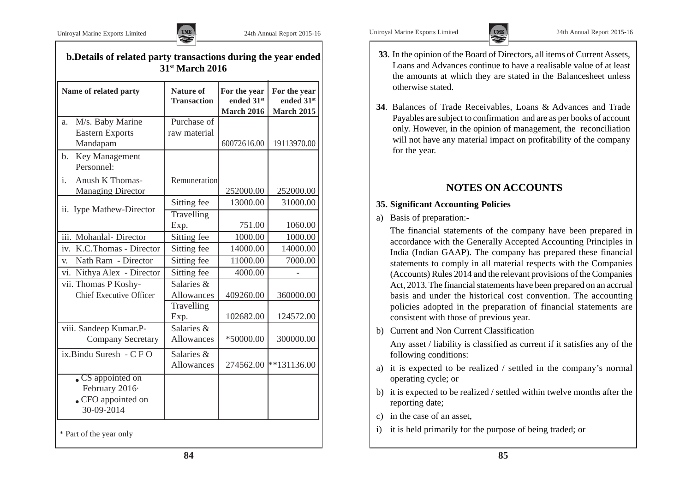# **b.Details of related party transactions during the year ended 31st March 2016**

| Name of related party                                                           | <b>Nature of</b><br><b>Transaction</b> | For the year<br>ended 31st<br><b>March 2016</b> | For the year<br>ended 31 <sup>st</sup><br><b>March 2015</b> |
|---------------------------------------------------------------------------------|----------------------------------------|-------------------------------------------------|-------------------------------------------------------------|
| M/s. Baby Marine<br>a.<br><b>Eastern Exports</b><br>Mandapam                    | Purchase of<br>raw material            | 60072616.00                                     | 19113970.00                                                 |
| Key Management<br>b.<br>Personnel:<br>Anush K Thomas-<br>i.                     | Remuneration                           |                                                 |                                                             |
| <b>Managing Director</b>                                                        |                                        | 252000.00                                       | 252000.00                                                   |
| ii. Iype Mathew-Director                                                        | Sitting fee                            | 13000.00                                        | 31000.00                                                    |
|                                                                                 | Travelling<br>Exp.                     | 751.00                                          | 1060.00                                                     |
| iii. Mohanlal- Director                                                         | Sitting fee                            | 1000.00                                         | 1000.00                                                     |
| iv. K.C.Thomas - Director                                                       | Sitting fee                            | 14000.00                                        | 14000.00                                                    |
| Nath Ram - Director<br>V.                                                       | Sitting fee                            | 11000.00                                        | 7000.00                                                     |
| vi. Nithya Alex - Director                                                      | Sitting fee                            | 4000.00                                         |                                                             |
| vii. Thomas P Koshy-<br><b>Chief Executive Officer</b>                          | Salaries &<br>Allowances               | 409260.00                                       | 360000.00                                                   |
|                                                                                 | Travelling<br>Exp.                     | 102682.00                                       | 124572.00                                                   |
| viii. Sandeep Kumar.P-<br><b>Company Secretary</b>                              | Salaries &<br><b>Allowances</b>        | *50000.00                                       | 300000.00                                                   |
| ix.Bindu Suresh - CFO                                                           | Salaries &<br><b>Allowances</b>        | 274562.00                                       | $**131136.00$                                               |
| $\bullet$ CS appointed on<br>February 2016.<br>• CFO appointed on<br>30-09-2014 |                                        |                                                 |                                                             |
| * Part of the year only                                                         |                                        |                                                 |                                                             |

- **33**. In the opinion of the Board of Directors, all items of Current Assets, Loans and Advances continue to have a realisable value of at least the amounts at which they are stated in the Balancesheet unless otherwise stated.
- **34**. Balances of Trade Receivables, Loans & Advances and Trade Payables are subject to confirmation and are as per books of account only. However, in the opinion of management, the reconciliation will not have any material impact on profitability of the company for the year.

## **NOTES ON ACCOUNTS**

#### **35. Significant Accounting Policies**

a) Basis of preparation:-

The financial statements of the company have been prepared in accordance with the Generally Accepted Accounting Principles in India (Indian GAAP). The company has prepared these financial statements to comply in all material respects with the Companies (Accounts) Rules 2014 and the relevant provisions of the Companies Act, 2013. The financial statements have been prepared on an accrual basis and under the historical cost convention. The accounting policies adopted in the preparation of financial statements are consistent with those of previous year.

b) Current and Non Current Classification

Any asset / liability is classified as current if it satisfies any of the following conditions:

- a) it is expected to be realized / settled in the company's normal operating cycle; or
- b) it is expected to be realized / settled within twelve months after the reporting date;
- c) in the case of an asset,
- i) it is held primarily for the purpose of being traded; or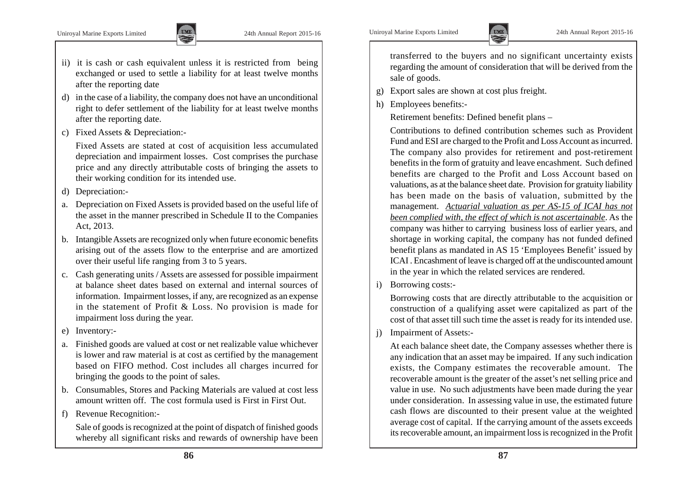- ii) it is cash or cash equivalent unless it is restricted from being exchanged or used to settle a liability for at least twelve months after the reporting date
- d) in the case of a liability, the company does not have an unconditional right to defer settlement of the liability for at least twelve months after the reporting date.
- c) Fixed Assets & Depreciation:-

Fixed Assets are stated at cost of acquisition less accumulated depreciation and impairment losses. Cost comprises the purchase price and any directly attributable costs of bringing the assets to their working condition for its intended use.

- d) Depreciation:-
- a. Depreciation on Fixed Assets is provided based on the useful life of the asset in the manner prescribed in Schedule II to the Companies Act, 2013.
- b. Intangible Assets are recognized only when future economic benefits arising out of the assets flow to the enterprise and are amortized over their useful life ranging from 3 to 5 years.
- c. Cash generating units / Assets are assessed for possible impairment at balance sheet dates based on external and internal sources of information. Impairment losses, if any, are recognized as an expense in the statement of Profit & Loss. No provision is made for impairment loss during the year.
- e) Inventory:-
- a. Finished goods are valued at cost or net realizable value whichever is lower and raw material is at cost as certified by the management based on FIFO method. Cost includes all charges incurred for bringing the goods to the point of sales.
- b. Consumables, Stores and Packing Materials are valued at cost less amount written off. The cost formula used is First in First Out.
- f) Revenue Recognition:-

Sale of goods is recognized at the point of dispatch of finished goods whereby all significant risks and rewards of ownership have been

transferred to the buyers and no significant uncertainty exists regarding the amount of consideration that will be derived from the sale of goods.

- g) Export sales are shown at cost plus freight.
- h) Employees benefits:-
	- Retirement benefits: Defined benefit plans –

Contributions to defined contribution schemes such as Provident Fund and ESI are charged to the Profit and Loss Account as incurred. The company also provides for retirement and post-retirement benefits in the form of gratuity and leave encashment. Such defined benefits are charged to the Profit and Loss Account based on valuations, as at the balance sheet date. Provision for gratuity liability has been made on the basis of valuation, submitted by the management. *Actuarial valuation as per AS-15 of ICAI has not been complied with, the effect of which is not ascertainable*. As the company was hither to carrying business loss of earlier years, and shortage in working capital, the company has not funded defined benefit plans as mandated in AS 15 'Employees Benefit' issued by ICAI . Encashment of leave is charged off at the undiscounted amount in the year in which the related services are rendered.

i) Borrowing costs:-

Borrowing costs that are directly attributable to the acquisition or construction of a qualifying asset were capitalized as part of the cost of that asset till such time the asset is ready for its intended use.

j) Impairment of Assets:-

At each balance sheet date, the Company assesses whether there is any indication that an asset may be impaired. If any such indication exists, the Company estimates the recoverable amount. The recoverable amount is the greater of the asset's net selling price and value in use. No such adjustments have been made during the year under consideration. In assessing value in use, the estimated future cash flows are discounted to their present value at the weighted average cost of capital. If the carrying amount of the assets exceeds its recoverable amount, an impairment loss is recognized in the Profit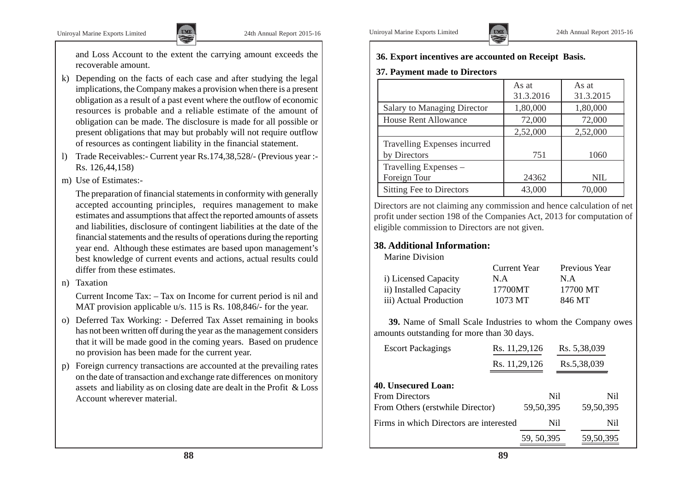and Loss Account to the extent the carrying amount exceeds the recoverable amount.

- k) Depending on the facts of each case and after studying the legal implications, the Company makes a provision when there is a present obligation as a result of a past event where the outflow of economic resources is probable and a reliable estimate of the amount of obligation can be made. The disclosure is made for all possible or present obligations that may but probably will not require outflow of resources as contingent liability in the financial statement.
- l) Trade Receivables:- Current year Rs.174,38,528/- (Previous year :- Rs. 126,44,158)
- m) Use of Estimates:-

The preparation of financial statements in conformity with generally accepted accounting principles, requires management to make estimates and assumptions that affect the reported amounts of assets and liabilities, disclosure of contingent liabilities at the date of the financial statements and the results of operations during the reporting year end. Although these estimates are based upon management's best knowledge of current events and actions, actual results could differ from these estimates.

n) Taxation

Current Income Tax: – Tax on Income for current period is nil and MAT provision applicable u/s. 115 is Rs. 108,846/- for the year.

- o) Deferred Tax Working: Deferred Tax Asset remaining in books has not been written off during the year as the management considers that it will be made good in the coming years. Based on prudence no provision has been made for the current year.
- p) Foreign currency transactions are accounted at the prevailing rates on the date of transaction and exchange rate differences on monitory assets and liability as on closing date are dealt in the Profit & Loss Account wherever material.

#### **36. Export incentives are accounted on Receipt Basis.**

#### **37. Payment made to Directors**

|                                    | As at     | As at      |
|------------------------------------|-----------|------------|
|                                    | 31.3.2016 | 31.3.2015  |
| <b>Salary to Managing Director</b> | 1,80,000  | 1,80,000   |
| <b>House Rent Allowance</b>        | 72,000    | 72,000     |
|                                    | 2,52,000  | 2,52,000   |
| Travelling Expenses incurred       |           |            |
| by Directors                       | 751       | 1060       |
| Travelling Expenses -              |           |            |
| Foreign Tour                       | 24362     | <b>NIL</b> |
| Sitting Fee to Directors           | 43,000    | 70,000     |

Directors are not claiming any commission and hence calculation of net profit under section 198 of the Companies Act, 2013 for computation of eligible commission to Directors are not given.

#### **38. Additional Information:**

Marine Division

|                        | Current Year | Previous Year |
|------------------------|--------------|---------------|
| i) Licensed Capacity   | N.A          | N.A           |
| ii) Installed Capacity | 17700MT      | 17700 MT      |
| iii) Actual Production | 1073 MT      | 846 MT        |

**39.** Name of Small Scale Industries to whom the Company owes amounts outstanding for more than 30 days.

| <b>Escort Packagings</b>                | Rs. 11,29,126 |             |  | Rs. 5,38,039 |
|-----------------------------------------|---------------|-------------|--|--------------|
|                                         | Rs. 11,29,126 |             |  | Rs.5,38,039  |
| 40. Unsecured Loan:                     |               |             |  |              |
| <b>From Directors</b>                   |               | Nil.        |  | Nil          |
| From Others (erstwhile Director)        |               | 59,50,395   |  | 59,50,395    |
| Firms in which Directors are interested |               | Nil.        |  | Nil          |
|                                         |               | 59, 50, 395 |  | 59,50,395    |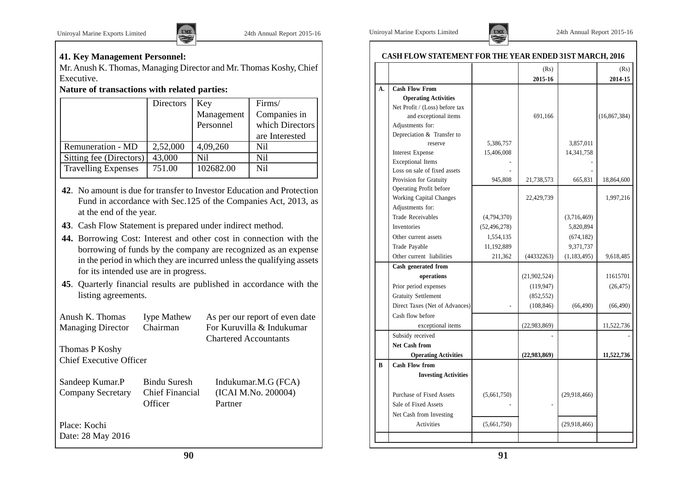### **41. Key Management Personnel:**

Mr. Anush K. Thomas, Managing Director and Mr. Thomas Koshy, Chief Executive.

#### **Nature of transactions with related parties:**

|                            | Directors | Key        | Firms/          |
|----------------------------|-----------|------------|-----------------|
|                            |           | Management | Companies in    |
|                            |           | Personnel  | which Directors |
|                            |           |            | are Interested  |
| Remuneration - MD          | 2,52,000  | 4,09,260   | Ni1             |
| Sitting fee (Directors)    | 43,000    | Nil        | Ni1             |
| <b>Travelling Expenses</b> | 751.00    | 102682.00  | N <sub>i</sub>  |

- **42**. No amount is due for transfer to Investor Education and Protection Fund in accordance with Sec.125 of the Companies Act, 2013, as at the end of the year.
- **43**. Cash Flow Statement is prepared under indirect method.
- **44.** Borrowing Cost: Interest and other cost in connection with the borrowing of funds by the company are recognized as an expense in the period in which they are incurred unless the qualifying assets for its intended use are in progress.
- **45**. Quarterly financial results are published in accordance with the listing agreements.

| Anush K. Thomas          | Iype Ma |
|--------------------------|---------|
| <b>Managing Director</b> | Chairm  |

athew As per our report of even date an For Kuruvilla & Indukumar Chartered Accountants

Thomas P Koshy Chief Executive Officer

Sandeep Kumar.P Bindu Suresh Indukumar.M.G (FCA)

Company Secretary Chief Financial (ICAI M.No. 200004) Officer Partner

Place: Kochi Date: 28 May 2016

| IV14 | ∟ımıted<br>xports<br><b>TINE</b><br>mirova |  | ……ual Ren∴<br>'4th−<br>11111<br>Annu<br>$.5 - 10$<br>DOLL. | Limited<br>Marine<br>$n_1 n_2$<br>Expor |  | 2015<br>74th<br>Report<br>131331<br>ш |
|------|--------------------------------------------|--|------------------------------------------------------------|-----------------------------------------|--|---------------------------------------|
|------|--------------------------------------------|--|------------------------------------------------------------|-----------------------------------------|--|---------------------------------------|

|    |                                |                | (Rs)         |                | (Rs)           |
|----|--------------------------------|----------------|--------------|----------------|----------------|
|    |                                |                | 2015-16      |                | 2014-15        |
| A. | <b>Cash Flow From</b>          |                |              |                |                |
|    | <b>Operating Activities</b>    |                |              |                |                |
|    | Net Profit / (Loss) before tax |                |              |                |                |
|    | and exceptional items          |                | 691,166      |                | (16, 867, 384) |
|    | Adjustments for:               |                |              |                |                |
|    | Depreciation & Transfer to     |                |              |                |                |
|    | reserve                        | 5,386,757      |              | 3,857,011      |                |
|    | <b>Interest Expense</b>        | 15,406,008     |              | 14,341,758     |                |
|    | <b>Exceptional Items</b>       |                |              |                |                |
|    | Loss on sale of fixed assets   |                |              |                |                |
|    | Provision for Gratuity         | 945,808        | 21,738,573   | 665,831        | 18,864,600     |
|    | Operating Profit before        |                |              |                |                |
|    | Working Capital Changes        |                | 22,429,739   |                | 1,997,216      |
|    | Adjustments for:               |                |              |                |                |
|    | <b>Trade Receivables</b>       | (4,794,370)    |              | (3,716,469)    |                |
|    | Inventories                    | (52, 496, 278) |              | 5,820,894      |                |
|    | Other current assets           | 1,554,135      |              | (674, 182)     |                |
|    | Trade Payable                  | 11,192,889     |              | 9,371,737      |                |
|    | Other current liabilities      | 211,362        | (44332263)   | (1,183,495)    | 9,618,485      |
|    | Cash generated from            |                |              |                |                |
|    | operations                     |                | (21,902,524) |                | 11615701       |
|    | Prior period expenses          |                | (119, 947)   |                | (26, 475)      |
|    | <b>Gratuity Settlement</b>     |                | (852, 552)   |                |                |
|    | Direct Taxes (Net of Advances) |                | (108, 846)   | (66, 490)      | (66, 490)      |
|    | Cash flow before               |                |              |                |                |
|    | exceptional items              |                | (22,983,869) |                | 11,522,736     |
|    | Subsidy received               |                |              |                |                |
|    | Net Cash from                  |                |              |                |                |
|    | <b>Operating Activities</b>    |                | (22,983,869) |                | 11,522,736     |
| B  | <b>Cash Flow from</b>          |                |              |                |                |
|    | <b>Investing Activities</b>    |                |              |                |                |
|    |                                |                |              |                |                |
|    | Purchase of Fixed Assets       | (5,661,750)    |              | (29,918,466)   |                |
|    | Sale of Fixed Assets           |                |              |                |                |
|    | Net Cash from Investing        |                |              |                |                |
|    | Activities                     | (5,661,750)    |              | (29, 918, 466) |                |
|    |                                |                |              |                |                |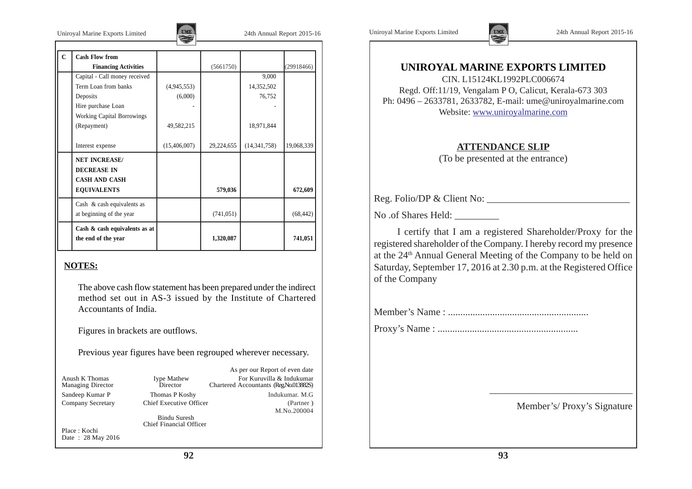

| <b>Cash Flow from</b>             |              |            |                |            |
|-----------------------------------|--------------|------------|----------------|------------|
| <b>Financing Activities</b>       |              | (5661750)  |                | (29918466) |
| Capital - Call money received     |              |            | 9,000          |            |
| Term Loan from banks              | (4,945,553)  |            | 14,352,502     |            |
| Deposits                          | (6,000)      |            | 76,752         |            |
| Hire purchase Loan                |              |            |                |            |
| <b>Working Capital Borrowings</b> |              |            |                |            |
| (Repayment)                       | 49,582,215   |            | 18,971,844     |            |
|                                   |              |            |                |            |
| Interest expense                  | (15,406,007) | 29,224,655 | (14, 341, 758) | 19,068,339 |
| <b>NET INCREASE/</b>              |              |            |                |            |
| <b>DECREASE IN</b>                |              |            |                |            |
| <b>CASH AND CASH</b>              |              |            |                |            |
| <b>EQUIVALENTS</b>                |              | 579,036    |                | 672,609    |
| Cash & cash equivalents as        |              |            |                |            |
| at beginning of the year          |              | (741, 051) |                | (68, 442)  |
| Cash & cash equivalents as at     |              |            |                |            |
| the end of the year               |              | 1,320,087  |                | 741,051    |
|                                   |              |            |                |            |

#### **NOTES:**

The above cash flow statement has been prepared under the indirect method set out in AS-3 issued by the Institute of Chartered Accountants of India.

Figures in brackets are outflows.

Previous year figures have been regrouped wherever necessary.

|                                            |                                | As per our Report of even date                                       |
|--------------------------------------------|--------------------------------|----------------------------------------------------------------------|
| Anush K Thomas<br><b>Managing Director</b> | <b>Iype Mathew</b><br>Director | For Kuruvilla & Indukumar<br>Chartered Accountants (Reg. No.013882S) |
| Sandeep Kumar P                            | Thomas P Koshy                 | Indukumar. M.G                                                       |
| <b>Company Secretary</b>                   | Chief Executive Officer        | (Partner)                                                            |
|                                            |                                | M.No.200004                                                          |
|                                            | <b>Bindu Suresh</b>            |                                                                      |
|                                            | Chief Financial Officer        |                                                                      |
| Place: Kochi                               |                                |                                                                      |
| Date: 28 May 2016                          |                                |                                                                      |

## **UNIROYAL MARINE EXPORTS LIMITED**

CIN. L15124KL1992PLC006674

Regd. Off:11/19, Vengalam P O, Calicut, Kerala-673 303 Ph: 0496 – 2633781, 2633782, E-mail: ume@uniroyalmarine.com Website: www.uniroyalmarine.com

## **ATTENDANCE SLIP**

(To be presented at the entrance)

Reg. Folio/DP & Client No: \_\_\_\_\_\_\_\_\_\_\_\_\_\_\_\_\_\_\_\_\_\_\_\_\_\_\_\_\_

No .of Shares Held: \_\_\_\_\_\_\_\_\_\_\_

I certify that I am a registered Shareholder/Proxy for the registered shareholder of the Company. I hereby record my presence at the 24th Annual General Meeting of the Company to be held on Saturday, September 17, 2016 at 2.30 p.m. at the Registered Office of the Company

Member's Name : ......................................................... Proxy's Name : .........................................................

Member's/ Proxy's Signature

\_\_\_\_\_\_\_\_\_\_\_\_\_\_\_\_\_\_\_\_\_\_\_\_\_\_\_\_\_